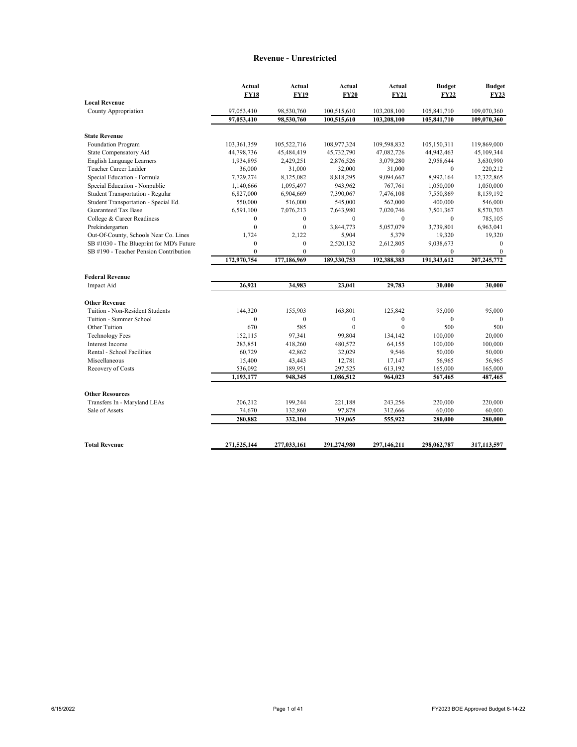#### **Revenue - Unrestricted**

|                                          | Actual           | Actual         | Actual       | Actual           | <b>Budget</b> | <b>Budget</b> |
|------------------------------------------|------------------|----------------|--------------|------------------|---------------|---------------|
|                                          | <b>FY18</b>      | <b>FY19</b>    | <b>FY20</b>  | <b>FY21</b>      | <b>FY22</b>   | <b>FY23</b>   |
| <b>Local Revenue</b>                     |                  |                |              |                  |               |               |
| County Appropriation                     | 97,053,410       | 98,530,760     | 100,515,610  | 103,208,100      | 105,841,710   | 109,070,360   |
|                                          | 97,053,410       | 98,530,760     | 100,515,610  | 103,208,100      | 105,841,710   | 109,070,360   |
| <b>State Revenue</b>                     |                  |                |              |                  |               |               |
| Foundation Program                       | 103,361,359      | 105,522,716    | 108,977,324  | 109,598,832      | 105,150,311   | 119,869,000   |
| State Compensatory Aid                   | 44,798,736       | 45,484,419     | 45,732,790   | 47,082,726       | 44,942,463    | 45,109,344    |
| English Language Learners                | 1,934,895        | 2,429,251      | 2,876,526    | 3,079,280        | 2,958,644     | 3,630,990     |
| Teacher Career Ladder                    | 36,000           | 31,000         | 32,000       | 31,000           | $\mathbf{0}$  | 220,212       |
| Special Education - Formula              | 7,729,274        | 8,125,082      | 8,818,295    | 9,094,667        | 8,992,164     | 12,322,865    |
| Special Education - Nonpublic            | 1,140,666        | 1,095,497      | 943,962      | 767,761          | 1,050,000     | 1,050,000     |
| Student Transportation - Regular         | 6,827,000        | 6,904,669      | 7,390,067    | 7,476,108        | 7,550,869     | 8,159,192     |
| Student Transportation - Special Ed.     | 550,000          | 516,000        | 545,000      | 562,000          | 400,000       | 546,000       |
| Guaranteed Tax Base                      | 6,591,100        | 7,076,213      | 7,643,980    | 7,020,746        | 7,501,367     | 8,570,703     |
| College & Career Readiness               | $\mathbf{0}$     | $\mathbf{0}$   | $\mathbf{0}$ | $\mathbf{0}$     | $\theta$      | 785,105       |
| Prekindergarten                          | $\mathbf{0}$     | $\mathbf{0}$   | 3,844,773    | 5,057,079        | 3,739,801     | 6,963,041     |
| Out-Of-County, Schools Near Co. Lines    | 1,724            | 2,122          | 5,904        | 5,379            | 19,320        | 19,320        |
| SB #1030 - The Blueprint for MD's Future | $\boldsymbol{0}$ | $\mathbf{0}$   | 2,520,132    | 2,612,805        | 9,038,673     | $\Omega$      |
| SB #190 - Teacher Pension Contribution   | $\mathbf{0}$     | $\overline{0}$ | $\mathbf{0}$ | $\mathbf{0}$     | $\mathbf{0}$  | $\mathbf{0}$  |
|                                          | 172,970,754      | 177,186,969    | 189,330,753  | 192,388,383      | 191,343,612   | 207,245,772   |
| <b>Federal Revenue</b>                   |                  |                |              |                  |               |               |
| Impact Aid                               | 26,921           | 34,983         | 23,041       | 29,783           | 30,000        | 30,000        |
| <b>Other Revenue</b>                     |                  |                |              |                  |               |               |
| Tuition - Non-Resident Students          | 144,320          | 155,903        | 163,801      | 125,842          | 95,000        | 95,000        |
| Tuition - Summer School                  | $\mathbf{0}$     | $\mathbf{0}$   | $\mathbf{0}$ | $\boldsymbol{0}$ | $\mathbf{0}$  | $\mathbf{0}$  |
| Other Tuition                            | 670              | 585            | $\theta$     | $\theta$         | 500           | 500           |
| <b>Technology Fees</b>                   | 152,115          | 97,341         | 99,804       | 134,142          | 100,000       | 20,000        |
| Interest Income                          | 283,851          | 418,260        | 480,572      | 64,155           | 100,000       | 100,000       |
| Rental - School Facilities               | 60,729           | 42,862         | 32,029       | 9,546            | 50,000        | 50,000        |
| Miscellaneous                            | 15,400           | 43,443         | 12,781       | 17,147           | 56,965        | 56,965        |
| Recovery of Costs                        | 536,092          | 189,951        | 297,525      | 613,192          | 165,000       | 165,000       |
|                                          | 1,193,177        | 948,345        | 1,086,512    | 964,023          | 567,465       | 487,465       |
|                                          |                  |                |              |                  |               |               |
| <b>Other Resources</b>                   |                  |                |              |                  |               |               |
| Transfers In - Maryland LEAs             | 206,212          | 199,244        | 221,188      | 243,256          | 220,000       | 220,000       |
| Sale of Assets                           | 74,670           | 132,860        | 97,878       | 312,666          | 60,000        | 60,000        |
|                                          | 280,882          | 332,104        | 319,065      | 555,922          | 280,000       | 280,000       |
|                                          |                  |                |              |                  |               |               |
| <b>Total Revenue</b>                     | 271,525,144      | 277,033,161    | 291,274,980  | 297,146,211      | 298,062,787   | 317,113,597   |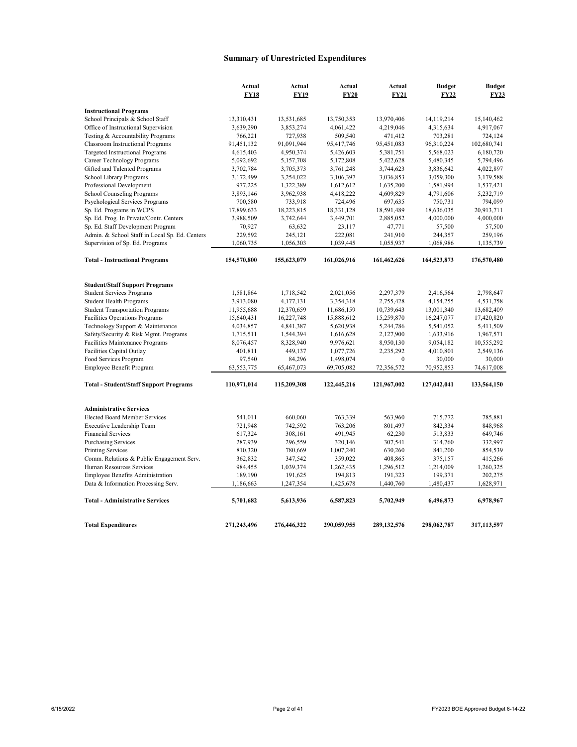## **Summary of Unrestricted Expenditures**

|                                                                   | Actual<br><b>FY18</b> | Actual<br><b>FY19</b> | Actual<br><b>FY20</b> | Actual<br><b>FY21</b> | <b>Budget</b><br><b>FY22</b> | <b>Budget</b><br>FY23 |
|-------------------------------------------------------------------|-----------------------|-----------------------|-----------------------|-----------------------|------------------------------|-----------------------|
|                                                                   |                       |                       |                       |                       |                              |                       |
| <b>Instructional Programs</b><br>School Principals & School Staff | 13,310,431            | 13,531,685            | 13,750,353            | 13,970,406            | 14, 119, 214                 | 15,140,462            |
| Office of Instructional Supervision                               | 3,639,290             |                       |                       |                       |                              | 4,917,067             |
| Testing & Accountability Programs                                 | 766,221               | 3,853,274<br>727,938  | 4,061,422<br>509,540  | 4,219,046<br>471,412  | 4,315,634<br>703,281         | 724,124               |
| <b>Classroom Instructional Programs</b>                           | 91,451,132            | 91,091,944            | 95,417,746            | 95,451,083            | 96,310,224                   | 102,680,741           |
| Targeted Instructional Programs                                   | 4,615,403             | 4,950,374             | 5,426,603             | 5,381,751             | 5,568,023                    | 6,180,720             |
| Career Technology Programs                                        | 5,092,692             | 5,157,708             | 5,172,808             | 5,422,628             | 5,480,345                    | 5,794,496             |
| Gifted and Talented Programs                                      | 3,702,784             | 3,705,373             | 3,761,248             | 3,744,623             | 3,836,642                    | 4,022,897             |
| School Library Programs                                           | 3,172,499             | 3,254,022             | 3,106,397             | 3,036,853             | 3,059,300                    | 3,179,588             |
| Professional Development                                          | 977,225               | 1,322,389             | 1,612,612             | 1,635,200             | 1,581,994                    | 1,537,421             |
| School Counseling Programs                                        | 3,893,146             | 3,962,938             | 4,418,222             | 4,609,829             | 4,791,606                    | 5,232,719             |
| Psychological Services Programs                                   | 700,580               | 733,918               | 724,496               | 697,635               | 750,731                      | 794,099               |
| Sp. Ed. Programs in WCPS                                          | 17,899,633            | 18,223,815            | 18,331,128            | 18,591,489            | 18,636,035                   | 20,913,711            |
| Sp. Ed. Prog. In Private/Contr. Centers                           | 3,988,509             | 3,742,644             | 3,449,701             | 2,885,052             | 4,000,000                    | 4,000,000             |
| Sp. Ed. Staff Development Program                                 |                       |                       |                       |                       |                              |                       |
| Admin. & School Staff in Local Sp. Ed. Centers                    | 70,927<br>229,592     | 63,632                | 23,117<br>222,081     | 47,771<br>241,910     | 57,500                       | 57,500<br>259,196     |
|                                                                   |                       | 245,121               |                       |                       | 244,357                      |                       |
| Supervision of Sp. Ed. Programs                                   | 1,060,735             | 1,056,303             | 1,039,445             | 1,055,937             | 1,068,986                    | 1,135,739             |
| <b>Total - Instructional Programs</b>                             | 154,570,800           | 155,623,079           | 161,026,916           | 161,462,626           | 164,523,873                  | 176,570,480           |
| <b>Student/Staff Support Programs</b>                             |                       |                       |                       |                       |                              |                       |
| <b>Student Services Programs</b>                                  | 1,581,864             | 1,718,542             | 2,021,056             | 2,297,379             | 2,416,564                    | 2,798,647             |
| <b>Student Health Programs</b>                                    | 3,913,080             | 4,177,131             | 3,354,318             | 2,755,428             | 4,154,255                    | 4,531,758             |
| <b>Student Transportation Programs</b>                            | 11,955,688            | 12,370,659            | 11,686,159            | 10,739,643            | 13,001,340                   | 13,682,409            |
| Facilities Operations Programs                                    | 15,640,431            | 16,227,748            | 15,888,612            | 15,259,870            | 16,247,077                   | 17,420,820            |
| Technology Support & Maintenance                                  | 4,034,857             | 4,841,387             | 5,620,938             | 5,244,786             | 5,541,052                    | 5,411,509             |
| Safety/Security & Risk Mgmt. Programs                             | 1,715,511             | 1,544,394             | 1,616,628             | 2,127,900             | 1,633,916                    | 1,967,571             |
| Facilities Maintenance Programs                                   | 8,076,457             | 8,328,940             | 9,976,621             | 8,950,130             | 9,054,182                    | 10,555,292            |
| Facilities Capital Outlay                                         | 401,811               | 449,137               | 1,077,726             | 2,235,292             | 4,010,801                    | 2,549,136             |
| Food Services Program                                             | 97,540                | 84,296                | 1,498,074             | $\theta$              | 30,000                       | 30,000                |
| Employee Benefit Program                                          | 63,553,775            | 65,467,073            | 69,705,082            | 72,356,572            | 70,952,853                   | 74,617,008            |
| <b>Total - Student/Staff Support Programs</b>                     | 110,971,014           | 115,209,308           | 122,445,216           | 121,967,002           | 127,042,041                  | 133,564,150           |
|                                                                   |                       |                       |                       |                       |                              |                       |
| <b>Administrative Services</b>                                    |                       |                       |                       |                       |                              |                       |
| <b>Elected Board Member Services</b>                              | 541,011               | 660,060               | 763,339               | 563,960               | 715,772                      | 785,881               |
| Executive Leadership Team                                         | 721,948               | 742,592               | 763,206               | 801,497               | 842,334                      | 848,968               |
| <b>Financial Services</b>                                         | 617,324               | 308,161               | 491,945               | 62,230                | 513,833                      | 649,746               |
| <b>Purchasing Services</b>                                        | 287,939               | 296,559               | 320,146               | 307,541               | 314,760                      | 332,997               |
| <b>Printing Services</b>                                          | 810,320               | 780,669               | 1,007,240             | 630,260               | 841,200                      | 854,539               |
| Comm. Relations & Public Engagement Serv.                         | 362,832               | 347,542               | 359,022               | 408,865               | 375,157                      | 415,266               |
| Human Resources Services                                          | 984,455               | 1,039,374             | 1,262,435             | 1,296,512             | 1,214,009                    | 1,260,325             |
| Employee Benefits Administration                                  | 189,190               | 191,625               | 194,813               | 191,323               | 199,371                      | 202,275               |
| Data & Information Processing Serv.                               | 1,186,663             | 1,247,354             | 1,425,678             | 1,440,760             | 1,480,437                    | 1,628,971             |
| <b>Total - Administrative Services</b>                            | 5,701,682             | 5,613,936             | 6,587,823             | 5,702,949             | 6,496,873                    | 6.978.967             |
| <b>Total Expenditures</b>                                         | 271,243,496           | 276,446,322           | 290,059,955           | 289,132,576           | 298,062,787                  | 317,113,597           |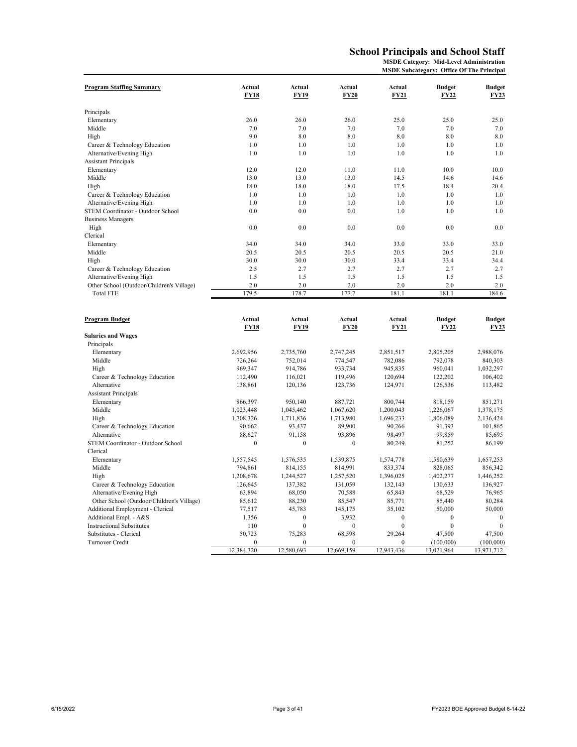## **School Principals and School Staff**

**MSDE Category: Mid-Level Administration**

| <b>MSDE Subcategory: Office Of The Principal</b> |  |  |  |
|--------------------------------------------------|--|--|--|
|--------------------------------------------------|--|--|--|

|                                           |                  |                       |                       |                       | MSDE Subcategory: Office Of The Principal |                              |
|-------------------------------------------|------------------|-----------------------|-----------------------|-----------------------|-------------------------------------------|------------------------------|
| <b>Program Staffing Summary</b>           | Actual<br>FY18   | Actual<br><b>FY19</b> | Actual<br><b>FY20</b> | Actual<br><b>FY21</b> | <b>Budget</b><br><b>FY22</b>              | <b>Budget</b><br><b>FY23</b> |
| Principals                                |                  |                       |                       |                       |                                           |                              |
| Elementary                                | 26.0             | 26.0                  | 26.0                  | 25.0                  | 25.0                                      | 25.0                         |
| Middle                                    | 7.0              | 7.0                   | 7.0                   | 7.0                   | 7.0                                       | 7.0                          |
| High                                      | 9.0              | 8.0                   | 8.0                   | 8.0                   | 8.0                                       | 8.0                          |
| Career & Technology Education             | 1.0              | 1.0                   | 1.0                   | 1.0                   | 1.0                                       | 1.0                          |
| Alternative/Evening High                  | 1.0              | 1.0                   | 1.0                   | 1.0                   | 1.0                                       | 1.0                          |
| <b>Assistant Principals</b>               |                  |                       |                       |                       |                                           |                              |
| Elementary                                | 12.0             | 12.0                  | 11.0                  | 11.0                  | 10.0                                      | 10.0                         |
| Middle                                    | 13.0             | 13.0                  | 13.0                  | 14.5                  | 14.6                                      | 14.6                         |
| High                                      | 18.0             | 18.0                  | 18.0                  | 17.5                  | 18.4                                      | 20.4                         |
| Career & Technology Education             | 1.0              | 1.0                   | 1.0                   | 1.0                   | 1.0                                       | 1.0                          |
| Alternative/Evening High                  | 1.0              | 1.0                   | 1.0                   | 1.0                   | 1.0                                       | 1.0                          |
| STEM Coordinator - Outdoor School         | 0.0              | 0.0                   | 0.0                   | 1.0                   | 1.0                                       | 1.0                          |
| <b>Business Managers</b>                  |                  |                       |                       |                       |                                           |                              |
| High                                      | 0.0              | 0.0                   | 0.0                   | 0.0                   | 0.0                                       | 0.0                          |
| Clerical                                  |                  |                       |                       |                       |                                           |                              |
| Elementary                                | 34.0             | 34.0                  | 34.0                  | 33.0                  | 33.0                                      | 33.0                         |
| Middle                                    | 20.5             | 20.5                  | 20.5                  | 20.5                  | 20.5                                      | 21.0                         |
| High                                      | 30.0             | 30.0                  | 30.0                  | 33.4                  | 33.4                                      | 34.4                         |
| Career & Technology Education             | 2.5              | 2.7                   | 2.7                   | 2.7                   | 2.7                                       | 2.7                          |
| Alternative/Evening High                  | 1.5              | 1.5                   | 1.5                   | 1.5                   | 1.5                                       | 1.5                          |
| Other School (Outdoor/Children's Village) | 2.0              | 2.0                   | 2.0                   | 2.0                   | 2.0                                       | 2.0                          |
| <b>Total FTE</b>                          | 179.5            | 178.7                 | 177.7                 | 181.1                 | 181.1                                     | 184.6                        |
|                                           |                  |                       |                       |                       |                                           |                              |
| <b>Program Budget</b>                     | Actual           | Actual                | Actual                | Actual                | <b>Budget</b>                             | <b>Budget</b>                |
|                                           | FY18             | <b>FY19</b>           | FY20                  | <b>FY21</b>           | FY22                                      | <b>FY23</b>                  |
| <b>Salaries and Wages</b>                 |                  |                       |                       |                       |                                           |                              |
| Principals                                |                  |                       |                       |                       |                                           |                              |
| Elementary                                | 2,692,956        | 2,735,760             | 2,747,245             | 2,851,517             | 2,805,205                                 | 2,988,076                    |
| Middle                                    | 726,264          | 752,014               | 774,547               | 782,086               | 792,078                                   | 840,303                      |
| High                                      | 969,347          | 914,786               | 933,734               | 945,835               | 960,041                                   | 1,032,297                    |
| Career & Technology Education             | 112,490          | 116,021               | 119,496               | 120,694               | 122,202                                   | 106,402                      |
| Alternative                               | 138,861          | 120,136               | 123,736               | 124,971               | 126,536                                   | 113,482                      |
| <b>Assistant Principals</b>               |                  |                       |                       |                       |                                           |                              |
| Elementary                                | 866,397          | 950,140               | 887,721               | 800,744               | 818,159                                   | 851,271                      |
| Middle                                    | 1,023,448        | 1,045,462             | 1,067,620             | 1,200,043             | 1,226,067                                 | 1,378,175                    |
| High                                      | 1,708,326        | 1,711,836             | 1,713,980             | 1,696,233             | 1,806,089                                 | 2,136,424                    |
| Career & Technology Education             | 90,662           | 93,437                | 89,900                | 90,266                | 91,393                                    | 101,865                      |
| Alternative                               | 88,627           | 91,158                | 93,896                | 98,497                | 99,859                                    | 85,695                       |
| STEM Coordinator - Outdoor School         | $\boldsymbol{0}$ | $\boldsymbol{0}$      | $\boldsymbol{0}$      | 80,249                | 81,252                                    | 86,199                       |
| Clerical                                  |                  |                       |                       |                       |                                           |                              |
| Elementary                                | 1,557,545        | 1,576,535             | 1,539,875             | 1,574,778             | 1,580,639                                 | 1,657,253                    |
| Middle                                    | 794,861          | 814,155               | 814,991               | 833,374               | 828,065                                   | 856,342                      |
| High                                      | 1,208,678        | 1,244,527             | 1,257,520             | 1,396,025             | 1,402,277                                 | 1,446,252                    |
| Career & Technology Education             | 126,645          | 137,382               | 131,059               | 132,143               | 130,633                                   | 136,927                      |
| Alternative/Evening High                  | 63,894           | 68,050                | 70,588                | 65,843                | 68,529                                    | 76,965                       |
| Other School (Outdoor/Children's Village) | 85,612           | 88,230                | 85,547                | 85,771                | 85,440                                    | 80,284                       |
| Additional Employment - Clerical          | 77,517           | 45,783                | 145,175               | 35,102                | 50,000                                    | 50,000                       |
| Additional Empl. - A&S                    | 1,356            | $\mathbf{0}$          | 3,932                 | $\mathbf{0}$          | $\mathbf{0}$                              | $\mathbf{0}$                 |
| <b>Instructional Substitutes</b>          | 110              | $\mathbf{0}$          | $\overline{0}$        | $\mathbf{0}$          | $\mathbf{0}$                              | $\mathbf{0}$                 |
| Substitutes - Clerical                    | 50,723           | 75,283                | 68,598                | 29,264                | 47,500                                    | 47,500                       |
| Turnover Credit                           | $\mathbf{0}$     | $\overline{0}$        | $\mathbf{0}$          | $\mathbf{0}$          | (100,000)                                 | (100,000)                    |
|                                           | 12,384,320       | 12,580,693            | 12,669,159            | 12,943,436            | 13,021,964                                | 13,971,712                   |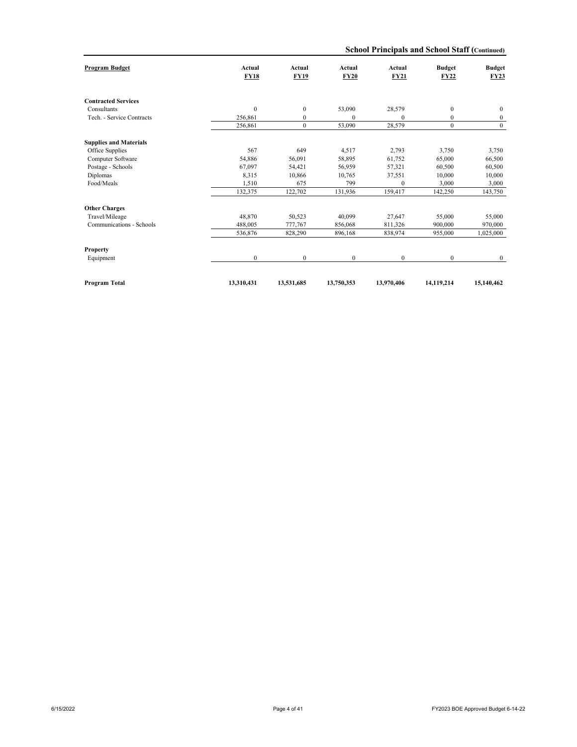|  | School Principals and School Staff (Continued) |  |  |  |  |
|--|------------------------------------------------|--|--|--|--|
|--|------------------------------------------------|--|--|--|--|

| <b>Program Budget</b>         | Actual<br><b>FY18</b> | Actual<br><b>FY19</b> | Actual<br><b>FY20</b> | Actual<br><b>FY21</b> | <b>Budget</b><br><b>FY22</b> | <b>Budget</b><br>FY23 |
|-------------------------------|-----------------------|-----------------------|-----------------------|-----------------------|------------------------------|-----------------------|
|                               |                       |                       |                       |                       |                              |                       |
| <b>Contracted Services</b>    |                       |                       |                       |                       |                              |                       |
| Consultants                   | $\mathbf{0}$          | $\mathbf{0}$          | 53,090                | 28,579                | $\mathbf{0}$                 | $\mathbf{0}$          |
| Tech. - Service Contracts     | 256,861               | $\mathbf{0}$          | $\Omega$              | $\mathbf{0}$          | $\mathbf{0}$                 | $\bf{0}$              |
|                               | 256,861               | $\mathbf{0}$          | 53,090                | 28,579                | $\mathbf{0}$                 | $\mathbf{0}$          |
| <b>Supplies and Materials</b> |                       |                       |                       |                       |                              |                       |
| Office Supplies               | 567                   | 649                   | 4,517                 | 2,793                 | 3,750                        | 3,750                 |
| Computer Software             | 54,886                | 56,091                | 58,895                | 61,752                | 65,000                       | 66,500                |
| Postage - Schools             | 67,097                | 54,421                | 56,959                | 57,321                | 60,500                       | 60,500                |
| Diplomas                      | 8,315                 | 10.866                | 10.765                | 37,551                | 10.000                       | 10,000                |
| Food/Meals                    | 1,510                 | 675                   | 799                   | $\mathbf{0}$          | 3.000                        | 3,000                 |
|                               | 132,375               | 122,702               | 131,936               | 159,417               | 142,250                      | 143,750               |
| <b>Other Charges</b>          |                       |                       |                       |                       |                              |                       |
| Travel/Mileage                | 48,870                | 50,523                | 40,099                | 27,647                | 55,000                       | 55,000                |
| Communications - Schools      | 488,005               | 777,767               | 856,068               | 811,326               | 900,000                      | 970,000               |
|                               | 536,876               | 828,290               | 896,168               | 838,974               | 955,000                      | 1,025,000             |
| Property                      |                       |                       |                       |                       |                              |                       |
| Equipment                     | $\mathbf{0}$          | $\mathbf{0}$          | $\mathbf{0}$          | $\mathbf{0}$          | $\mathbf{0}$                 | $\mathbf{0}$          |
|                               |                       |                       |                       |                       |                              |                       |
| Program Total                 | 13,310,431            | 13,531,685            | 13,750,353            | 13,970,406            | 14,119,214                   | 15,140,462            |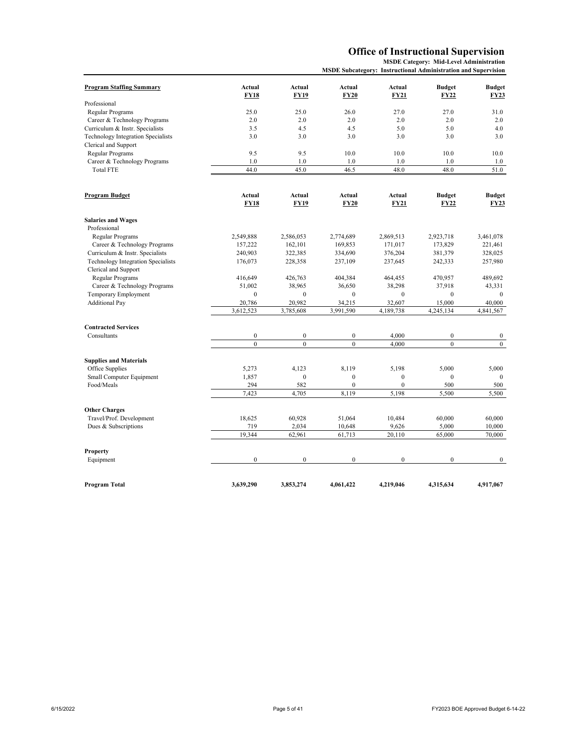## **Office of Instructional Supervision**

**MSDE Category: Mid-Level Administration MSDE Subcategory: Instructional Administration and Supervision**

| <b>Program Staffing Summary</b>    | Actual                | Actual                | Actual                | Actual           | <b>Budget</b>         | <b>Budget</b>         |
|------------------------------------|-----------------------|-----------------------|-----------------------|------------------|-----------------------|-----------------------|
|                                    | <b>FY18</b>           | <b>FY19</b>           | <b>FY20</b>           | <b>FY21</b>      | <b>FY22</b>           | <b>FY23</b>           |
| Professional                       |                       |                       |                       |                  |                       |                       |
| Regular Programs                   | 25.0                  | 25.0                  | 26.0                  | 27.0             | 27.0                  | 31.0                  |
| Career & Technology Programs       | 2.0                   | 2.0                   | 2.0                   | 2.0              | 2.0                   | 2.0                   |
| Curriculum & Instr. Specialists    | 3.5                   | 4.5                   | 4.5                   | 5.0              | 5.0                   | 4.0                   |
| Technology Integration Specialists | 3.0                   | 3.0                   | 3.0                   | 3.0              | 3.0                   | 3.0                   |
| Clerical and Support               |                       |                       |                       |                  |                       |                       |
| Regular Programs                   | 9.5                   | 9.5                   | 10.0                  | 10.0             | 10.0                  | 10.0                  |
| Career & Technology Programs       | 1.0                   | 1.0                   | 1.0                   | 1.0              | 1.0                   | 1.0                   |
| <b>Total FTE</b>                   | 44.0                  | 45.0                  | 46.5                  | 48.0             | 48.0                  | 51.0                  |
| Program Budget                     | Actual<br><b>FY18</b> | Actual<br><b>FY19</b> | Actual<br><b>FY20</b> | Actual<br>FY21   | <b>Budget</b><br>FY22 | Budget<br><b>FY23</b> |
|                                    |                       |                       |                       |                  |                       |                       |
| <b>Salaries and Wages</b>          |                       |                       |                       |                  |                       |                       |
| Professional                       |                       |                       |                       |                  |                       |                       |
| Regular Programs                   | 2,549,888             | 2,586,053             | 2,774,689             | 2,869,513        | 2,923,718             | 3,461,078             |
| Career & Technology Programs       | 157,222               | 162,101               | 169,853               | 171,017          | 173,829               | 221,461               |
| Curriculum & Instr. Specialists    | 240,903               | 322,385               | 334,690               | 376,204          | 381,379               | 328,025               |
| Technology Integration Specialists | 176,073               | 228,358               | 237,109               | 237,645          | 242,333               | 257,980               |
| Clerical and Support               |                       |                       |                       |                  |                       |                       |
| Regular Programs                   | 416,649               | 426,763               | 404,384               | 464,455          | 470,957               | 489,692               |
| Career & Technology Programs       | 51,002                | 38,965                | 36,650                | 38,298           | 37,918                | 43,331                |
| Temporary Employment               | $\boldsymbol{0}$      | $\boldsymbol{0}$      | $\boldsymbol{0}$      | $\boldsymbol{0}$ | $\mathbf{0}$          | $\mathbf{0}$          |
| <b>Additional Pay</b>              | 20,786                | 20,982                | 34,215                | 32,607           | 15,000                | 40,000                |
|                                    | 3,612,523             | 3,785,608             | 3,991,590             | 4,189,738        | 4,245,134             | 4,841,567             |
| <b>Contracted Services</b>         |                       |                       |                       |                  |                       |                       |
| Consultants                        | $\boldsymbol{0}$      | $\boldsymbol{0}$      | $\boldsymbol{0}$      | 4,000            | $\mathbf{0}$          | $\bf{0}$              |
|                                    | $\mathbf{0}$          | $\mathbf{0}$          | $\overline{0}$        | 4.000            | $\overline{0}$        | $\mathbf{0}$          |
| <b>Supplies and Materials</b>      |                       |                       |                       |                  |                       |                       |
| Office Supplies                    | 5,273                 | 4.123                 | 8,119                 | 5.198            | 5.000                 | 5,000                 |
| Small Computer Equipment           | 1,857                 | $\mathbf{0}$          | $\boldsymbol{0}$      | $\mathbf{0}$     | $\mathbf{0}$          | $\mathbf{0}$          |
| Food/Meals                         | 294                   | 582                   | $\overline{0}$        | $\mathbf{0}$     | 500                   | 500                   |
|                                    | 7,423                 | 4,705                 | 8,119                 | 5,198            | 5,500                 | 5,500                 |
| <b>Other Charges</b>               |                       |                       |                       |                  |                       |                       |
| Travel/Prof. Development           | 18,625                | 60.928                | 51.064                | 10,484           | 60,000                | 60,000                |
| Dues & Subscriptions               | 719                   | 2,034                 | 10,648                | 9,626            | 5,000                 | 10,000                |
|                                    | 19,344                | 62,961                | 61,713                | 20,110           | 65,000                | 70,000                |
| Property                           |                       |                       |                       |                  |                       |                       |
| Equipment                          | $\boldsymbol{0}$      | $\mathbf{0}$          | $\boldsymbol{0}$      | $\boldsymbol{0}$ | $\mathbf{0}$          | $\boldsymbol{0}$      |
|                                    |                       |                       |                       |                  |                       |                       |
| Program Total                      | 3,639,290             | 3,853,274             | 4,061,422             | 4,219,046        | 4,315,634             | 4,917,067             |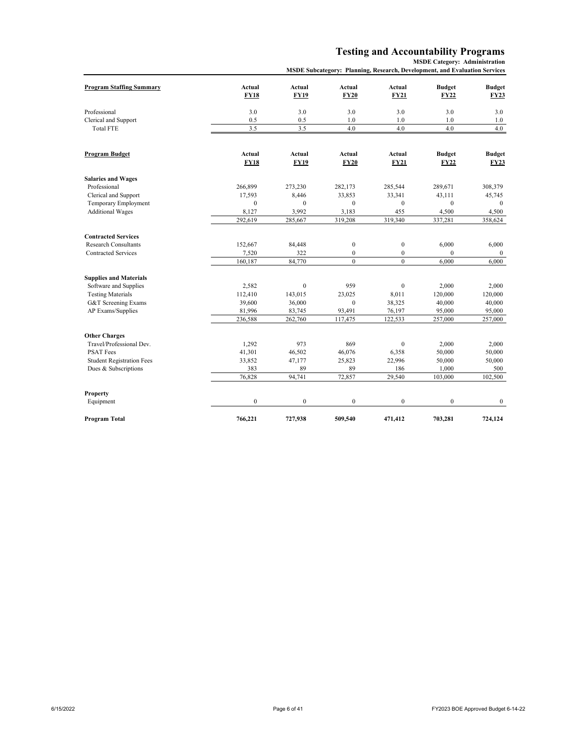#### **Testing and Accountability Programs**

| <b>MSDE Subcategory: Planning, Research, Development, and Evaluation Services</b> |  |
|-----------------------------------------------------------------------------------|--|
|                                                                                   |  |

| <b>Program Staffing Summary</b>  | Actual<br><b>FY18</b> | <b>Actual</b><br><b>FY19</b> | Actual<br><b>FY20</b> | <b>Actual</b><br><b>FY21</b> | <b>Budget</b><br><b>FY22</b> | <b>Budget</b><br><b>FY23</b> |
|----------------------------------|-----------------------|------------------------------|-----------------------|------------------------------|------------------------------|------------------------------|
|                                  |                       |                              |                       |                              |                              |                              |
| Professional                     | 3.0                   | 3.0                          | 3.0                   | 3.0                          | 3.0                          | 3.0                          |
| Clerical and Support             | 0.5                   | 0.5                          | 1.0                   | 1.0                          | 1.0                          | 1.0                          |
| <b>Total FTE</b>                 | 3.5                   | 3.5                          | 4.0                   | 4.0                          | 4.0                          | 4.0                          |
|                                  |                       |                              |                       |                              |                              |                              |
| <b>Program Budget</b>            | Actual                | Actual                       | Actual                | Actual                       | <b>Budget</b>                | <b>Budget</b>                |
|                                  | <b>FY18</b>           | <b>FY19</b>                  | <b>FY20</b>           | <b>FY21</b>                  | <b>FY22</b>                  | <b>FY23</b>                  |
| <b>Salaries and Wages</b>        |                       |                              |                       |                              |                              |                              |
| Professional                     | 266,899               | 273,230                      | 282,173               | 285,544                      | 289,671                      | 308,379                      |
| Clerical and Support             | 17,593                | 8,446                        | 33,853                | 33,341                       | 43,111                       | 45,745                       |
| Temporary Employment             | $\boldsymbol{0}$      | $\mathbf{0}$                 | $\boldsymbol{0}$      | $\boldsymbol{0}$             | $\mathbf{0}$                 | $\mathbf{0}$                 |
| <b>Additional Wages</b>          | 8,127                 | 3,992                        | 3,183                 | 455                          | 4,500                        | 4,500                        |
|                                  | 292,619               | 285,667                      | 319,208               | 319,340                      | 337,281                      | 358,624                      |
| <b>Contracted Services</b>       |                       |                              |                       |                              |                              |                              |
| <b>Research Consultants</b>      | 152,667               | 84,448                       | $\boldsymbol{0}$      | $\boldsymbol{0}$             | 6,000                        | 6,000                        |
| Contracted Services              | 7,520                 | 322                          | $\boldsymbol{0}$      | $\boldsymbol{0}$             | $\mathbf{0}$                 | $\mathbf{0}$                 |
|                                  | 160,187               | 84,770                       | $\overline{0}$        | $\mathbf{0}$                 | 6,000                        | 6,000                        |
| <b>Supplies and Materials</b>    |                       |                              |                       |                              |                              |                              |
| Software and Supplies            | 2,582                 | $\mathbf{0}$                 | 959                   | $\boldsymbol{0}$             | 2,000                        | 2,000                        |
| <b>Testing Materials</b>         | 112,410               | 143,015                      | 23,025                | 8,011                        | 120,000                      | 120,000                      |
| <b>G&amp;T</b> Screening Exams   | 39,600                | 36,000                       | $\mathbf{0}$          | 38,325                       | 40,000                       | 40,000                       |
| AP Exams/Supplies                | 81,996                | 83,745                       | 93,491                | 76,197                       | 95,000                       | 95,000                       |
|                                  | 236,588               | 262,760                      | 117,475               | 122,533                      | 257,000                      | 257,000                      |
| <b>Other Charges</b>             |                       |                              |                       |                              |                              |                              |
| Travel/Professional Dev.         | 1,292                 | 973                          | 869                   | $\boldsymbol{0}$             | 2,000                        | 2,000                        |
| <b>PSAT Fees</b>                 | 41,301                | 46,502                       | 46,076                | 6,358                        | 50,000                       | 50,000                       |
| <b>Student Registration Fees</b> | 33,852                | 47,177                       | 25,823                | 22,996                       | 50,000                       | 50,000                       |
| Dues & Subscriptions             | 383                   | 89                           | 89                    | 186                          | 1,000                        | 500                          |
|                                  | 76,828                | 94,741                       | 72,857                | 29,540                       | 103,000                      | 102,500                      |
| <b>Property</b>                  |                       |                              |                       |                              |                              |                              |
| Equipment                        | $\boldsymbol{0}$      | $\boldsymbol{0}$             | $\boldsymbol{0}$      | $\boldsymbol{0}$             | $\boldsymbol{0}$             | $\bf{0}$                     |
| <b>Program Total</b>             | 766,221               | 727,938                      | 509.540               | 471.412                      | 703.281                      | 724,124                      |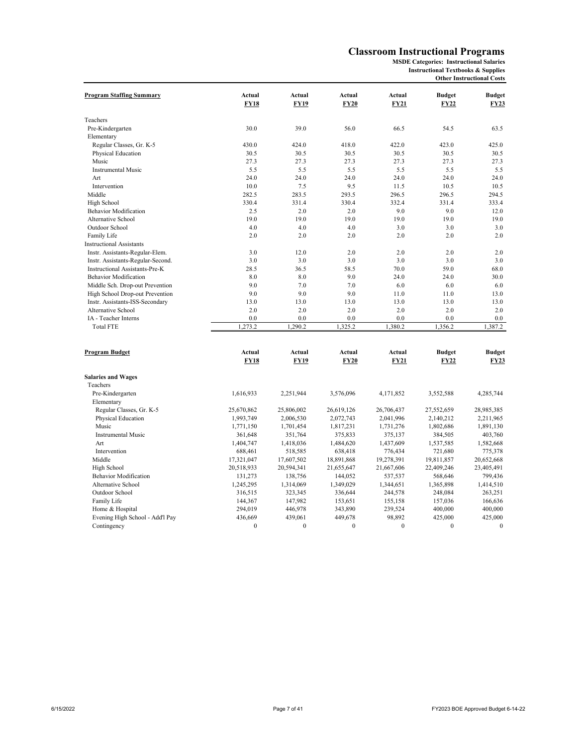#### **Classroom Instructional Programs**

**MSDE Categories: Instructional Salaries**

**Instructional Textbooks & Supplies Other Instructional Costs**

| <b>Program Staffing Summary</b>       | Actual      | Actual       | Actual      | Actual       | <b>Budget</b> | <b>Budget</b> |
|---------------------------------------|-------------|--------------|-------------|--------------|---------------|---------------|
|                                       | FY18        | <b>FY19</b>  | <b>FY20</b> | <b>FY21</b>  | <b>FY22</b>   | <b>FY23</b>   |
| Teachers                              |             |              |             |              |               |               |
| Pre-Kindergarten                      | 30.0        | 39.0         | 56.0        | 66.5         | 54.5          | 63.5          |
| Elementary                            |             |              |             |              |               |               |
| Regular Classes, Gr. K-5              | 430.0       | 424.0        | 418.0       | 422.0        | 423.0         | 425.0         |
| Physical Education                    | 30.5        | 30.5         | 30.5        | 30.5         | 30.5          | 30.5          |
| Music                                 | 27.3        | 27.3         | 27.3        | 27.3         | 27.3          | 27.3          |
| <b>Instrumental Music</b>             | 5.5         | 5.5          | 5.5         | 5.5          | 5.5           | 5.5           |
| Art                                   | 24.0        | 24.0         | 24.0        | 24.0         | 24.0          | 24.0          |
| Intervention                          | 10.0        | 7.5          | 9.5         | 11.5         | 10.5          | 10.5          |
| Middle                                | 282.5       | 283.5        | 293.5       | 296.5        | 296.5         | 294.5         |
| High School                           | 330.4       | 331.4        | 330.4       | 332.4        | 331.4         | 333.4         |
| <b>Behavior Modification</b>          | 2.5         | 2.0          | 2.0         | 9.0          | 9.0           | 12.0          |
| Alternative School                    | 19.0        | 19.0         | 19.0        | 19.0         | 19.0          | 19.0          |
| Outdoor School                        | 4.0         | 4.0          | 4.0         | 3.0          | 3.0           | 3.0           |
| Family Life                           | 2.0         | 2.0          | 2.0         | 2.0          | 2.0           | 2.0           |
| <b>Instructional Assistants</b>       |             |              |             |              |               |               |
| Instr. Assistants-Regular-Elem.       | 3.0         | 12.0         | 2.0         | 2.0          | 2.0           | 2.0           |
| Instr. Assistants-Regular-Second.     | 3.0         | 3.0          | 3.0         | 3.0          | 3.0           | 3.0           |
| Instructional Assistants-Pre-K        | 28.5        | 36.5         | 58.5        | 70.0         | 59.0          | 68.0          |
| <b>Behavior Modification</b>          | 8.0         | 8.0          | 9.0         | 24.0         | 24.0          | 30.0          |
| Middle Sch. Drop-out Prevention       | 9.0         | 7.0          | 7.0         | 6.0          | 6.0           | 6.0           |
| High School Drop-out Prevention       | 9.0         | 9.0          | 9.0         | 11.0         | 11.0          | 13.0          |
| Instr. Assistants-ISS-Secondary       | 13.0        | 13.0         | 13.0        | 13.0         | 13.0          | 13.0          |
| Alternative School                    | 2.0         | 2.0          | 2.0         | 2.0          | 2.0           | 2.0           |
| IA - Teacher Interns                  | 0.0         | 0.0          | 0.0         | 0.0          | 0.0           | 0.0           |
| <b>Total FTE</b>                      | 1,273.2     | 1,290.2      | 1,325.2     | 1,380.2      | 1,356.2       | 1,387.2       |
|                                       |             |              |             |              |               |               |
| <b>Program Budget</b>                 | Actual      | Actual       | Actual      | Actual       | <b>Budget</b> | <b>Budget</b> |
|                                       | <b>FY18</b> | <b>FY19</b>  | <b>FY20</b> | <b>FY21</b>  | FY22          | <b>FY23</b>   |
| <b>Salaries and Wages</b><br>Teachers |             |              |             |              |               |               |
| Pre-Kindergarten                      | 1,616,933   | 2,251,944    | 3,576,096   | 4,171,852    | 3,552,588     | 4,285,744     |
| Elementary                            |             |              |             |              |               |               |
| Regular Classes, Gr. K-5              | 25,670,862  | 25,806,002   | 26,619,126  | 26,706,437   | 27,552,659    | 28,985,385    |
| Physical Education                    | 1,993,749   | 2,006,530    | 2,072,743   | 2,041,996    | 2,140,212     | 2,211,965     |
| Music                                 | 1,771,150   | 1,701,454    | 1,817,231   | 1,731,276    | 1,802,686     | 1,891,130     |
| <b>Instrumental Music</b>             | 361,648     | 351,764      | 375,833     | 375,137      | 384,505       | 403,760       |
| Art                                   | 1,404,747   | 1,418,036    | 1,484,620   | 1,437,609    | 1,537,585     | 1,582,668     |
| Intervention                          | 688,461     | 518,585      | 638,418     | 776,434      | 721,680       | 775,378       |
| Middle                                | 17,321,047  | 17,607,502   | 18,891,868  | 19,278,391   | 19,811,857    | 20,652,668    |
| High School                           | 20,518,933  | 20,594,341   | 21,655,647  | 21,667,606   | 22,409,246    | 23,405,491    |
| <b>Behavior Modification</b>          | 131,273     | 138,756      | 144,052     | 537,537      | 568,646       | 799,436       |
| Alternative School                    | 1,245,295   | 1,314,069    | 1,349,029   | 1,344,651    | 1,365,898     | 1,414,510     |
| Outdoor School                        | 316,515     | 323,345      | 336,644     | 244,578      | 248,084       | 263,251       |
| Family Life                           | 144,367     | 147,982      | 153,651     | 155,158      | 157,036       | 166,636       |
| Home & Hospital                       | 294,019     | 446,978      | 343,890     | 239,524      | 400,000       | 400,000       |
| Evening High School - Add'l Pay       | 436,669     | 439,061      | 449,678     | 98,892       | 425,000       | 425,000       |
| Contingency                           | $\Omega$    | $\mathbf{0}$ | $\theta$    | $\mathbf{0}$ | $\mathbf{0}$  | $\mathbf{0}$  |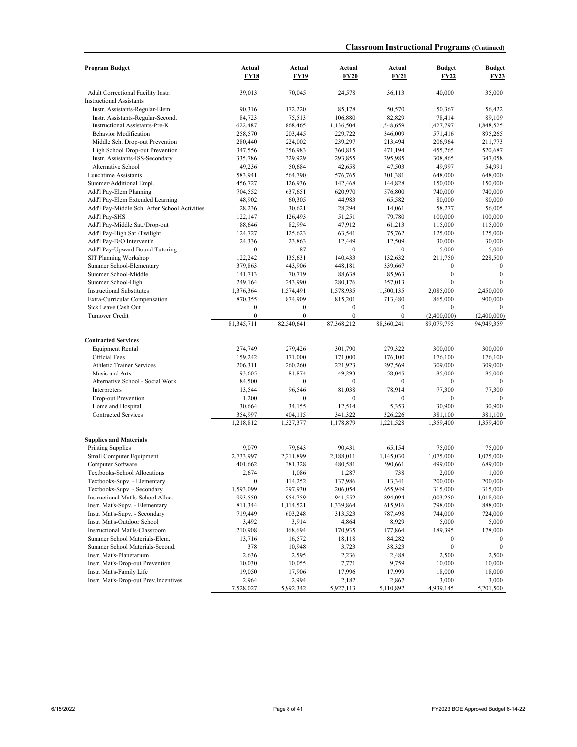| <b>Program Budget</b>                         | Actual           | Actual           | Actual           | Actual           | <b>Budget</b>    |                              |
|-----------------------------------------------|------------------|------------------|------------------|------------------|------------------|------------------------------|
|                                               | <b>FY18</b>      | <b>FY19</b>      | <b>FY20</b>      | <b>FY21</b>      | FY22             | <b>Budget</b><br><b>FY23</b> |
| Adult Correctional Facility Instr.            | 39,013           | 70,045           | 24,578           | 36,113           | 40,000           | 35,000                       |
| <b>Instructional Assistants</b>               |                  |                  |                  |                  |                  |                              |
| Instr. Assistants-Regular-Elem.               | 90,316           | 172,220          | 85,178           | 50,570           | 50,367           | 56,422                       |
| Instr. Assistants-Regular-Second.             | 84,723           | 75,513           | 106,880          | 82,829           | 78.414           | 89,109                       |
| Instructional Assistants-Pre-K                | 622,487          | 868,465          | 1,136,504        | 1,548,659        | 1,427,797        | 1,848,525                    |
| <b>Behavior Modification</b>                  | 258,570          | 203,445          | 229,722          | 346,009          | 571,416          | 895,265                      |
| Middle Sch. Drop-out Prevention               | 280,440          | 224,002          | 239,297          | 213,494          | 206,964          | 211,773                      |
| High School Drop-out Prevention               | 347,556          | 356,983          | 360,815          | 471,194          | 455,265          | 520,687                      |
| Instr. Assistants-ISS-Secondary               | 335,786          | 329,929          | 293,855          | 295,985          | 308,865          | 347,058                      |
| Alternative School                            | 49,236           | 50,684           | 42,658           | 47,503           | 49,997           | 54,991                       |
| Lunchtime Assistants                          | 583,941          | 564,790          | 576,765          | 301,381          | 648,000          | 648,000                      |
| Summer/Additional Empl.                       | 456,727          | 126,936          | 142,468          | 144,828          | 150,000          | 150,000                      |
| Add'l Pay-Elem Planning                       | 704,552          | 637,651          | 620,970          | 576,800          | 740,000          | 740,000                      |
| Add'l Pay-Elem Extended Learning              | 48,902           | 60,305           | 44,983           | 65,582           | 80,000           | 80,000                       |
| Add'l Pay-Middle Sch. After School Activities | 28,236           | 30,621           | 28,294           | 14,061           | 58,277           | 56,005                       |
| Add'l Pay-SHS                                 | 122,147          | 126,493          | 51,251           | 79,780           | 100,000          | 100,000                      |
| Add'l Pay-Middle Sat./Drop-out                | 88,646           | 82,994           | 47,912           | 61,213           | 115,000          | 115,000                      |
| Add'l Pay-High Sat./Twilight                  | 124,727          | 125,623          | 63,541           | 75,762           | 125,000          | 125,000                      |
| Add'l Pay-D/O Intervent'n                     | 24,336           | 23,863           | 12,449           | 12,509           | 30,000           | 30,000                       |
| Add'l Pay-Upward Bound Tutoring               | $\mathbf{0}$     | 87               | $\mathbf{0}$     | $\mathbf{0}$     | 5,000            | 5,000                        |
| SIT Planning Workshop                         | 122.242          | 135,631          | 140,433          | 132,632          | 211,750          | 228,500                      |
| Summer School-Elementary                      | 379,863          | 443,906          | 448,181          | 339,667          | $\mathbf{0}$     | $\mathbf{0}$                 |
| Summer School-Middle                          | 141.713          | 70,719           | 88,638           | 85,963           | $\boldsymbol{0}$ | $\mathbf{0}$                 |
| Summer School-High                            | 249,164          | 243,990          | 280,176          | 357,013          | $\mathbf{0}$     | $\theta$                     |
| <b>Instructional Substitutes</b>              | 1,376,364        | 1,574,491        | 1,578,935        | 1,500,135        | 2,085,000        | 2,450,000                    |
| Extra-Curricular Compensation                 | 870,355          | 874,909          | 815,201          | 713,480          | 865,000          | 900,000                      |
| Sick Leave Cash Out                           | $\boldsymbol{0}$ | $\boldsymbol{0}$ | $\boldsymbol{0}$ | $\boldsymbol{0}$ | $\mathbf{0}$     | $\mathbf{0}$                 |
| Turnover Credit                               | $\overline{0}$   | $\mathbf{0}$     | $\overline{0}$   | $\mathbf{0}$     | (2,400,000)      | (2,400,000)                  |
|                                               | 81,345,711       | 82,540,641       | 87,368,212       | 88,360,241       | 89,079,795       | 94,949,359                   |
| <b>Contracted Services</b>                    |                  |                  |                  |                  |                  |                              |
| <b>Equipment Rental</b>                       | 274,749          | 279,426          | 301,790          | 279,322          | 300,000          | 300,000                      |
| <b>Official Fees</b>                          | 159,242          | 171,000          | 171,000          | 176,100          | 176,100          | 176,100                      |
| <b>Athletic Trainer Services</b>              | 206,311          | 260,260          | 221,923          | 297,569          | 309,000          | 309,000                      |
| Music and Arts                                | 93,605           | 81,874           | 49,293           | 58,045           | 85,000           | 85,000                       |
| Alternative School - Social Work              | 84,500           | $\bf{0}$         | $\mathbf{0}$     | $\boldsymbol{0}$ | $\boldsymbol{0}$ | $\mathbf{0}$                 |
| Interpreters                                  | 13,544           | 96,546           | 81,038           | 78,914           | 77,300           | 77,300                       |
| Drop-out Prevention                           | 1,200            | $\mathbf{0}$     | $\mathbf{0}$     | $\mathbf{0}$     | $\mathbf{0}$     | $\mathbf{0}$                 |
| Home and Hospital                             | 30,664           | 34,155           | 12,514           | 5,353            | 30,900           | 30,900                       |
| <b>Contracted Services</b>                    | 354,997          | 404,115          | 341,322          | 326,226          | 381,100          | 381,100                      |
|                                               | 1,218,812        | 1,327,377        | 1,178,879        | 1,221,528        | 1,359,400        | 1,359,400                    |
|                                               |                  |                  |                  |                  |                  |                              |
| <b>Supplies and Materials</b>                 |                  |                  |                  |                  |                  |                              |
| <b>Printing Supplies</b>                      | 9,079            | 79.643           | 90,431           | 65,154           | 75,000           | 75,000                       |
| Small Computer Equipment                      | 2,733,997        | 2,211,899        | 2,188,011        | 1,145,030        | 1,075,000        | 1,075,000                    |
| Computer Software                             | 401.662          | 381,328          | 480,581          | 590,661          | 499,000          | 689,000                      |
| Textbooks-School Allocations                  | 2,674            | 1,086            | 1,287            | 738              | 2,000            | 1,000                        |
| Textbooks-Supv. - Elementary                  | $\boldsymbol{0}$ | 114,252          | 137,986          | 13,341           | 200,000          | 200,000                      |
| Textbooks-Supv. - Secondary                   | 1,593,099        | 297,930          | 206,054          | 655,949          | 315,000          | 315,000                      |
| Instructional Mat'ls-School Alloc.            | 993,550          | 954,759          | 941,552          | 894,094          | 1,003,250        | 1,018,000                    |
| Instr. Mat's-Supv. - Elementary               | 811,344          | 1,114,521        | 1,339,864        | 615,916          | 798,000          | 888,000                      |
| Instr. Mat's-Supv. - Secondary                | 719,449          | 603,248          | 313,523          | 787,498          | 744,000          | 724,000                      |
| Instr. Mat's-Outdoor School                   | 3,492            | 3,914            | 4,864            | 8,929            | 5,000            | 5,000                        |
| Instructional Mat'ls-Classroom                | 210,908          | 168,694          | 170,935          | 177,864          | 189,395          | 178,000                      |
| Summer School Materials-Elem.                 | 13,716           | 16,572           | 18,118           | 84,282           | $\boldsymbol{0}$ |                              |
| Summer School Materials-Second.               | 378              | 10,948           | 3,723            | 38,323           | $\boldsymbol{0}$ | $\mathbf{0}$                 |
| Instr. Mat's-Planetarium                      | 2,636            | 2,595            | 2,236            | 2,488            | 2,500            | 2,500                        |
| Instr. Mat's-Drop-out Prevention              | 10,030           | 10,055           | 7,771            | 9,759            | 10,000           | 10,000                       |
| Instr. Mat's-Family Life                      | 19,050           | 17,906           | 17,996           | 17,999           | 18,000           | 18,000                       |
| Instr. Mat's-Drop-out Prev.Incentives         | 2,964            | 2,994            | 2,182            | 2,867            | 3,000            | 3,000                        |
|                                               | 7,528,027        | 5,992,342        | 5,927,113        | 5,110,892        | 4,939,145        | 5,201,500                    |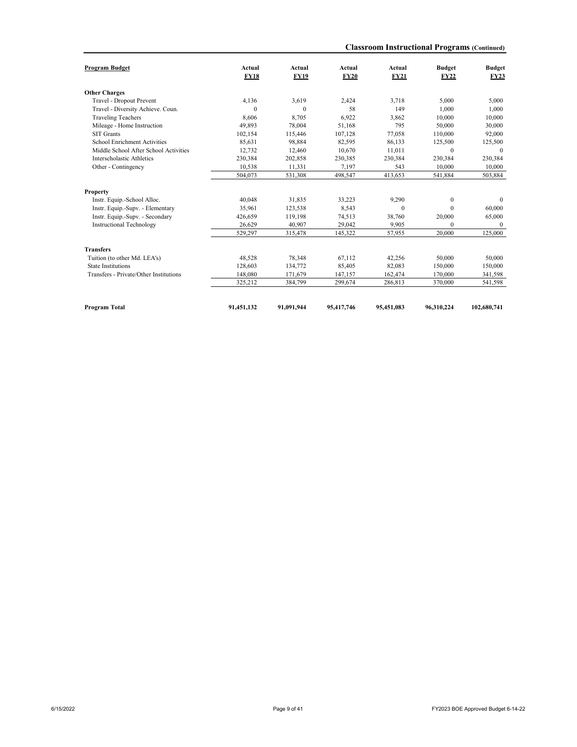| <b>Program Budget</b>                  | Actual<br><b>FY18</b> | Actual<br><b>FY19</b> | Actual<br><b>FY20</b> | Actual<br><b>FY21</b> | <b>Budget</b><br><b>FY22</b> | <b>Budget</b><br><b>FY23</b> |
|----------------------------------------|-----------------------|-----------------------|-----------------------|-----------------------|------------------------------|------------------------------|
|                                        |                       |                       |                       |                       |                              |                              |
| <b>Other Charges</b>                   |                       |                       |                       |                       |                              |                              |
| Travel - Dropout Prevent               | 4,136                 | 3.619                 | 2,424                 | 3,718                 | 5,000                        | 5,000                        |
| Travel - Diversity Achieve. Coun.      | $\mathbf{0}$          | $\theta$              | 58                    | 149                   | 1.000                        | 1,000                        |
| <b>Traveling Teachers</b>              | 8,606                 | 8.705                 | 6,922                 | 3,862                 | 10.000                       | 10,000                       |
| Mileage - Home Instruction             | 49,893                | 78,004                | 51,168                | 795                   | 50,000                       | 30,000                       |
| <b>SIT Grants</b>                      | 102,154               | 115,446               | 107,128               | 77,058                | 110,000                      | 92,000                       |
| School Enrichment Activities           | 85,631                | 98,884                | 82,595                | 86,133                | 125,500                      | 125,500                      |
| Middle School After School Activities  | 12,732                | 12,460                | 10.670                | 11,011                | $\theta$                     | $\theta$                     |
| Interscholastic Athletics              | 230,384               | 202,858               | 230,385               | 230,384               | 230,384                      | 230,384                      |
| Other - Contingency                    | 10,538                | 11.331                | 7.197                 | 543                   | 10.000                       | 10,000                       |
|                                        | 504,073               | 531,308               | 498,547               | 413,653               | 541,884                      | 503,884                      |
| <b>Property</b>                        |                       |                       |                       |                       |                              |                              |
| Instr. Equip.-School Alloc.            | 40,048                | 31.835                | 33,223                | 9,290                 | $\mathbf{0}$                 | $\mathbf{0}$                 |
| Instr. Equip.-Supv. - Elementary       | 35,961                | 123,538               | 8,543                 | $\mathbf{0}$          | $\theta$                     | 60,000                       |
| Instr. Equip.-Supv. - Secondary        | 426,659               | 119,198               | 74,513                | 38,760                | 20,000                       | 65,000                       |
| <b>Instructional Technology</b>        | 26.629                | 40.907                | 29,042                | 9.905                 | $\Omega$                     | $\theta$                     |
|                                        | 529,297               | 315,478               | 145,322               | 57,955                | 20,000                       | 125,000                      |
| <b>Transfers</b>                       |                       |                       |                       |                       |                              |                              |
| Tuition (to other Md. LEA's)           | 48,528                | 78,348                | 67,112                | 42,256                | 50,000                       | 50,000                       |
| <b>State Institutions</b>              | 128,603               | 134,772               | 85,405                | 82,083                | 150,000                      | 150,000                      |
| Transfers - Private/Other Institutions | 148,080               | 171,679               | 147,157               | 162,474               | 170,000                      | 341,598                      |
|                                        | 325,212               | 384,799               | 299,674               | 286,813               | 370,000                      | 541,598                      |
|                                        |                       |                       |                       |                       |                              |                              |
| <b>Program Total</b>                   | 91,451,132            | 91,091,944            | 95,417,746            | 95,451,083            | 96.310.224                   | 102,680,741                  |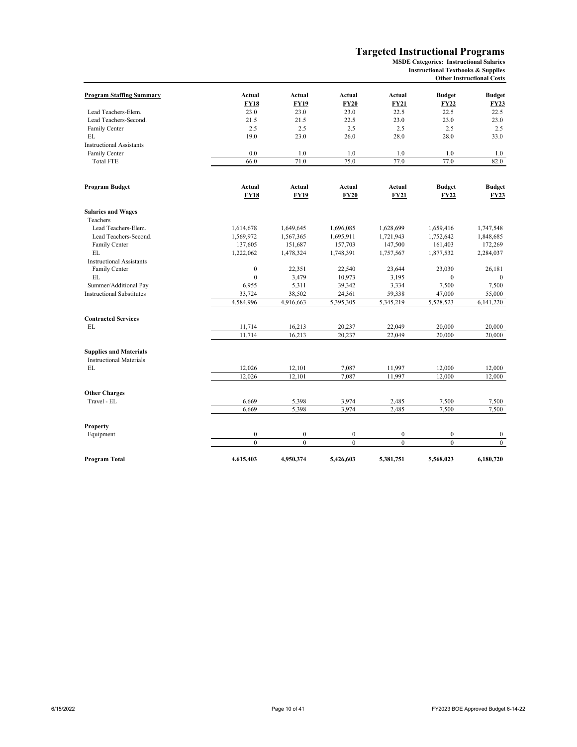#### **Targeted Instructional Programs**

**MSDE Categories: Instructional Salaries**

#### **Other Instructional Costs Instructional Textbooks & Supplies**

| <b>Program Staffing Summary</b>                                 | Actual                       | Actual                | Actual                | Actual                | <b>Budget</b>                | <b>Budget</b>                |
|-----------------------------------------------------------------|------------------------------|-----------------------|-----------------------|-----------------------|------------------------------|------------------------------|
|                                                                 | <b>FY18</b>                  | <b>FY19</b>           | <b>FY20</b>           | <b>FY21</b>           | <b>FY22</b>                  | <b>FY23</b>                  |
| Lead Teachers-Elem.                                             | 23.0                         | 23.0                  | 23.0                  | 22.5                  | 22.5                         | 22.5                         |
| Lead Teachers-Second.                                           | 21.5                         | 21.5                  | 22.5                  | 23.0                  | 23.0                         | 23.0                         |
| Family Center                                                   | 2.5                          | 2.5                   | 2.5                   | 2.5                   | 2.5                          | 2.5                          |
| EL                                                              | 19.0                         | 23.0                  | 26.0                  | 28.0                  | 28.0                         | 33.0                         |
| <b>Instructional Assistants</b>                                 |                              |                       |                       |                       |                              |                              |
| Family Center                                                   | 0.0                          | 1.0                   | 1.0                   | 1.0                   | 1.0                          | 1.0                          |
| <b>Total FTE</b>                                                | 66.0                         | 71.0                  | 75.0                  | 77.0                  | 77.0                         | 82.0                         |
|                                                                 |                              |                       |                       |                       |                              |                              |
| <b>Program Budget</b>                                           | <b>Actual</b><br><b>FY18</b> | Actual<br><b>FY19</b> | Actual<br><b>FY20</b> | Actual<br><b>FY21</b> | <b>Budget</b><br><b>FY22</b> | <b>Budget</b><br><b>FY23</b> |
| <b>Salaries and Wages</b>                                       |                              |                       |                       |                       |                              |                              |
| Teachers                                                        |                              |                       |                       |                       |                              |                              |
| Lead Teachers-Elem.                                             | 1,614,678                    | 1,649,645             | 1,696,085             | 1,628,699             | 1,659,416                    | 1,747,548                    |
| Lead Teachers-Second.                                           | 1,569,972                    | 1,567,365             | 1,695,911             | 1,721,943             | 1,752,642                    | 1,848,685                    |
| Family Center                                                   | 137,605                      | 151,687               | 157,703               | 147,500               | 161,403                      | 172,269                      |
| EL.                                                             | 1,222,062                    | 1,478,324             | 1,748,391             | 1,757,567             | 1,877,532                    | 2,284,037                    |
| <b>Instructional Assistants</b>                                 |                              |                       |                       |                       |                              |                              |
| Family Center                                                   | $\boldsymbol{0}$             | 22,351                | 22,540                | 23,644                | 23,030                       | 26,181                       |
| EL                                                              | $\mathbf{0}$                 | 3,479                 | 10,973                | 3,195                 | $\Omega$                     | $\mathbf{0}$                 |
| Summer/Additional Pay                                           | 6,955                        | 5,311                 | 39,342                | 3,334                 | 7,500                        | 7,500                        |
| <b>Instructional Substitutes</b>                                | 33,724                       | 38,502                | 24,361                | 59,338                | 47,000                       | 55,000                       |
|                                                                 | 4,584,996                    | 4,916,663             | 5,395,305             | 5,345,219             | 5,528,523                    | 6,141,220                    |
| <b>Contracted Services</b>                                      |                              |                       |                       |                       |                              |                              |
| EL                                                              | 11,714                       | 16,213                | 20,237                | 22,049                | 20,000                       | 20,000                       |
|                                                                 | 11,714                       | 16,213                | 20,237                | 22,049                | 20,000                       | 20,000                       |
| <b>Supplies and Materials</b><br><b>Instructional Materials</b> |                              |                       |                       |                       |                              |                              |
| EL                                                              | 12,026                       | 12,101                | 7,087                 | 11,997                | 12,000                       | 12,000                       |
|                                                                 | 12,026                       | 12,101                | 7,087                 | 11,997                | 12,000                       | 12,000                       |
|                                                                 |                              |                       |                       |                       |                              |                              |
| <b>Other Charges</b><br>Travel - EL                             |                              |                       |                       |                       |                              |                              |
|                                                                 | 6,669<br>6,669               | 5,398<br>5,398        | 3,974<br>3,974        | 2,485<br>2,485        | 7,500<br>7,500               | 7,500<br>7,500               |
|                                                                 |                              |                       |                       |                       |                              |                              |
| Property                                                        |                              |                       |                       |                       |                              |                              |
| Equipment                                                       | $\boldsymbol{0}$             | $\mathbf{0}$          | $\mathbf{0}$          | $\boldsymbol{0}$      | $\mathbf{0}$                 | $\bf{0}$                     |
|                                                                 | $\theta$                     | $\theta$              | $\overline{0}$        | $\theta$              | $\theta$                     | $\mathbf{0}$                 |
| Program Total                                                   | 4,615,403                    | 4,950,374             | 5.426.603             | 5,381,751             | 5,568,023                    | 6,180,720                    |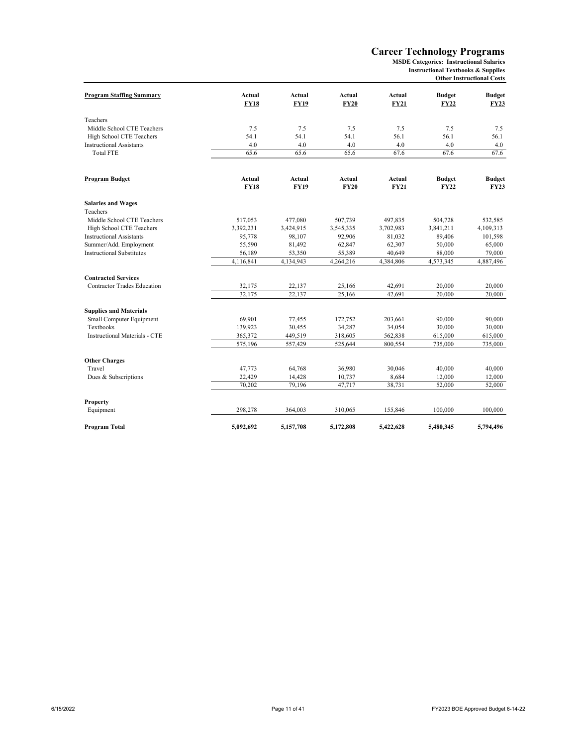## **Career Technology Programs**

**Instructional Textbooks & Supplies MSDE Categories: Instructional Salaries**

**Other Instructional Costs**

| <b>Program Staffing Summary</b>                           | Actual<br><b>FY18</b> | Actual<br><b>FY19</b> | Actual<br><b>FY20</b> | Actual<br><b>FY21</b> | <b>Budget</b><br><b>FY22</b> | <b>Budget</b><br><b>FY23</b> |
|-----------------------------------------------------------|-----------------------|-----------------------|-----------------------|-----------------------|------------------------------|------------------------------|
|                                                           |                       |                       |                       |                       |                              |                              |
| Teachers                                                  |                       |                       |                       |                       |                              |                              |
| Middle School CTE Teachers                                | 7.5                   | 7.5                   | 7.5                   | 7.5                   | 7.5                          | 7.5                          |
| High School CTE Teachers                                  | 54.1                  | 54.1                  | 54.1                  | 56.1                  | 56.1                         | 56.1                         |
| <b>Instructional Assistants</b>                           | 4.0                   | 4.0                   | 4.0                   | 4.0                   | 4.0                          | 4.0                          |
| <b>Total FTE</b>                                          | 65.6                  | 65.6                  | 65.6                  | 67.6                  | 67.6                         | 67.6                         |
|                                                           |                       |                       |                       |                       |                              |                              |
| <b>Program Budget</b>                                     | <b>Actual</b>         | <b>Actual</b>         | Actual                | Actual                | <b>Budget</b>                | <b>Budget</b>                |
|                                                           | <b>FY18</b>           | <b>FY19</b>           | <b>FY20</b>           | <b>FY21</b>           | <b>FY22</b>                  | <b>FY23</b>                  |
| <b>Salaries and Wages</b>                                 |                       |                       |                       |                       |                              |                              |
| Teachers                                                  |                       |                       |                       |                       |                              |                              |
| Middle School CTE Teachers                                | 517,053               | 477,080               | 507,739               | 497,835               | 504,728                      | 532,585                      |
| High School CTE Teachers                                  | 3,392,231             | 3,424,915             | 3,545,335             | 3,702,983             | 3,841,211                    | 4,109,313                    |
| <b>Instructional Assistants</b>                           | 95,778                | 98,107                | 92,906                | 81,032                | 89,406                       | 101,598                      |
| Summer/Add. Employment                                    | 55,590                | 81,492                | 62,847                | 62,307                | 50,000                       | 65,000                       |
| <b>Instructional Substitutes</b>                          | 56,189                | 53,350                | 55,389                | 40,649                | 88,000                       | 79,000                       |
|                                                           | 4,116,841             | 4,134,943             | 4,264,216             | 4,384,806             | 4,573,345                    | 4,887,496                    |
| <b>Contracted Services</b>                                |                       |                       |                       |                       |                              |                              |
| <b>Contractor Trades Education</b>                        | 32,175                | 22,137                | 25,166                | 42,691                | 20,000                       | 20,000                       |
|                                                           | 32,175                | 22,137                | 25,166                | 42,691                | 20,000                       | 20,000                       |
|                                                           |                       |                       |                       |                       |                              |                              |
| <b>Supplies and Materials</b><br>Small Computer Equipment | 69,901                | 77,455                | 172,752               | 203,661               | 90,000                       | 90,000                       |
| Textbooks                                                 | 139,923               | 30,455                | 34,287                | 34,054                | 30,000                       | 30,000                       |
| <b>Instructional Materials - CTE</b>                      | 365,372               | 449,519               | 318,605               | 562,838               | 615,000                      | 615,000                      |
|                                                           | 575,196               | 557,429               | 525,644               | 800,554               | 735,000                      | 735,000                      |
|                                                           |                       |                       |                       |                       |                              |                              |
| <b>Other Charges</b>                                      |                       |                       |                       |                       |                              |                              |
| Travel                                                    | 47,773                | 64,768                | 36,980                | 30,046                | 40,000                       | 40,000                       |
| Dues & Subscriptions                                      | 22,429                | 14,428                | 10,737                | 8,684                 | 12,000                       | 12,000                       |
|                                                           | 70,202                | 79,196                | 47,717                | 38,731                | 52,000                       | 52,000                       |
| Property                                                  |                       |                       |                       |                       |                              |                              |
| Equipment                                                 | 298,278               | 364,003               | 310,065               | 155,846               | 100,000                      | 100,000                      |
| Program Total                                             | 5,092,692             | 5,157,708             | 5,172,808             | 5,422,628             | 5,480,345                    | 5,794,496                    |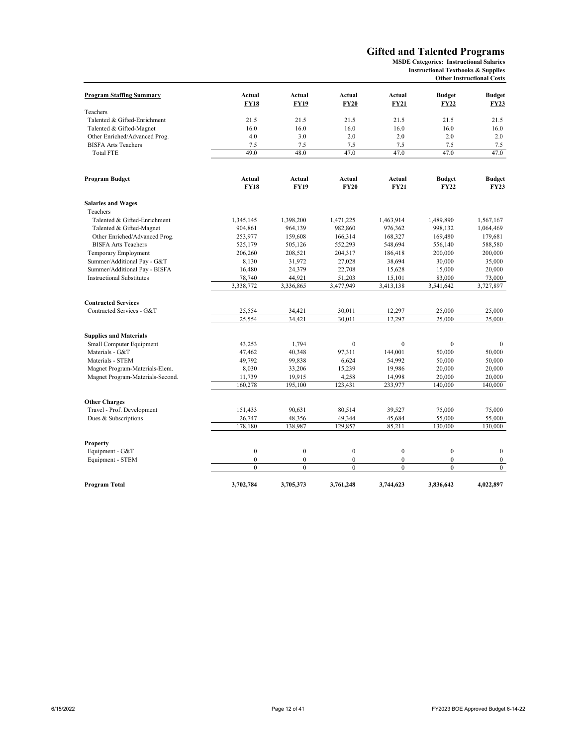#### **Gifted and Talented Programs**

**MSDE Categories: Instructional Salaries Instructional Textbooks & Supplies**

## **Other Instructional Costs**

| <b>Program Staffing Summary</b>  | Actual         | <b>Actual</b> | Actual         | Actual        | <b>Budget</b>                | <b>Budget</b>                |
|----------------------------------|----------------|---------------|----------------|---------------|------------------------------|------------------------------|
|                                  | <b>FY18</b>    | <b>FY19</b>   | <b>FY20</b>    | <b>FY21</b>   | FY22                         | <b>FY23</b>                  |
| Teachers                         |                |               |                |               |                              |                              |
| Talented & Gifted-Enrichment     | 21.5           | 21.5          | 21.5           | 21.5          | 21.5                         | 21.5                         |
| Talented & Gifted-Magnet         | 16.0           | 16.0          | 16.0           | 16.0          | 16.0                         | 16.0                         |
| Other Enriched/Advanced Prog.    | 4.0            | 3.0           | 2.0            | 2.0           | 2.0                          | 2.0                          |
| <b>BISFA Arts Teachers</b>       | 7.5            | 7.5           | 7.5            | 7.5           | 7.5                          | 7.5                          |
| <b>Total FTE</b>                 | 49.0           | 48.0          | 47.0           | 47.0          | 47.0                         | 47.0                         |
|                                  | Actual         | Actual        | Actual         | <b>Actual</b> |                              |                              |
| Program Budget                   | <b>FY18</b>    | <b>FY19</b>   | <b>FY20</b>    | <b>FY21</b>   | <b>Budget</b><br><b>FY22</b> | <b>Budget</b><br><b>FY23</b> |
| <b>Salaries and Wages</b>        |                |               |                |               |                              |                              |
| Teachers                         |                |               |                |               |                              |                              |
| Talented & Gifted-Enrichment     | 1,345,145      | 1,398,200     | 1,471,225      | 1,463,914     | 1,489,890                    | 1,567,167                    |
| Talented & Gifted-Magnet         | 904,861        | 964,139       | 982,860        | 976,362       | 998,132                      | 1,064,469                    |
| Other Enriched/Advanced Prog.    | 253,977        | 159,608       | 166,314        | 168,327       | 169,480                      | 179,681                      |
| <b>BISFA Arts Teachers</b>       | 525,179        | 505,126       | 552,293        | 548,694       | 556,140                      | 588,580                      |
| Temporary Employment             | 206,260        | 208,521       | 204,317        | 186,418       | 200,000                      | 200,000                      |
| Summer/Additional Pay - G&T      | 8,130          | 31,972        | 27,028         | 38,694        | 30,000                       | 35,000                       |
| Summer/Additional Pay - BISFA    | 16,480         | 24,379        | 22,708         | 15,628        | 15,000                       | 20,000                       |
| <b>Instructional Substitutes</b> | 78,740         | 44,921        | 51,203         | 15,101        | 83,000                       | 73,000                       |
|                                  | 3,338,772      | 3,336,865     | 3,477,949      | 3,413,138     | 3,541,642                    | 3,727,897                    |
| <b>Contracted Services</b>       |                |               |                |               |                              |                              |
| Contracted Services - G&T        | 25,554         | 34,421        | 30,011         | 12,297        | 25,000                       | 25,000                       |
|                                  | 25,554         | 34,421        | 30.011         | 12,297        | 25,000                       | 25,000                       |
| <b>Supplies and Materials</b>    |                |               |                |               |                              |                              |
| Small Computer Equipment         | 43,253         | 1,794         | $\mathbf{0}$   | $\mathbf{0}$  | $\mathbf{0}$                 | $\mathbf{0}$                 |
| Materials - G&T                  | 47,462         | 40,348        | 97,311         | 144,001       | 50,000                       | 50,000                       |
| Materials - STEM                 | 49,792         | 99,838        | 6,624          | 54,992        | 50,000                       | 50,000                       |
| Magnet Program-Materials-Elem.   | 8,030          | 33,206        | 15,239         | 19,986        | 20,000                       | 20,000                       |
| Magnet Program-Materials-Second. | 11,739         | 19,915        | 4,258          | 14,998        | 20,000                       | 20,000                       |
|                                  | 160,278        | 195,100       | 123,431        | 233,977       | 140,000                      | 140,000                      |
| <b>Other Charges</b>             |                |               |                |               |                              |                              |
| Travel - Prof. Development       | 151,433        | 90.631        | 80,514         | 39,527        | 75,000                       | 75,000                       |
| Dues & Subscriptions             | 26,747         | 48,356        | 49,344         | 45,684        | 55,000                       | 55,000                       |
|                                  | 178,180        | 138,987       | 129,857        | 85,211        | 130,000                      | 130,000                      |
| Property                         |                |               |                |               |                              |                              |
| Equipment - G&T                  | $\mathbf{0}$   | $\mathbf{0}$  | $\mathbf{0}$   | $\mathbf{0}$  | $\mathbf{0}$                 | $\mathbf{0}$                 |
| Equipment - STEM                 | $\overline{0}$ | $\mathbf{0}$  | $\overline{0}$ | $\mathbf{0}$  | $\mathbf{0}$                 | $\boldsymbol{0}$             |
|                                  | $\overline{0}$ | $\theta$      | $\theta$       | $\mathbf{0}$  | $\theta$                     | $\mathbf{0}$                 |
| Program Total                    | 3,702,784      | 3,705,373     | 3,761,248      | 3,744,623     | 3,836,642                    | 4,022,897                    |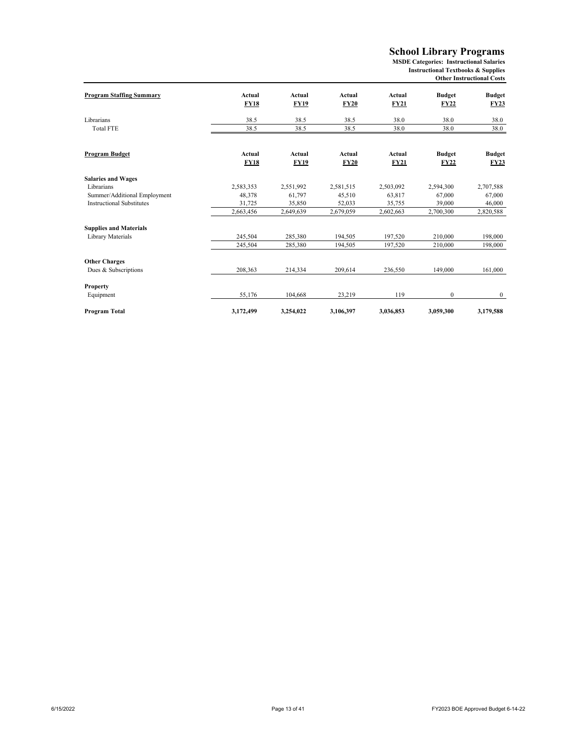## **School Library Programs**

**MSDE Categories: Instructional Salaries Instructional Textbooks & Supplies Other Instructional Costs**

| <b>Program Staffing Summary</b>  | Actual                | Actual                | Actual                | Actual                | <b>Budget</b>                | <b>Budget</b>                |
|----------------------------------|-----------------------|-----------------------|-----------------------|-----------------------|------------------------------|------------------------------|
|                                  | <b>FY18</b>           | <b>FY19</b>           | <b>FY20</b>           | <b>FY21</b>           | <b>FY22</b>                  | <b>FY23</b>                  |
| Librarians                       | 38.5                  | 38.5                  | 38.5                  | 38.0                  | 38.0                         | 38.0                         |
| <b>Total FTE</b>                 | 38.5                  | 38.5                  | 38.5                  | 38.0                  | 38.0                         | 38.0                         |
| Program Budget                   | Actual<br><b>FY18</b> | Actual<br><b>FY19</b> | Actual<br><b>FY20</b> | Actual<br><b>FY21</b> | <b>Budget</b><br><b>FY22</b> | <b>Budget</b><br><b>FY23</b> |
| <b>Salaries and Wages</b>        |                       |                       |                       |                       |                              |                              |
| Librarians                       | 2,583,353             | 2,551,992             | 2,581,515             | 2,503,092             | 2,594,300                    | 2,707,588                    |
| Summer/Additional Employment     | 48,378                | 61,797                | 45,510                | 63,817                | 67,000                       | 67,000                       |
| <b>Instructional Substitutes</b> | 31,725                | 35,850                | 52,033                | 35,755                | 39,000                       | 46,000                       |
|                                  | 2,663,456             | 2,649,639             | 2,679,059             | 2,602,663             | 2,700,300                    | 2,820,588                    |
| <b>Supplies and Materials</b>    |                       |                       |                       |                       |                              |                              |
| Library Materials                | 245,504               | 285,380               | 194.505               | 197,520               | 210,000                      | 198,000                      |
|                                  | 245,504               | 285,380               | 194,505               | 197,520               | 210,000                      | 198,000                      |
| <b>Other Charges</b>             |                       |                       |                       |                       |                              |                              |
| Dues & Subscriptions             | 208,363               | 214,334               | 209,614               | 236,550               | 149,000                      | 161,000                      |
| <b>Property</b>                  |                       |                       |                       |                       |                              |                              |
| Equipment                        | 55,176                | 104,668               | 23,219                | 119                   | $\mathbf{0}$                 | $\bf{0}$                     |
| Program Total                    | 3,172,499             | 3,254,022             | 3,106,397             | 3,036,853             | 3,059,300                    | 3,179,588                    |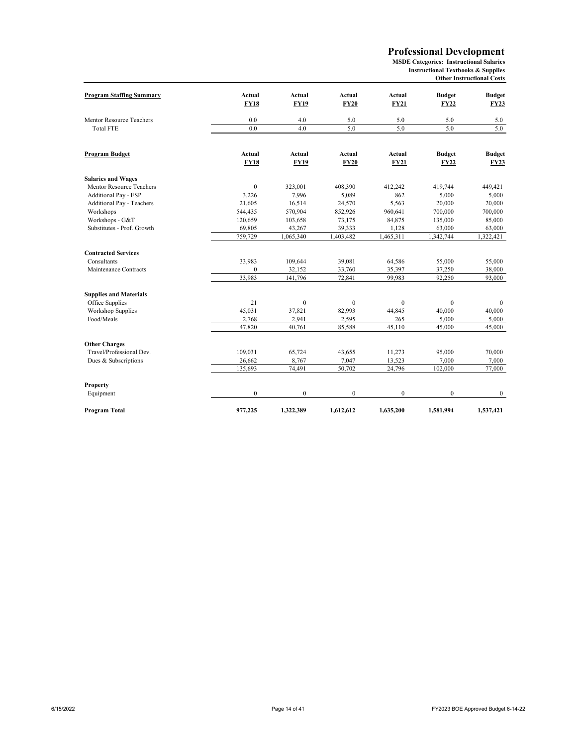#### **Professional Development**

**MSDE Categories: Instructional Salaries Instructional Textbooks & Supplies Other Instructional Costs**

| <b>Program Staffing Summary</b> | Actual<br><b>FY18</b> | Actual<br><b>FY19</b> | Actual<br><b>FY20</b> | Actual<br><b>FY21</b> | <b>Budget</b><br><b>FY22</b> | <b>Budget</b><br><b>FY23</b> |
|---------------------------------|-----------------------|-----------------------|-----------------------|-----------------------|------------------------------|------------------------------|
| Mentor Resource Teachers        | 0.0                   | 4.0                   | 5.0                   | 5.0                   | 5.0                          | 5.0                          |
| <b>Total FTE</b>                | 0.0                   | 4.0                   | 5.0                   | 5.0                   | 5.0                          | 5.0                          |
| Program Budget                  | Actual<br><b>FY18</b> | Actual<br><b>FY19</b> | Actual<br><b>FY20</b> | Actual<br><b>FY21</b> | <b>Budget</b><br><b>FY22</b> | <b>Budget</b><br><b>FY23</b> |
| <b>Salaries and Wages</b>       |                       |                       |                       |                       |                              |                              |
| Mentor Resource Teachers        | $\mathbf{0}$          | 323,001               | 408,390               | 412,242               | 419,744                      | 449,421                      |
| <b>Additional Pay - ESP</b>     | 3,226                 | 7.996                 | 5,089                 | 862                   | 5,000                        | 5,000                        |
| Additional Pay - Teachers       | 21,605                | 16,514                | 24,570                | 5,563                 | 20,000                       | 20,000                       |
| Workshops                       | 544,435               | 570,904               | 852,926               | 960,641               | 700,000                      | 700,000                      |
| Workshops - G&T                 | 120,659               | 103,658               | 73,175                | 84,875                | 135,000                      | 85,000                       |
| Substitutes - Prof. Growth      | 69,805                | 43,267                | 39,333                | 1,128                 | 63,000                       | 63,000                       |
|                                 | 759,729               | 1,065,340             | 1,403,482             | 1,465,311             | 1,342,744                    | 1,322,421                    |
| <b>Contracted Services</b>      |                       |                       |                       |                       |                              |                              |
| Consultants                     | 33,983                | 109,644               | 39,081                | 64,586                | 55,000                       | 55,000                       |
| Maintenance Contracts           | $\mathbf{0}$          | 32,152                | 33,760                | 35,397                | 37,250                       | 38,000                       |
|                                 | 33,983                | 141,796               | 72,841                | 99,983                | 92,250                       | 93,000                       |
| <b>Supplies and Materials</b>   |                       |                       |                       |                       |                              |                              |
| Office Supplies                 | 21                    | $\Omega$              | $\mathbf{0}$          | $\mathbf{0}$          | $\mathbf{0}$                 | $\mathbf{0}$                 |
| <b>Workshop Supplies</b>        | 45,031                | 37,821                | 82,993                | 44,845                | 40,000                       | 40,000                       |
| Food/Meals                      | 2,768                 | 2,941                 | 2,595                 | 265                   | 5,000                        | 5,000                        |
|                                 | 47,820                | 40,761                | 85,588                | 45,110                | 45,000                       | 45,000                       |
| <b>Other Charges</b>            |                       |                       |                       |                       |                              |                              |
| Travel/Professional Dev.        | 109,031               | 65,724                | 43,655                | 11,273                | 95,000                       | 70,000                       |
| Dues & Subscriptions            | 26,662                | 8,767                 | 7,047                 | 13,523                | 7,000                        | 7,000                        |
|                                 | 135,693               | 74,491                | 50,702                | 24,796                | 102,000                      | 77,000                       |
| Property                        |                       |                       |                       |                       |                              |                              |
| Equipment                       | $\boldsymbol{0}$      | $\mathbf{0}$          | $\mathbf{0}$          | $\boldsymbol{0}$      | $\mathbf{0}$                 | $\mathbf{0}$                 |
| Program Total                   | 977,225               | 1,322,389             | 1,612,612             | 1,635,200             | 1,581,994                    | 1,537,421                    |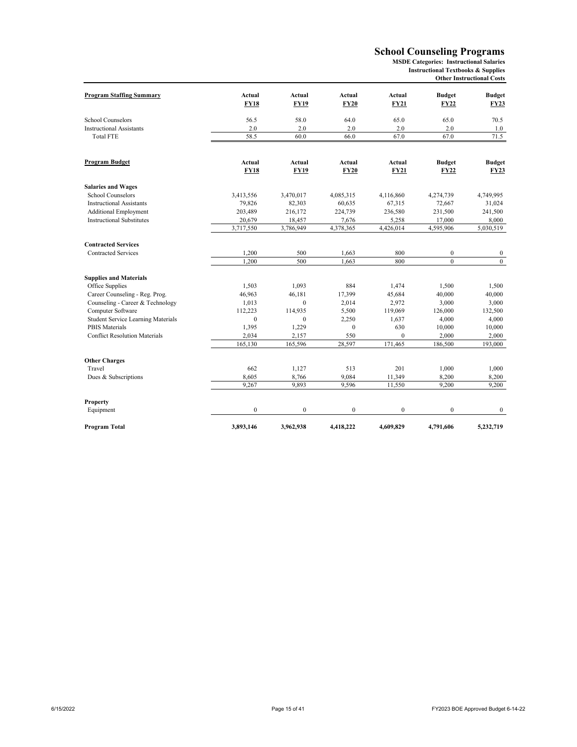#### **School Counseling Programs**

**MSDE Categories: Instructional Salaries Instructional Textbooks & Supplies**

**Other Instructional Costs**

| <b>Program Staffing Summary</b>           | <b>Actual</b> | Actual         | Actual           | <b>Actual</b>    | <b>Budget</b> | <b>Budget</b>  |
|-------------------------------------------|---------------|----------------|------------------|------------------|---------------|----------------|
|                                           | <b>FY18</b>   | <b>FY19</b>    | <b>FY20</b>      | <b>FY21</b>      | <b>FY22</b>   | <b>FY23</b>    |
| School Counselors                         | 56.5          | 58.0           | 64.0             | 65.0             | 65.0          | 70.5           |
| <b>Instructional Assistants</b>           | 2.0           | 2.0            | 2.0              | 2.0              | 2.0           | 1.0            |
| <b>Total FTE</b>                          | 58.5          | 60.0           | 66.0             | 67.0             | 67.0          | 71.5           |
| Program Budget                            | Actual        | Actual         | Actual           | Actual           | <b>Budget</b> | <b>Budget</b>  |
|                                           | <b>FY18</b>   | <b>FY19</b>    | <b>FY20</b>      | <b>FY21</b>      | <b>FY22</b>   | <b>FY23</b>    |
| <b>Salaries and Wages</b>                 |               |                |                  |                  |               |                |
| School Counselors                         | 3,413,556     | 3,470,017      | 4,085,315        | 4,116,860        | 4,274,739     | 4,749,995      |
| <b>Instructional Assistants</b>           | 79,826        | 82,303         | 60,635           | 67,315           | 72,667        | 31,024         |
| <b>Additional Employment</b>              | 203,489       | 216,172        | 224,739          | 236,580          | 231,500       | 241,500        |
| <b>Instructional Substitutes</b>          | 20,679        | 18,457         | 7,676            | 5,258            | 17,000        | 8,000          |
|                                           | 3,717,550     | 3,786,949      | 4,378,365        | 4,426,014        | 4,595,906     | 5,030,519      |
| <b>Contracted Services</b>                |               |                |                  |                  |               |                |
| <b>Contracted Services</b>                | 1,200         | 500            | 1,663            | 800              | $\mathbf{0}$  | $\bf{0}$       |
|                                           | 1,200         | 500            | 1,663            | 800              | $\mathbf{0}$  | $\overline{0}$ |
| <b>Supplies and Materials</b>             |               |                |                  |                  |               |                |
| Office Supplies                           | 1,503         | 1,093          | 884              | 1,474            | 1,500         | 1,500          |
| Career Counseling - Reg. Prog.            | 46,963        | 46,181         | 17,399           | 45,684           | 40,000        | 40,000         |
| Counseling - Career & Technology          | 1,013         | $\Omega$       | 2,014            | 2,972            | 3,000         | 3,000          |
| Computer Software                         | 112,223       | 114,935        | 5,500            | 119,069          | 126,000       | 132,500        |
| <b>Student Service Learning Materials</b> | $\mathbf{0}$  | $\mathbf{0}$   | 2,250            | 1,637            | 4,000         | 4,000          |
| <b>PBIS Materials</b>                     | 1,395         | 1,229          | $\boldsymbol{0}$ | 630              | 10,000        | 10,000         |
| <b>Conflict Resolution Materials</b>      | 2,034         | 2,157          | 550              | $\mathbf{0}$     | 2,000         | 2,000          |
|                                           | 165,130       | 165,596        | 28,597           | 171,465          | 186,500       | 193,000        |
| <b>Other Charges</b>                      |               |                |                  |                  |               |                |
| Travel                                    | 662           | 1,127          | 513              | 201              | 1.000         | 1,000          |
| Dues & Subscriptions                      | 8,605         | 8,766          | 9,084            | 11,349           | 8,200         | 8,200          |
|                                           | 9,267         | 9,893          | 9,596            | 11,550           | 9,200         | 9,200          |
|                                           |               |                |                  |                  |               |                |
| Property<br>Equipment                     | $\mathbf{0}$  | $\overline{0}$ | $\mathbf{0}$     | $\boldsymbol{0}$ | $\mathbf{0}$  | $\mathbf{0}$   |
| Program Total                             | 3,893,146     | 3,962,938      | 4,418,222        | 4,609,829        | 4,791,606     | 5,232,719      |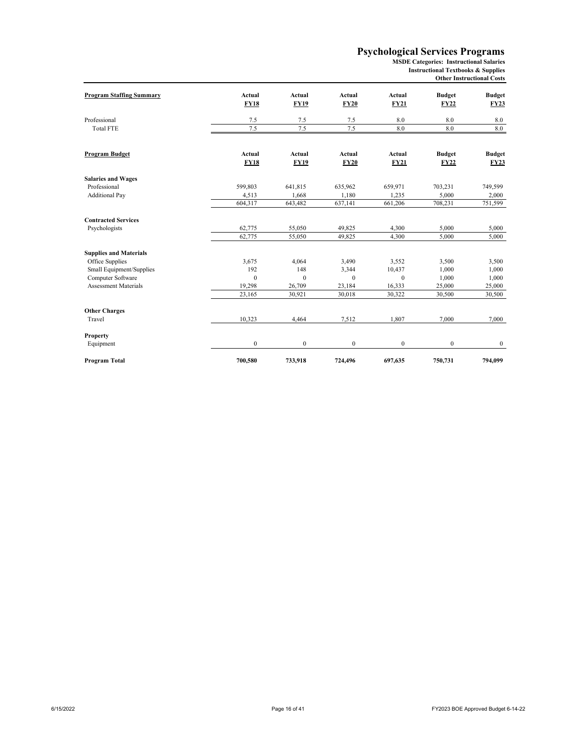#### **Psychological Services Programs**

**MSDE Categories: Instructional Salaries**

**Instructional Textbooks & Supplies Other Instructional Costs**

| <b>Program Staffing Summary</b> | <b>Actual</b><br><b>FY18</b> | Actual<br><b>FY19</b> | Actual<br><b>FY20</b> | Actual<br><b>FY21</b> | <b>Budget</b><br><b>FY22</b> | <b>Budget</b><br>FY23 |
|---------------------------------|------------------------------|-----------------------|-----------------------|-----------------------|------------------------------|-----------------------|
| Professional                    | 7.5                          | 7.5                   | 7.5                   | 8.0                   | 8.0                          | 8.0                   |
| <b>Total FTE</b>                | 7.5                          | 7.5                   | 7.5                   | 8.0                   | 8.0                          | 8.0                   |
| Program Budget                  | <b>Actual</b>                | Actual                | Actual                | Actual                | <b>Budget</b>                | <b>Budget</b>         |
|                                 | <b>FY18</b>                  | <b>FY19</b>           | <b>FY20</b>           | <b>FY21</b>           | <b>FY22</b>                  | <b>FY23</b>           |
| <b>Salaries and Wages</b>       |                              |                       |                       |                       |                              |                       |
| Professional                    | 599,803                      | 641,815               | 635,962               | 659,971               | 703,231                      | 749,599               |
| <b>Additional Pay</b>           | 4,513                        | 1,668                 | 1,180                 | 1,235                 | 5,000                        | 2,000                 |
|                                 | 604,317                      | 643,482               | 637,141               | 661,206               | 708,231                      | 751,599               |
| <b>Contracted Services</b>      |                              |                       |                       |                       |                              |                       |
| Psychologists                   | 62,775                       | 55,050                | 49,825                | 4,300                 | 5,000                        | 5,000                 |
|                                 | 62,775                       | 55,050                | 49,825                | 4,300                 | 5,000                        | 5,000                 |
| <b>Supplies and Materials</b>   |                              |                       |                       |                       |                              |                       |
| Office Supplies                 | 3,675                        | 4,064                 | 3,490                 | 3,552                 | 3,500                        | 3,500                 |
| Small Equipment/Supplies        | 192                          | 148                   | 3,344                 | 10,437                | 1,000                        | 1,000                 |
| Computer Software               | $\mathbf{0}$                 | $\theta$              | $\mathbf{0}$          | $\mathbf{0}$          | 1.000                        | 1,000                 |
| <b>Assessment Materials</b>     | 19,298                       | 26,709                | 23,184                | 16,333                | 25,000                       | 25,000                |
|                                 | 23,165                       | 30,921                | 30,018                | 30,322                | 30,500                       | 30,500                |
| <b>Other Charges</b>            |                              |                       |                       |                       |                              |                       |
| Travel                          | 10,323                       | 4,464                 | 7,512                 | 1,807                 | 7,000                        | 7,000                 |
| Property                        |                              |                       |                       |                       |                              |                       |
| Equipment                       | $\boldsymbol{0}$             | $\bf{0}$              | $\mathbf{0}$          | $\boldsymbol{0}$      | $\mathbf{0}$                 | $\boldsymbol{0}$      |
| Program Total                   | 700,580                      | 733,918               | 724,496               | 697,635               | 750,731                      | 794,099               |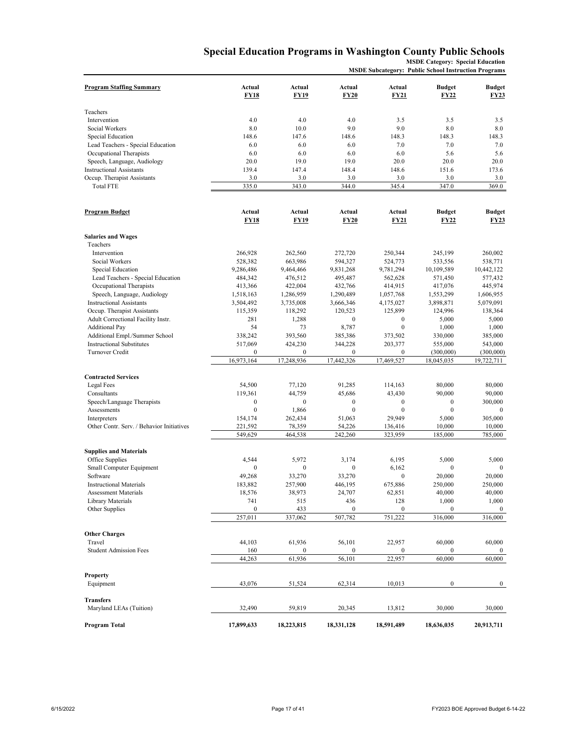#### **Special Education Programs in Washington County Public Schools MSDE Category: Special Education**

**MSDE Subcategory: Public School Instruction Programs**

| <b>Program Staffing Summary</b>                                    | Actual<br><b>FY18</b> | Actual<br><b>FY19</b>       | Actual<br><b>FY20</b>       | Actual<br>FY21              | <b>Budget</b><br><b>FY22</b> | <b>Budget</b><br><b>FY23</b> |
|--------------------------------------------------------------------|-----------------------|-----------------------------|-----------------------------|-----------------------------|------------------------------|------------------------------|
| Teachers                                                           |                       |                             |                             |                             |                              |                              |
| Intervention                                                       | 4.0                   | 4.0                         | 4.0                         | 3.5                         | 3.5                          | 3.5                          |
| Social Workers                                                     | 8.0                   | 10.0                        | 9.0                         | 9.0                         | 8.0                          | 8.0                          |
| Special Education                                                  | 148.6                 | 147.6                       | 148.6                       | 148.3                       | 148.3                        | 148.3                        |
| Lead Teachers - Special Education                                  | 6.0                   | 6.0                         | 6.0                         | 7.0                         | 7.0                          | 7.0                          |
| Occupational Therapists                                            | 6.0                   | 6.0                         | 6.0                         | 6.0                         | 5.6                          | 5.6                          |
| Speech, Language, Audiology                                        | 20.0                  | 19.0                        | 19.0                        | 20.0                        | 20.0                         | 20.0                         |
| <b>Instructional Assistants</b>                                    | 139.4                 | 147.4                       | 148.4                       | 148.6                       | 151.6                        | 173.6                        |
| Occup. Therapist Assistants                                        | 3.0                   | 3.0                         | 3.0                         | 3.0                         | 3.0                          | 3.0                          |
| <b>Total FTE</b>                                                   | 335.0                 | 343.0                       | 344.0                       | 345.4                       | 347.0                        | 369.0                        |
| Program Budget                                                     | Actual<br><b>FY18</b> | Actual<br><b>FY19</b>       | Actual<br><b>FY20</b>       | <b>Actual</b><br>FY21       | <b>Budget</b><br>FY22        | <b>Budget</b><br><b>FY23</b> |
|                                                                    |                       |                             |                             |                             |                              |                              |
| <b>Salaries and Wages</b><br>Teachers                              |                       |                             |                             |                             |                              |                              |
| Intervention                                                       | 266,928               | 262,560                     | 272,720                     | 250,344                     | 245,199                      | 260,002                      |
| Social Workers                                                     | 528,382               | 663,986                     | 594,327                     | 524,773                     | 533,556                      | 538,771                      |
| Special Education                                                  | 9,286,486             | 9,464,466                   | 9,831,268                   | 9,781,294                   | 10,109,589                   | 10,442,122                   |
| Lead Teachers - Special Education                                  | 484,342               | 476,512                     | 495,487                     | 562,628                     | 571,450                      | 577,432                      |
| Occupational Therapists                                            | 413,366               | 422,004                     | 432,766                     | 414,915                     | 417,076                      | 445,974                      |
| Speech, Language, Audiology                                        | 1,518,163             | 1,286,959                   | 1,290,489                   | 1,057,768                   | 1,553,299                    | 1,606,955                    |
| <b>Instructional Assistants</b>                                    | 3,504,492             | 3,735,008                   | 3,666,346                   | 4,175,027                   | 3,898,871                    | 5,079,091                    |
| Occup. Therapist Assistants                                        | 115,359               | 118,292                     | 120,523                     | 125,899                     | 124,996                      | 138,364                      |
| Adult Correctional Facility Instr.                                 | 281                   | 1,288                       | $\mathbf{0}$                | $\boldsymbol{0}$            | 5,000                        | 5,000                        |
| <b>Additional Pay</b>                                              | 54                    | 73                          | 8,787                       | $\boldsymbol{0}$            | 1,000                        | 1,000                        |
| Additional Empl./Summer School<br><b>Instructional Substitutes</b> | 338,242               | 393,560                     | 385,386                     | 373,502                     | 330,000                      | 385,000                      |
| Turnover Credit                                                    | 517,069<br>$\bf{0}$   | 424,230<br>$\boldsymbol{0}$ | 344,228<br>$\boldsymbol{0}$ | 203,377<br>$\boldsymbol{0}$ | 555,000<br>(300,000)         | 543,000<br>(300,000)         |
|                                                                    | 16,973,164            | 17,248,936                  | 17,442,326                  | 17,469,527                  | 18,045,035                   | 19,722,711                   |
|                                                                    |                       |                             |                             |                             |                              |                              |
| <b>Contracted Services</b>                                         |                       |                             |                             |                             |                              |                              |
| Legal Fees                                                         | 54,500                | 77,120                      | 91,285                      | 114,163                     | 80,000                       | 80,000                       |
| Consultants                                                        | 119,361               | 44,759                      | 45,686                      | 43,430                      | 90,000                       | 90,000                       |
| Speech/Language Therapists                                         | $\boldsymbol{0}$      | $\mathbf{0}$                | $\boldsymbol{0}$            | $\boldsymbol{0}$            | $\boldsymbol{0}$             | 300,000                      |
| Assessments                                                        | $\mathbf{0}$          | 1,866                       | $\mathbf{0}$                | $\mathbf{0}$                | $\mathbf{0}$                 | $\mathbf{0}$                 |
| Interpreters                                                       | 154,174               | 262,434                     | 51,063                      | 29,949                      | 5,000                        | 305,000                      |
| Other Contr. Serv. / Behavior Initiatives                          | 221,592               | 78,359                      | 54,226                      | 136,416                     | 10,000                       | 10,000                       |
|                                                                    | 549,629               | 464,538                     | 242,260                     | 323,959                     | 185,000                      | 785,000                      |
| <b>Supplies and Materials</b>                                      |                       |                             |                             |                             |                              |                              |
| Office Supplies                                                    | 4,544                 | 5,972                       | 3,174                       | 6,195                       | 5,000                        | 5,000                        |
| Small Computer Equipment                                           | $\mathbf{0}$          | $\boldsymbol{0}$            | $\mathbf{0}$                | 6,162                       | $\mathbf{0}$                 | $\mathbf{0}$                 |
| Software                                                           | 49,268                | 33,270                      | 33,270                      | $\mathbf{0}$                | 20,000                       | 20,000                       |
| <b>Instructional Materials</b>                                     | 183,882               | 257,900                     | 446,195                     | 675,886                     | 250,000                      | 250,000                      |
| <b>Assessment Materials</b>                                        | 18,576                | 38,973                      | 24,707                      | 62,851                      | 40,000                       | 40,000                       |
| Library Materials                                                  | 741                   | 515                         | 436                         | 128                         | 1,000                        | 1,000                        |
| Other Supplies                                                     | 0<br>257,011          | 433<br>337,062              | $\boldsymbol{0}$<br>507,782 | $\boldsymbol{0}$<br>751,222 | $\boldsymbol{0}$<br>316,000  | $\bf{0}$<br>316,000          |
|                                                                    |                       |                             |                             |                             |                              |                              |
| <b>Other Charges</b>                                               |                       |                             |                             |                             |                              |                              |
| Travel                                                             | 44,103                | 61,936                      | 56,101                      | 22,957                      | 60,000                       | 60,000                       |
| <b>Student Admission Fees</b>                                      | 160                   | $\boldsymbol{0}$            | $\boldsymbol{0}$            | $\boldsymbol{0}$            | $\boldsymbol{0}$             | $\bf{0}$                     |
|                                                                    | 44,263                | 61,936                      | 56,101                      | 22,957                      | 60,000                       | 60,000                       |
| Property                                                           |                       |                             |                             |                             |                              |                              |
| Equipment                                                          | 43,076                | 51,524                      | 62,314                      | 10,013                      | $\boldsymbol{0}$             | $\overline{0}$               |
|                                                                    |                       |                             |                             |                             |                              |                              |
| <b>Transfers</b>                                                   |                       |                             |                             |                             |                              |                              |
| Maryland LEAs (Tuition)                                            | 32,490                | 59,819                      | 20,345                      | 13,812                      | 30,000                       | 30,000                       |
| Program Total                                                      | 17,899,633            | 18,223,815                  | 18,331,128                  | 18,591,489                  | 18,636,035                   | 20,913,711                   |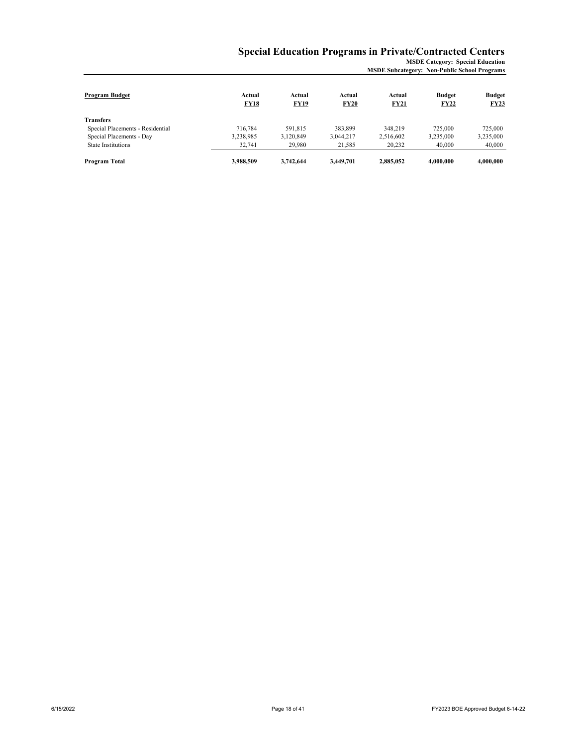## **Special Education Programs in Private/Contracted Centers**

**MSDE Category: Special Education MSDE Subcategory: Non-Public School Programs**

| Program Budget                   | Actual<br><b>FY18</b> | Actual<br><b>FY19</b> | Actual<br>FY20 | Actual<br>FY21 | <b>Budget</b><br><b>FY22</b> | <b>Budget</b><br>FY23 |
|----------------------------------|-----------------------|-----------------------|----------------|----------------|------------------------------|-----------------------|
| Transfers                        |                       |                       |                |                |                              |                       |
| Special Placements - Residential | 716.784               | 591.815               | 383,899        | 348,219        | 725,000                      | 725,000               |
| Special Placements - Day         | 3,238,985             | 3.120.849             | 3,044,217      | 2,516,602      | 3.235,000                    | 3,235,000             |
| <b>State Institutions</b>        | 32.741                | 29.980                | 21.585         | 20,232         | 40,000                       | 40,000                |
| Program Total                    | 3,988,509             | 3,742,644             | 3.449.701      | 2,885,052      | 4.000.000                    | 4.000.000             |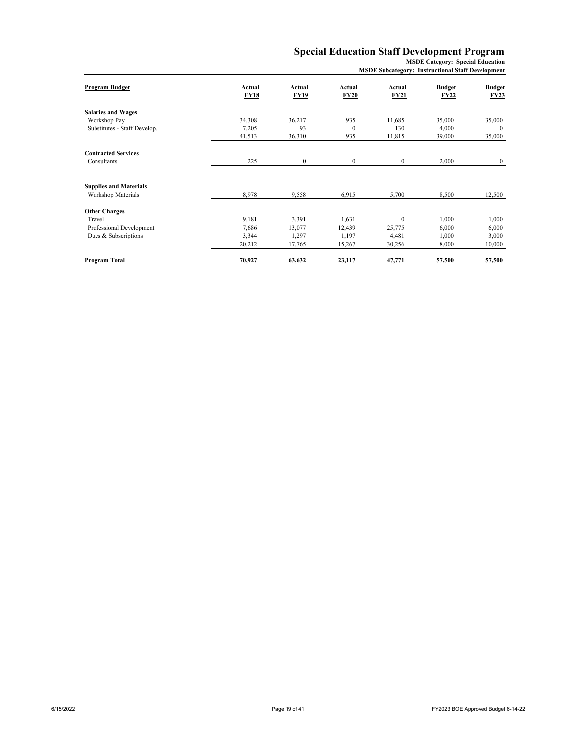## **Special Education Staff Development Program**

**MSDE Category: Special Education**

| Program Budget                                      | Actual<br><b>FY18</b> | Actual<br><b>FY19</b> | Actual<br><b>FY20</b> | Actual<br><b>FY21</b> | <b>Budget</b><br>FY22 | <b>Budget</b><br><b>FY23</b> |
|-----------------------------------------------------|-----------------------|-----------------------|-----------------------|-----------------------|-----------------------|------------------------------|
| <b>Salaries and Wages</b>                           |                       |                       |                       |                       |                       |                              |
| Workshop Pay                                        | 34,308                | 36,217                | 935                   | 11,685                | 35,000                | 35,000                       |
| Substitutes - Staff Develop.                        | 7,205                 | 93                    | $\mathbf{0}$          | 130                   | 4.000                 | $\mathbf{0}$                 |
|                                                     | 41,513                | 36,310                | 935                   | 11,815                | 39,000                | 35,000                       |
| <b>Contracted Services</b>                          |                       |                       |                       |                       |                       |                              |
| Consultants                                         | 225                   | $\mathbf{0}$          | $\mathbf{0}$          | $\mathbf{0}$          | 2,000                 | $\mathbf{0}$                 |
| <b>Supplies and Materials</b><br>Workshop Materials | 8,978                 | 9,558                 | 6,915                 | 5,700                 | 8,500                 | 12,500                       |
| <b>Other Charges</b>                                |                       |                       |                       |                       |                       |                              |
| Travel                                              | 9,181                 | 3,391                 | 1,631                 | $\mathbf{0}$          | 1,000                 | 1,000                        |
| Professional Development                            | 7,686                 | 13,077                | 12,439                | 25,775                | 6,000                 | 6,000                        |
| Dues & Subscriptions                                | 3,344                 | 1,297                 | 1,197                 | 4,481                 | 1.000                 | 3,000                        |
|                                                     | 20,212                | 17,765                | 15,267                | 30,256                | 8,000                 | 10,000                       |
| Program Total                                       | 70,927                | 63,632                | 23,117                | 47,771                | 57,500                | 57,500                       |

**MSDE Subcategory: Instructional Staff Development**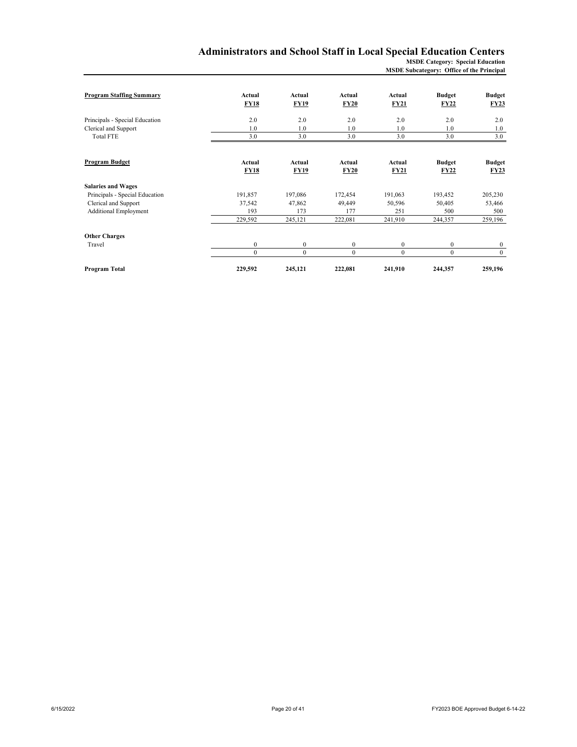#### **Administrators and School Staff in Local Special Education Centers MSDE Category: Special Education**

**MSDE Subcategory: Office of the Principal**

| <b>Program Staffing Summary</b> | Actual<br><b>FY18</b> | Actual<br><b>FY19</b> | Actual<br><b>FY20</b> | Actual<br><b>FY21</b> | <b>Budget</b><br><b>FY22</b> | <b>Budget</b><br>FY23 |
|---------------------------------|-----------------------|-----------------------|-----------------------|-----------------------|------------------------------|-----------------------|
|                                 |                       |                       |                       |                       |                              |                       |
| Principals - Special Education  | 2.0                   | 2.0                   | 2.0                   | 2.0                   | 2.0                          | 2.0                   |
| Clerical and Support            | 1.0                   | 1.0                   | 1.0                   | 1.0                   | 1.0                          | 1.0                   |
| Total FTE                       | 3.0                   | 3.0                   | 3.0                   | 3.0                   | 3.0                          | 3.0                   |
|                                 |                       |                       |                       |                       |                              |                       |
| <b>Program Budget</b>           | Actual                | Actual                | Actual                | Actual                | <b>Budget</b>                | <b>Budget</b>         |
|                                 | <b>FY18</b>           | <b>FY19</b>           | <b>FY20</b>           | <b>FY21</b>           | FY22                         | FY23                  |
| <b>Salaries and Wages</b>       |                       |                       |                       |                       |                              |                       |
| Principals - Special Education  | 191,857               | 197,086               | 172,454               | 191,063               | 193,452                      | 205,230               |
| Clerical and Support            | 37,542                | 47,862                | 49,449                | 50,596                | 50,405                       | 53,466                |
| <b>Additional Employment</b>    | 193                   | 173                   | 177                   | 251                   | 500                          | 500                   |
|                                 | 229,592               | 245,121               | 222,081               | 241,910               | 244,357                      | 259,196               |
| <b>Other Charges</b>            |                       |                       |                       |                       |                              |                       |
| Travel                          | $\boldsymbol{0}$      | $\mathbf{0}$          | $\mathbf{0}$          | $\boldsymbol{0}$      | $\mathbf{0}$                 | $\bf{0}$              |
|                                 | $\mathbf{0}$          | $\theta$              | $\mathbf{0}$          | $\Omega$              | $\Omega$                     | $\bf{0}$              |
| Program Total                   | 229,592               | 245,121               | 222,081               | 241,910               | 244,357                      | 259,196               |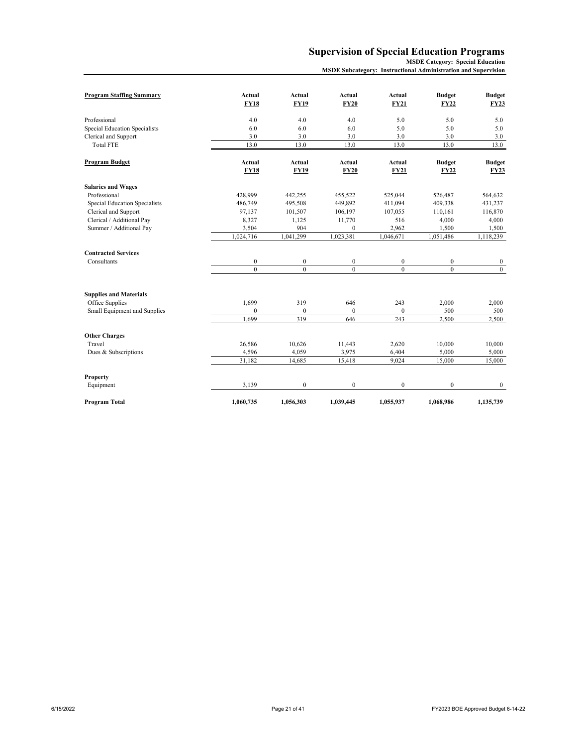## **Supervision of Special Education Programs**

**MSDE Category: Special Education**

**MSDE Subcategory: Instructional Administration and Supervision**

| <b>Program Staffing Summary</b> | Actual<br><b>FY18</b> | Actual<br><b>FY19</b> | Actual<br><b>FY20</b> | Actual<br><b>FY21</b> | <b>Budget</b><br><b>FY22</b> | <b>Budget</b><br><b>FY23</b> |
|---------------------------------|-----------------------|-----------------------|-----------------------|-----------------------|------------------------------|------------------------------|
| Professional                    | 4.0                   | 4.0                   | 4.0                   | 5.0                   | 5.0                          | 5.0                          |
| Special Education Specialists   | 6.0                   | 6.0                   | 6.0                   | 5.0                   | 5.0                          | 5.0                          |
| Clerical and Support            | 3.0                   | 3.0                   | 3.0                   | 3.0                   | 3.0                          | 3.0                          |
| <b>Total FTE</b>                | 13.0                  | 13.0                  | 13.0                  | 13.0                  | 13.0                         | 13.0                         |
| <b>Program Budget</b>           | Actual                | Actual                | Actual                | Actual                | <b>Budget</b>                | <b>Budget</b>                |
|                                 | <b>FY18</b>           | <b>FY19</b>           | <b>FY20</b>           | <b>FY21</b>           | <b>FY22</b>                  | <b>FY23</b>                  |
| <b>Salaries and Wages</b>       |                       |                       |                       |                       |                              |                              |
| Professional                    | 428.999               | 442,255               | 455,522               | 525,044               | 526,487                      | 564,632                      |
| Special Education Specialists   | 486,749               | 495,508               | 449,892               | 411,094               | 409,338                      | 431,237                      |
| Clerical and Support            | 97,137                | 101,507               | 106,197               | 107,055               | 110.161                      | 116,870                      |
| Clerical / Additional Pay       | 8,327                 | 1,125                 | 11,770                | 516                   | 4,000                        | 4,000                        |
| Summer / Additional Pay         | 3,504                 | 904                   | $\Omega$              | 2,962                 | 1,500                        | 1,500                        |
|                                 | 1,024,716             | 1,041,299             | 1,023,381             | 1,046,671             | 1,051,486                    | 1,118,239                    |
| <b>Contracted Services</b>      |                       |                       |                       |                       |                              |                              |
| Consultants                     | $\boldsymbol{0}$      | $\boldsymbol{0}$      | $\boldsymbol{0}$      | $\boldsymbol{0}$      | $\boldsymbol{0}$             | $\boldsymbol{0}$             |
|                                 | $\theta$              | $\theta$              | $\theta$              | $\theta$              | $\theta$                     | $\mathbf{0}$                 |
| <b>Supplies and Materials</b>   |                       |                       |                       |                       |                              |                              |
| Office Supplies                 | 1,699                 | 319                   | 646                   | 243                   | 2,000                        | 2,000                        |
| Small Equipment and Supplies    | $\mathbf{0}$          | $\mathbf{0}$          | $\mathbf{0}$          | $\mathbf{0}$          | 500                          | 500                          |
|                                 | 1.699                 | 319                   | 646                   | 243                   | 2,500                        | 2,500                        |
| <b>Other Charges</b>            |                       |                       |                       |                       |                              |                              |
| Travel                          | 26,586                | 10,626                | 11,443                | 2,620                 | 10,000                       | 10,000                       |
| Dues & Subscriptions            | 4,596                 | 4,059                 | 3,975                 | 6,404                 | 5,000                        | 5,000                        |
|                                 | 31,182                | 14,685                | 15,418                | 9,024                 | 15,000                       | 15,000                       |
| Property                        |                       |                       |                       |                       |                              |                              |
| Equipment                       | 3,139                 | $\boldsymbol{0}$      | $\boldsymbol{0}$      | $\boldsymbol{0}$      | $\boldsymbol{0}$             | $\bf{0}$                     |
| Program Total                   | 1,060,735             | 1,056,303             | 1,039,445             | 1,055,937             | 1,068,986                    | 1,135,739                    |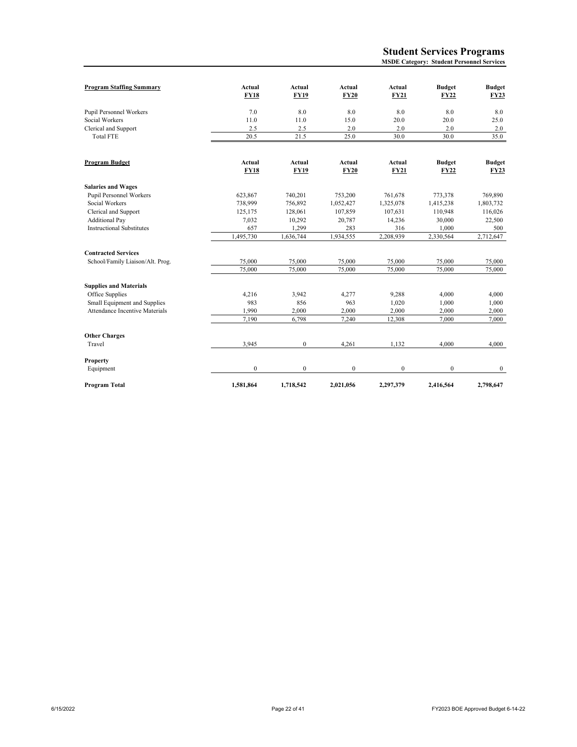| <b>Program Staffing Summary</b>  | Actual<br><b>FY18</b> | Actual<br><b>FY19</b> | Actual<br><b>FY20</b> | Actual<br><b>FY21</b> | <b>Budget</b><br><b>FY22</b> | <b>Budget</b><br><b>FY23</b> |
|----------------------------------|-----------------------|-----------------------|-----------------------|-----------------------|------------------------------|------------------------------|
| Pupil Personnel Workers          | 7.0                   | 8.0                   | 8.0                   | 8.0                   | 8.0                          | 8.0                          |
| Social Workers                   | 11.0                  | 11.0                  | 15.0                  | 20.0                  | 20.0                         | 25.0                         |
| Clerical and Support             | 2.5                   | 2.5                   | 2.0                   | 2.0                   | 2.0                          | 2.0                          |
| <b>Total FTE</b>                 | 20.5                  | 21.5                  | 25.0                  | 30.0                  | 30.0                         | 35.0                         |
|                                  |                       |                       |                       |                       |                              |                              |
| Program Budget                   | Actual                | Actual                | Actual                | Actual                | <b>Budget</b>                | <b>Budget</b>                |
|                                  | <b>FY18</b>           | <b>FY19</b>           | <b>FY20</b>           | <b>FY21</b>           | <b>FY22</b>                  | <b>FY23</b>                  |
| <b>Salaries and Wages</b>        |                       |                       |                       |                       |                              |                              |
| <b>Pupil Personnel Workers</b>   | 623,867               | 740,201               | 753,200               | 761,678               | 773,378                      | 769,890                      |
| Social Workers                   | 738,999               | 756,892               | 1,052,427             | 1,325,078             | 1,415,238                    | 1,803,732                    |
| Clerical and Support             | 125,175               | 128,061               | 107,859               | 107,631               | 110,948                      | 116,026                      |
| <b>Additional Pay</b>            | 7,032                 | 10,292                | 20,787                | 14,236                | 30,000                       | 22,500                       |
| <b>Instructional Substitutes</b> | 657                   | 1,299                 | 283                   | 316                   | 1,000                        | 500                          |
|                                  | 1,495,730             | 1,636,744             | 1,934,555             | 2,208,939             | 2,330,564                    | 2,712,647                    |
| <b>Contracted Services</b>       |                       |                       |                       |                       |                              |                              |
| School/Family Liaison/Alt. Prog. | 75,000                | 75,000                | 75,000                | 75,000                | 75,000                       | 75,000                       |
|                                  | 75,000                | 75,000                | 75,000                | 75,000                | 75,000                       | 75,000                       |
| <b>Supplies and Materials</b>    |                       |                       |                       |                       |                              |                              |
| Office Supplies                  | 4,216                 | 3,942                 | 4,277                 | 9,288                 | 4,000                        | 4,000                        |
| Small Equipment and Supplies     | 983                   | 856                   | 963                   | 1,020                 | 1,000                        | 1,000                        |
| Attendance Incentive Materials   | 1,990                 | 2,000                 | 2,000                 | 2,000                 | 2,000                        | 2,000                        |
|                                  | 7,190                 | 6,798                 | 7,240                 | 12,308                | 7,000                        | 7,000                        |
| <b>Other Charges</b>             |                       |                       |                       |                       |                              |                              |
| Travel                           | 3,945                 | $\mathbf{0}$          | 4,261                 | 1,132                 | 4.000                        | 4,000                        |
| <b>Property</b>                  |                       |                       |                       |                       |                              |                              |
| Equipment                        | $\boldsymbol{0}$      | $\boldsymbol{0}$      | $\boldsymbol{0}$      | $\boldsymbol{0}$      | $\boldsymbol{0}$             | $\bf{0}$                     |
| Program Total                    | 1,581,864             | 1,718,542             | 2,021,056             | 2,297,379             | 2,416,564                    | 2,798,647                    |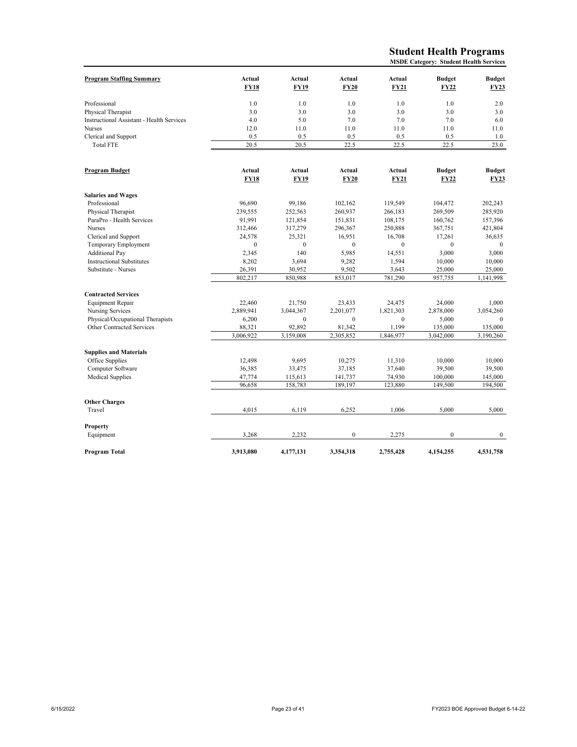#### **Student Health Programs MSDE Category: Student Health Services**

| <b>Program Staffing Summary</b>                  | Actual       | Actual       | Actual       | Actual       | <b>Budget</b> | <b>Budget</b> |
|--------------------------------------------------|--------------|--------------|--------------|--------------|---------------|---------------|
|                                                  | <b>FY18</b>  | <b>FY19</b>  | <b>FY20</b>  | <b>FY21</b>  | <b>FY22</b>   | <b>FY23</b>   |
|                                                  |              |              |              |              |               |               |
| Professional                                     | 1.0          | 1.0          | 1.0          | 1.0          | 1.0           | 2.0           |
| Physical Therapist                               | 3.0          | 3.0          | 3.0          | 3.0          | 3.0           | 3.0           |
| <b>Instructional Assistant - Health Services</b> | 4.0          | 5.0          | 7.0          | 7.0          | 7.0           | 6.0           |
| Nurses                                           | 12.0         | 11.0         | 11.0         | 11.0         | 11.0          | 11.0          |
| Clerical and Support                             | 0.5          | 0.5          | 0.5          | 0.5          | 0.5           | 1.0           |
| <b>Total FTE</b>                                 | 20.5         | 20.5         | 22.5         | 22.5         | 22.5          | 23.0          |
|                                                  |              |              |              |              |               |               |
| Program Budget                                   | Actual       | Actual       | Actual       | Actual       | <b>Budget</b> | <b>Budget</b> |
|                                                  | <b>FY18</b>  | <b>FY19</b>  | <b>FY20</b>  | <b>FY21</b>  | <b>FY22</b>   | <b>FY23</b>   |
| <b>Salaries and Wages</b>                        |              |              |              |              |               |               |
| Professional                                     | 96,690       | 99,186       | 102,162      | 119,549      | 104,472       | 202,243       |
| Physical Therapist                               | 239,555      | 252,563      | 260,937      | 266,183      | 269,509       | 285,920       |
| ParaPro - Health Services                        | 91,991       | 121,854      | 151,831      | 108,175      | 160,762       | 157,396       |
| <b>Nurses</b>                                    | 312,466      | 317,279      | 296,367      | 250,888      | 367,751       | 421,804       |
| Clerical and Support                             | 24,578       | 25,321       | 16,951       | 16,708       | 17,261        | 36,635        |
| Temporary Employment                             | $\mathbf{0}$ | $\mathbf{0}$ | $\mathbf{0}$ | $\mathbf{0}$ | $\mathbf{0}$  | $\mathbf{0}$  |
| <b>Additional Pay</b>                            | 2,345        | 140          | 5,985        | 14,551       | 3,000         | 3,000         |
| <b>Instructional Substitutes</b>                 | 8,202        | 3,694        | 9,282        | 1,594        | 10,000        | 10,000        |
| Substitute - Nurses                              | 26,391       | 30,952       | 9,502        | 3,643        | 25,000        | 25,000        |
|                                                  | 802,217      | 850,988      | 853,017      | 781,290      | 957,755       | 1,141,998     |
|                                                  |              |              |              |              |               |               |
| <b>Contracted Services</b>                       |              |              |              |              |               |               |
| <b>Equipment Repair</b>                          | 22,460       | 21,750       | 23,433       | 24,475       | 24,000        | 1,000         |
| Nursing Services                                 | 2,889,941    | 3,044,367    | 2,201,077    | 1,821,303    | 2,878,000     | 3,054,260     |
| Physical/Occupational Therapists                 | 6,200        | $\mathbf{0}$ | $\mathbf{0}$ | $\mathbf{0}$ | 5,000         | $\mathbf{0}$  |
| Other Contracted Services                        | 88,321       | 92,892       | 81,342       | 1,199        | 135,000       | 135,000       |
|                                                  | 3,006,922    | 3,159,008    | 2,305,852    | 1,846,977    | 3,042,000     | 3,190,260     |
| <b>Supplies and Materials</b>                    |              |              |              |              |               |               |
| Office Supplies                                  | 12,498       | 9,695        | 10,275       | 11,310       | 10,000        | 10,000        |
| Computer Software                                | 36,385       | 33,475       | 37,185       | 37,640       | 39,500        | 39,500        |
| <b>Medical Supplies</b>                          | 47,774       | 115,613      | 141,737      | 74,930       | 100,000       | 145,000       |
|                                                  | 96,658       | 158,783      | 189,197      | 123,880      | 149,500       | 194,500       |
|                                                  |              |              |              |              |               |               |
| <b>Other Charges</b>                             |              |              |              |              |               |               |
| Travel                                           | 4.015        | 6,119        | 6,252        | 1.006        | 5.000         | 5,000         |
| <b>Property</b>                                  |              |              |              |              |               |               |
| Equipment                                        | 3,268        | 2,232        | $\mathbf{0}$ | 2,275        | $\mathbf{0}$  | $\mathbf{0}$  |
| Program Total                                    | 3,913,080    | 4,177,131    | 3,354,318    | 2,755,428    | 4,154,255     | 4,531,758     |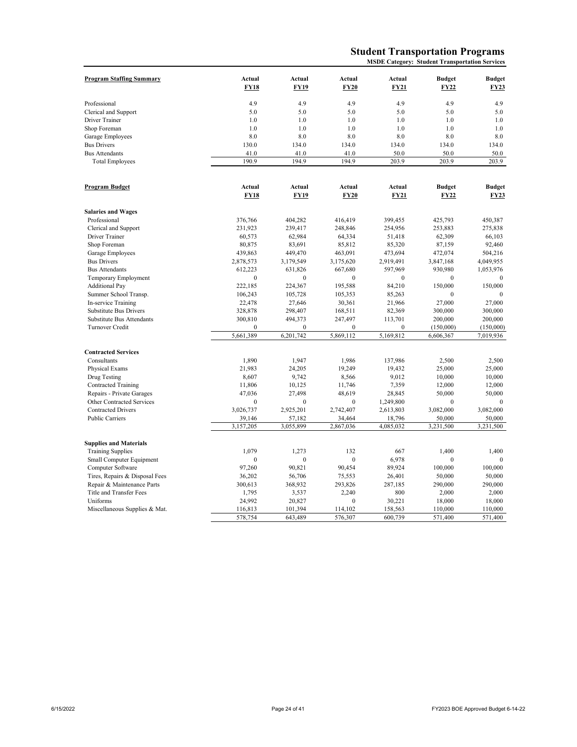# **Student Transportation Programs**

**MSDE Category: Student Transportation Services**

| <b>Program Staffing Summary</b> | Actual                | Actual           | Actual                | Actual                | <b>Budget</b>                | <b>Budget</b>         |
|---------------------------------|-----------------------|------------------|-----------------------|-----------------------|------------------------------|-----------------------|
|                                 | <b>FY18</b>           | FY19             | <b>FY20</b>           | <b>FY21</b>           | FY22                         | FY23                  |
| Professional                    | 4.9                   | 4.9              | 4.9                   | 4.9                   | 4.9                          | 4.9                   |
| Clerical and Support            | 5.0                   | 5.0              | 5.0                   | 5.0                   | 5.0                          | 5.0                   |
| Driver Trainer                  | 1.0                   | 1.0              | 1.0                   | 1.0                   | 1.0                          | 1.0                   |
| Shop Foreman                    | 1.0                   | 1.0              | 1.0                   | 1.0                   | 1.0                          | 1.0                   |
| Garage Employees                | 8.0                   | 8.0              | 8.0                   | 8.0                   | 8.0                          | 8.0                   |
| <b>Bus Drivers</b>              | 130.0                 | 134.0            | 134.0                 | 134.0                 | 134.0                        | 134.0                 |
| <b>Bus Attendants</b>           | 41.0                  | 41.0             | 41.0                  | 50.0                  | 50.0                         | 50.0                  |
| <b>Total Employees</b>          | 190.9                 | 194.9            | 194.9                 | 203.9                 | 203.9                        | 203.9                 |
|                                 |                       |                  |                       |                       |                              |                       |
| <b>Program Budget</b>           | Actual<br><b>FY18</b> | Actual<br>FY19   | Actual<br><b>FY20</b> | Actual<br><b>FY21</b> | <b>Budget</b><br><b>FY22</b> | <b>Budget</b><br>FY23 |
|                                 |                       |                  |                       |                       |                              |                       |
| <b>Salaries and Wages</b>       |                       |                  |                       |                       |                              |                       |
| Professional                    | 376,766               | 404,282          | 416,419               | 399,455               | 425,793                      | 450,387               |
| Clerical and Support            | 231,923               | 239,417          | 248,846               | 254,956               | 253,883                      | 275,838               |
| Driver Trainer                  | 60,573                | 62,984           | 64,334                | 51,418                | 62,309                       | 66,103                |
| Shop Foreman                    | 80,875                | 83,691           | 85,812                | 85,320                | 87,159                       | 92,460                |
| Garage Employees                | 439,863               | 449,470          | 463,091               | 473,694               | 472,074                      | 504,216               |
| <b>Bus Drivers</b>              | 2,878,573             | 3,179,549        | 3,175,620             | 2,919,491             | 3,847,168                    | 4,049,955             |
| <b>Bus Attendants</b>           | 612,223               | 631,826          | 667,680               | 597,969               | 930,980                      | 1,053,976             |
| Temporary Employment            | $\mathbf{0}$          | $\mathbf{0}$     | $\mathbf{0}$          | $\boldsymbol{0}$      | $\mathbf{0}$                 | $\mathbf{0}$          |
| <b>Additional Pay</b>           | 222,185               | 224,367          | 195,588               | 84,210                | 150,000                      | 150,000               |
| Summer School Transp.           | 106,243               | 105,728          | 105,353               | 85,263                | $\mathbf{0}$                 |                       |
| In-service Training             | 22,478                | 27,646           | 30,361                | 21,966                | 27,000                       | 27,000                |
| Substitute Bus Drivers          | 328,878               | 298,407          | 168,511               | 82,369                | 300,000                      | 300,000               |
| Substitute Bus Attendants       | 300,810               | 494,373          | 247,497               | 113,701               | 200,000                      | 200,000               |
| Turnover Credit                 | $\overline{0}$        | $\mathbf{0}$     | $\mathbf{0}$          | $\mathbf{0}$          | (150,000)                    | (150,000)             |
|                                 | 5,661,389             | 6,201,742        | 5,869,112             | 5,169,812             | 6,606,367                    | 7,019,936             |
| <b>Contracted Services</b>      |                       |                  |                       |                       |                              |                       |
| Consultants                     | 1,890                 | 1,947            | 1,986                 | 137,986               | 2,500                        | 2,500                 |
| Physical Exams                  | 21,983                | 24,205           | 19,249                | 19,432                | 25,000                       | 25,000                |
| Drug Testing                    | 8,607                 | 9,742            | 8,566                 | 9,012                 | 10,000                       | 10,000                |
| <b>Contracted Training</b>      | 11,806                | 10,125           | 11,746                | 7,359                 | 12,000                       | 12,000                |
| Repairs - Private Garages       | 47,036                | 27,498           | 48,619                | 28,845                | 50,000                       | 50,000                |
| Other Contracted Services       | $\mathbf{0}$          | $\mathbf{0}$     | $\mathbf{0}$          | 1,249,800             | $\mathbf{0}$                 | $\Omega$              |
| <b>Contracted Drivers</b>       | 3,026,737             | 2,925,201        | 2,742,407             | 2,613,803             | 3,082,000                    | 3,082,000             |
| <b>Public Carriers</b>          | 39,146                | 57,182           | 34,464                | 18,796                | 50,000                       | 50,000                |
|                                 | 3,157,205             | 3,055,899        | 2,867,036             | 4,085,032             | 3,231,500                    | 3,231,500             |
| <b>Supplies and Materials</b>   |                       |                  |                       |                       |                              |                       |
| <b>Training Supplies</b>        | 1.079                 | 1,273            | 132                   | 667                   | 1,400                        | 1,400                 |
| Small Computer Equipment        | $\boldsymbol{0}$      | $\boldsymbol{0}$ | $\mathbf{0}$          | 6,978                 | $\boldsymbol{0}$             | $\mathbf{0}$          |
| Computer Software               | 97,260                | 90,821           | 90,454                | 89,924                | 100,000                      | 100,000               |
| Tires, Repairs & Disposal Fees  | 36,202                | 56,706           | 75,553                | 26,401                | 50,000                       | 50,000                |
| Repair & Maintenance Parts      | 300,613               | 368,932          | 293,826               | 287,185               | 290,000                      | 290,000               |
| Title and Transfer Fees         | 1,795                 | 3,537            | 2,240                 | 800                   | 2,000                        | 2,000                 |
| Uniforms                        | 24,992                | 20,827           | $\mathbf{0}$          | 30,221                | 18,000                       | 18,000                |
| Miscellaneous Supplies & Mat.   | 116,813               | 101,394          | 114,102               | 158,563               | 110,000                      | 110,000               |
|                                 | 578,754               | 643,489          | 576,307               | 600,739               | 571,400                      | 571,400               |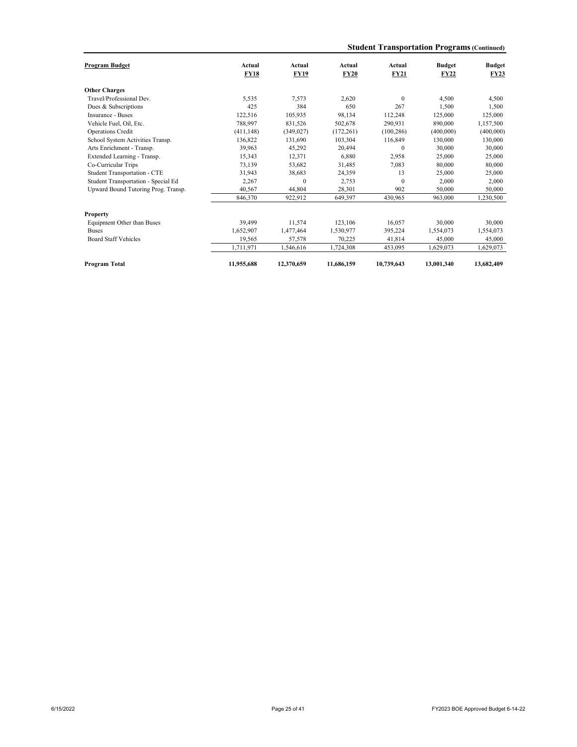|  |  |  | <b>Student Transportation Programs (Continued)</b> |  |
|--|--|--|----------------------------------------------------|--|
|--|--|--|----------------------------------------------------|--|

| Program Budget                      | Actual<br><b>FY18</b> | Actual<br><b>FY19</b> | Actual<br><b>FY20</b> | Actual<br>FY21   | <b>Budget</b><br><b>FY22</b> | <b>Budget</b><br><b>FY23</b> |
|-------------------------------------|-----------------------|-----------------------|-----------------------|------------------|------------------------------|------------------------------|
| <b>Other Charges</b>                |                       |                       |                       |                  |                              |                              |
| Travel/Professional Dev.            | 5.535                 | 7.573                 | 2.620                 | $\mathbf{0}$     | 4.500                        | 4,500                        |
| Dues & Subscriptions                | 425                   | 384                   | 650                   | 267              | 1,500                        | 1,500                        |
|                                     |                       |                       |                       |                  |                              |                              |
| Insurance - Buses                   | 122,516               | 105.935               | 98.134                | 112,248          | 125,000                      | 125,000                      |
| Vehicle Fuel, Oil, Etc.             | 788,997               | 831.526               | 502,678               | 290.931          | 890,000                      | 1,157,500                    |
| Operations Credit                   | (411, 148)            | (349, 027)            | (172, 261)            | (100, 286)       | (400,000)                    | (400,000)                    |
| School System Activities Transp.    | 136,822               | 131.690               | 103,304               | 116,849          | 130,000                      | 130,000                      |
| Arts Enrichment - Transp.           | 39,963                | 45,292                | 20,494                | $\mathbf{0}$     | 30,000                       | 30,000                       |
| Extended Learning - Transp.         | 15,343                | 12.371                | 6.880                 | 2.958            | 25,000                       | 25,000                       |
| Co-Curricular Trips                 | 73,139                | 53,682                | 31,485                | 7.083            | 80,000                       | 80,000                       |
| Student Transportation - CTE        | 31,943                | 38,683                | 24,359                | 13               | 25,000                       | 25,000                       |
| Student Transportation - Special Ed | 2,267                 | $\mathbf{0}$          | 2,753                 | $\boldsymbol{0}$ | 2,000                        | 2,000                        |
| Upward Bound Tutoring Prog. Transp. | 40.567                | 44,804                | 28,301                | 902              | 50,000                       | 50,000                       |
|                                     | 846,370               | 922,912               | 649,397               | 430,965          | 963,000                      | 1,230,500                    |
| Property                            |                       |                       |                       |                  |                              |                              |
| Equipment Other than Buses          | 39,499                | 11,574                | 123,106               | 16,057           | 30,000                       | 30,000                       |
| <b>Buses</b>                        | 1,652,907             | 1,477,464             | 1.530.977             | 395,224          | 1,554,073                    | 1,554,073                    |
| <b>Board Staff Vehicles</b>         | 19,565                | 57,578                | 70,225                | 41,814           | 45,000                       | 45,000                       |
|                                     | 1,711,971             | 1,546,616             | 1,724,308             | 453,095          | 1,629,073                    | 1,629,073                    |
| <b>Program Total</b>                | 11,955,688            | 12,370,659            | 11,686,159            | 10,739,643       | 13,001,340                   | 13,682,409                   |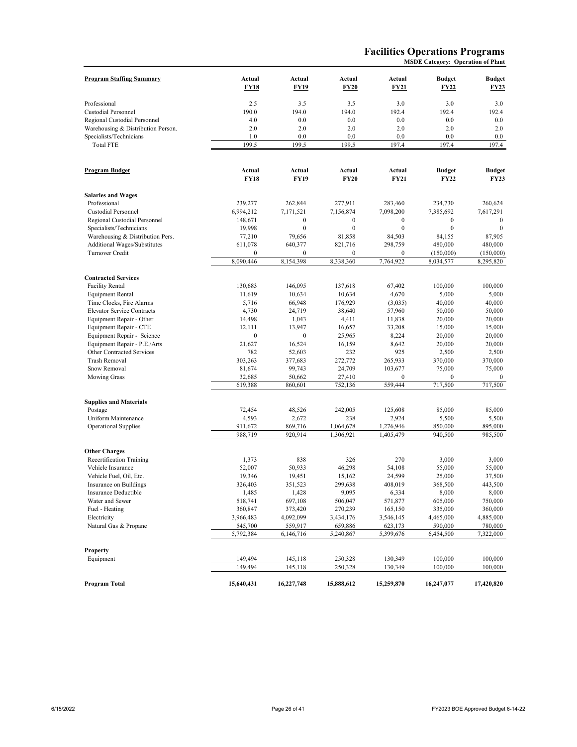#### **Facilities Operations Programs MSDE Category: Operation of Plant**

| <b>Program Staffing Summary</b>    | Actual<br><b>FY18</b> | Actual<br><b>FY19</b> | Actual<br><b>FY20</b>  | Actual<br>FY21              | <b>Budget</b><br><b>FY22</b> | <b>Budget</b><br>FY23        |
|------------------------------------|-----------------------|-----------------------|------------------------|-----------------------------|------------------------------|------------------------------|
| Professional                       | 2.5                   | 3.5                   | 3.5                    | 3.0                         | 3.0                          | 3.0                          |
| Custodial Personnel                | 190.0                 | 194.0                 | 194.0                  | 192.4                       | 192.4                        | 192.4                        |
| Regional Custodial Personnel       | 4.0                   | 0.0                   | 0.0                    | 0.0                         | 0.0                          | 0.0                          |
| Warehousing & Distribution Person. | 2.0                   | 2.0                   | 2.0                    | 2.0                         | 2.0                          | 2.0                          |
| Specialists/Technicians            | 1.0                   | 0.0                   | 0.0                    | 0.0                         | 0.0                          | 0.0                          |
| <b>Total FTE</b>                   | 199.5                 | 199.5                 | 199.5                  | 197.4                       | 197.4                        | 197.4                        |
| Program Budget                     | Actual<br><b>FY18</b> | Actual<br><b>FY19</b> | Actual<br><b>FY20</b>  | Actual<br><b>FY21</b>       | <b>Budget</b><br><b>FY22</b> | <b>Budget</b><br><b>FY23</b> |
| <b>Salaries and Wages</b>          |                       |                       |                        |                             |                              |                              |
| Professional                       | 239,277               | 262,844               | 277,911                | 283,460                     | 234,730                      | 260,624                      |
| Custodial Personnel                | 6,994,212             | 7,171,521             | 7,156,874              | 7,098,200                   | 7,385,692                    | 7,617,291                    |
| Regional Custodial Personnel       | 148,671               | $\mathbf{0}$          | $\mathbf{0}$           | $\boldsymbol{0}$            | $\mathbf{0}$                 | $\mathbf{0}$                 |
| Specialists/Technicians            | 19,998                | $\mathbf{0}$          | $\mathbf{0}$           | $\mathbf{0}$                | $\mathbf{0}$                 | $\mathbf{0}$                 |
| Warehousing & Distribution Pers.   | 77,210                | 79,656                | 81,858                 | 84,503                      | 84,155                       | 87,905                       |
| Additional Wages/Substitutes       | 611,078               | 640,377               | 821,716                | 298,759                     | 480,000                      | 480,000                      |
| Turnover Credit                    | $\boldsymbol{0}$      | 0                     | $\boldsymbol{0}$       | $\boldsymbol{0}$            | (150,000)                    | (150,000)                    |
|                                    | 8,090,446             | 8,154,398             | 8,338,360              | 7,764,922                   | 8,034,577                    | 8,295,820                    |
| <b>Contracted Services</b>         |                       |                       |                        |                             |                              |                              |
| <b>Facility Rental</b>             | 130,683               | 146,095               | 137,618                | 67,402                      | 100,000                      | 100,000                      |
| <b>Equipment Rental</b>            | 11,619                | 10,634                | 10,634                 | 4,670                       | 5,000                        | 5,000                        |
| Time Clocks, Fire Alarms           | 5,716                 | 66,948                | 176,929                | (3,035)                     | 40,000                       | 40,000                       |
| <b>Elevator Service Contracts</b>  | 4,730                 | 24,719                | 38,640                 | 57,960                      | 50,000                       | 50,000                       |
| Equipment Repair - Other           | 14,498                | 1,043                 | 4,411                  | 11,838                      | 20,000                       | 20,000                       |
| Equipment Repair - CTE             | 12,111                | 13,947                | 16,657                 | 33,208                      | 15,000                       | 15,000                       |
| Equipment Repair - Science         | $\boldsymbol{0}$      | $\boldsymbol{0}$      | 25,965                 | 8,224                       | 20,000                       | 20,000                       |
| Equipment Repair - P.E./Arts       | 21,627                | 16,524                | 16,159                 | 8,642                       | 20,000                       | 20,000                       |
| Other Contracted Services          | 782                   | 52,603                | 232                    | 925                         | 2,500                        | 2,500                        |
| Trash Removal                      | 303,263               | 377,683               | 272,772                | 265,933                     | 370,000                      | 370,000                      |
| Snow Removal                       | 81,674<br>32,685      | 99,743<br>50,662      | 24,709<br>27,410       | 103,677<br>$\boldsymbol{0}$ | 75,000<br>$\boldsymbol{0}$   | 75,000<br>$\bf{0}$           |
| <b>Mowing Grass</b>                | 619,388               | 860,601               | 752,136                | 559,444                     | 717,500                      | 717,500                      |
|                                    |                       |                       |                        |                             |                              |                              |
| <b>Supplies and Materials</b>      |                       |                       |                        |                             |                              |                              |
| Postage                            | 72,454                | 48,526                | 242,005                | 125,608                     | 85,000                       | 85,000                       |
| Uniform Maintenance                | 4,593                 | 2,672                 | 238                    | 2,924                       | 5,500                        | 5,500                        |
| <b>Operational Supplies</b>        | 911,672<br>988,719    | 869,716<br>920.914    | 1,064,678<br>1,306,921 | 1,276,946<br>1,405,479      | 850,000<br>940,500           | 895,000<br>985,500           |
|                                    |                       |                       |                        |                             |                              |                              |
| <b>Other Charges</b>               |                       |                       |                        |                             |                              |                              |
| Recertification Training           | 1,373                 | 838                   | 326                    | 270                         | 3,000                        | 3,000                        |
| Vehicle Insurance                  | 52,007                | 50,933                | 46,298                 | 54,108                      | 55,000                       | 55,000                       |
| Vehicle Fuel, Oil, Etc.            | 19,346                | 19,451                | 15,162                 | 24,599                      | 25,000                       | 37,500                       |
| Insurance on Buildings             | 326,403               | 351,523               | 299,638                | 408,019                     | 368,500                      | 443,500                      |
| Insurance Deductible               | 1,485                 | 1,428                 | 9,095                  | 6,334                       | 8,000                        | 8,000<br>750,000             |
| Water and Sewer<br>Fuel - Heating  | 518,741<br>360,847    | 697,108<br>373,420    | 506,047<br>270,239     | 571,877<br>165,150          | 605,000<br>335,000           | 360,000                      |
| Electricity                        | 3,966,483             | 4,092,099             | 3,434,176              | 3,546,145                   | 4,465,000                    | 4,885,000                    |
| Natural Gas & Propane              | 545,700               | 559,917               | 659,886                | 623,173                     | 590,000                      | 780,000                      |
|                                    | 5,792,384             | 6,146,716             | 5,240,867              | 5,399,676                   | 6,454,500                    | 7,322,000                    |
|                                    |                       |                       |                        |                             |                              |                              |
| Property                           |                       |                       |                        |                             |                              |                              |
| Equipment                          | 149,494<br>149,494    | 145,118<br>145,118    | 250,328<br>250,328     | 130,349<br>130,349          | 100,000<br>100,000           | 100,000<br>100,000           |
|                                    |                       |                       |                        |                             |                              |                              |
| Program Total                      | 15,640,431            | 16,227,748            | 15,888,612             | 15,259,870                  | 16,247,077                   | 17,420,820                   |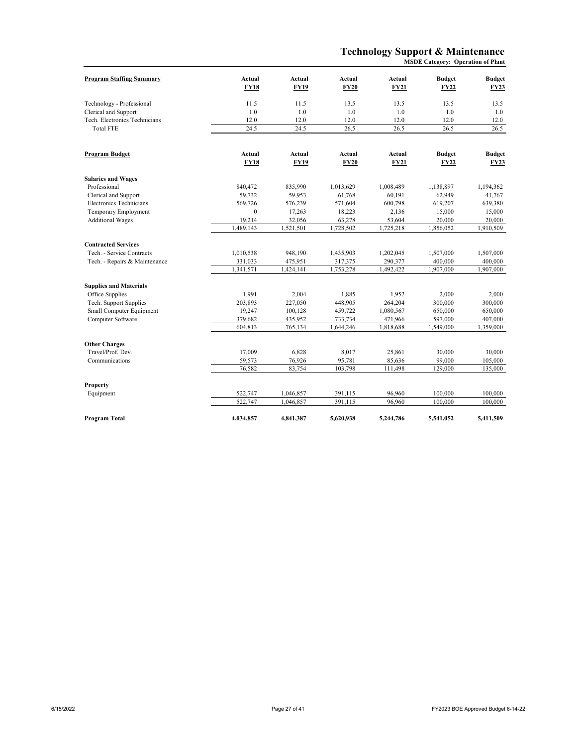# **Technology Support & Maintenance**

|                                 |                       |                |                       |                       | <b>MSDE Category: Operation of Plant</b> |                              |
|---------------------------------|-----------------------|----------------|-----------------------|-----------------------|------------------------------------------|------------------------------|
| <b>Program Staffing Summary</b> | Actual<br><b>FY18</b> | Actual<br>FY19 | Actual<br><b>FY20</b> | Actual<br><b>FY21</b> | <b>Budget</b><br><b>FY22</b>             | <b>Budget</b><br><b>FY23</b> |
| Technology - Professional       | 11.5                  | 11.5           | 13.5                  | 13.5                  | 13.5                                     | 13.5                         |
| Clerical and Support            | 1.0                   | 1.0            | 1.0                   | 1.0                   | 1.0                                      | 1.0                          |
| Tech. Electronics Technicians   | 12.0                  | 12.0           | 12.0                  | 12.0                  | 12.0                                     | 12.0                         |
| <b>Total FTE</b>                | 24.5                  | 24.5           | 26.5                  | 26.5                  | 26.5                                     | 26.5                         |
| Program Budget                  | Actual                | Actual         | Actual                | Actual                | <b>Budget</b>                            | <b>Budget</b>                |
|                                 | <b>FY18</b>           | <b>FY19</b>    | <b>FY20</b>           | <b>FY21</b>           | <b>FY22</b>                              | <b>FY23</b>                  |
| <b>Salaries and Wages</b>       |                       |                |                       |                       |                                          |                              |
| Professional                    | 840,472               | 835,990        | 1,013,629             | 1,008,489             | 1,138,897                                | 1,194,362                    |
| Clerical and Support            | 59,732                | 59,953         | 61,768                | 60,191                | 62,949                                   | 41,767                       |
| Electronics Technicians         | 569,726               | 576,239        | 571,604               | 600,798               | 619,207                                  | 639,380                      |
| <b>Temporary Employment</b>     | $\mathbf{0}$          | 17,263         | 18,223                | 2,136                 | 15,000                                   | 15,000                       |
| <b>Additional Wages</b>         | 19,214                | 32,056         | 63,278                | 53,604                | 20,000                                   | 20,000                       |
|                                 | 1,489,143             | 1,521,501      | 1,728,502             | 1,725,218             | 1,856,052                                | 1,910,509                    |
| <b>Contracted Services</b>      |                       |                |                       |                       |                                          |                              |
| Tech. - Service Contracts       | 1,010,538             | 948,190        | 1,435,903             | 1,202,045             | 1,507,000                                | 1,507,000                    |
| Tech. - Repairs & Maintenance   | 331,033               | 475,951        | 317,375               | 290,377               | 400,000                                  | 400,000                      |
|                                 | 1,341,571             | 1,424,141      | 1,753,278             | 1,492,422             | 1,907,000                                | 1,907,000                    |
| <b>Supplies and Materials</b>   |                       |                |                       |                       |                                          |                              |
| Office Supplies                 | 1,991                 | 2,004          | 1,885                 | 1,952                 | 2,000                                    | 2,000                        |
| Tech. Support Supplies          | 203,893               | 227,050        | 448,905               | 264,204               | 300,000                                  | 300,000                      |
| Small Computer Equipment        | 19,247                | 100,128        | 459,722               | 1,080,567             | 650,000                                  | 650,000                      |
| Computer Software               | 379,682               | 435,952        | 733,734               | 471,966               | 597,000                                  | 407,000                      |
|                                 | 604,813               | 765,134        | 1,644,246             | 1,818,688             | 1,549,000                                | 1,359,000                    |
| <b>Other Charges</b>            |                       |                |                       |                       |                                          |                              |
| Travel/Prof. Dev.               | 17,009                | 6,828          | 8,017                 | 25,861                | 30,000                                   | 30,000                       |
| Communications                  | 59,573                | 76,926         | 95,781                | 85,636                | 99,000                                   | 105,000                      |
|                                 | 76,582                | 83,754         | 103,798               | 111,498               | 129,000                                  | 135,000                      |
| Property                        |                       |                |                       |                       |                                          |                              |
| Equipment                       | 522,747               | 1,046,857      | 391,115               | 96,960                | 100,000                                  | 100,000                      |
|                                 | 522,747               | 1,046,857      | 391,115               | 96,960                | 100,000                                  | 100,000                      |
| <b>Program Total</b>            | 4,034,857             | 4,841,387      | 5,620,938             | 5,244,786             | 5,541,052                                | 5,411,509                    |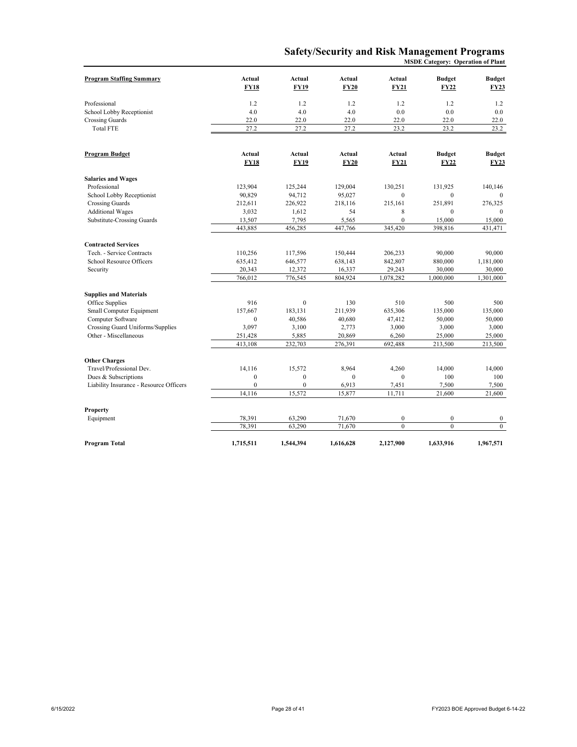# **Safety/Security and Risk Management Programs**

**MSDE Category: Operation of Plant**

| <b>Program Staffing Summary</b>         | Actual       | Actual         | Actual      | Actual           | <b>Budget</b> | <b>Budget</b> |
|-----------------------------------------|--------------|----------------|-------------|------------------|---------------|---------------|
|                                         | <b>FY18</b>  | <b>FY19</b>    | <b>FY20</b> | <b>FY21</b>      | FY22          | <b>FY23</b>   |
| Professional                            | 1.2          | 1.2            | 1.2         | 1.2              | 1.2           | 1.2           |
| School Lobby Receptionist               | 4.0          | 4.0            | 4.0         | 0.0              | 0.0           | 0.0           |
| <b>Crossing Guards</b>                  | 22.0         | 22.0           | 22.0        | 22.0             | 22.0          | 22.0          |
| <b>Total FTE</b>                        | 27.2         | 27.2           | 27.2        | 23.2             | 23.2          | 23.2          |
|                                         |              |                |             |                  |               |               |
| Program Budget                          | Actual       | Actual         | Actual      | Actual           | <b>Budget</b> | <b>Budget</b> |
|                                         | <b>FY18</b>  | <b>FY19</b>    | <b>FY20</b> | <b>FY21</b>      | FY22          | <b>FY23</b>   |
| <b>Salaries and Wages</b>               |              |                |             |                  |               |               |
| Professional                            | 123,904      | 125,244        | 129,004     | 130,251          | 131.925       | 140,146       |
| School Lobby Receptionist               | 90,829       | 94,712         | 95,027      | $\mathbf{0}$     | $\mathbf{0}$  | $\Omega$      |
| <b>Crossing Guards</b>                  | 212,611      | 226,922        | 218,116     | 215.161          | 251,891       | 276,325       |
| <b>Additional Wages</b>                 | 3,032        | 1,612          | 54          | 8                | $\mathbf{0}$  | $\mathbf{0}$  |
| Substitute-Crossing Guards              | 13,507       | 7,795          | 5,565       | $\mathbf{0}$     | 15,000        | 15,000        |
|                                         | 443,885      | 456,285        | 447,766     | 345,420          | 398,816       | 431,471       |
| <b>Contracted Services</b>              |              |                |             |                  |               |               |
| Tech. - Service Contracts               | 110,256      | 117,596        | 150,444     | 206,233          | 90,000        | 90,000        |
| School Resource Officers                | 635,412      | 646,577        | 638,143     | 842,807          | 880,000       | 1,181,000     |
| Security                                | 20,343       | 12,372         | 16,337      | 29,243           | 30,000        | 30,000        |
|                                         | 766,012      | 776,545        | 804,924     | 1,078,282        | 1,000,000     | 1,301,000     |
| <b>Supplies and Materials</b>           |              |                |             |                  |               |               |
| Office Supplies                         | 916          | $\mathbf{0}$   | 130         | 510              | 500           | 500           |
| Small Computer Equipment                | 157,667      | 183,131        | 211,939     | 635,306          | 135,000       | 135,000       |
| Computer Software                       | $\mathbf{0}$ | 40,586         | 40,680      | 47,412           | 50,000        | 50,000        |
| Crossing Guard Uniforms/Supplies        | 3,097        | 3,100          | 2,773       | 3,000            | 3,000         | 3,000         |
| Other - Miscellaneous                   | 251,428      | 5,885          | 20,869      | 6,260            | 25,000        | 25,000        |
|                                         | 413,108      | 232,703        | 276,391     | 692,488          | 213,500       | 213,500       |
| <b>Other Charges</b>                    |              |                |             |                  |               |               |
| Travel/Professional Dev.                | 14,116       | 15,572         | 8,964       | 4,260            | 14,000        | 14,000        |
| Dues & Subscriptions                    | $\mathbf{0}$ | $\mathbf{0}$   | $\theta$    | $\mathbf{0}$     | 100           | 100           |
| Liability Insurance - Resource Officers | $\mathbf{0}$ | $\overline{0}$ | 6,913       | 7,451            | 7,500         | 7,500         |
|                                         | 14,116       | 15,572         | 15,877      | 11,711           | 21,600        | 21,600        |
|                                         |              |                |             |                  |               |               |
| Property                                |              |                |             |                  |               |               |
| Equipment                               | 78,391       | 63,290         | 71,670      | $\boldsymbol{0}$ | $\mathbf{0}$  | $\mathbf{0}$  |
|                                         | 78,391       | 63,290         | 71,670      | $\mathbf{0}$     | $\theta$      | $\mathbf{0}$  |
| Program Total                           | 1,715,511    | 1,544,394      | 1,616,628   | 2,127,900        | 1,633,916     | 1,967,571     |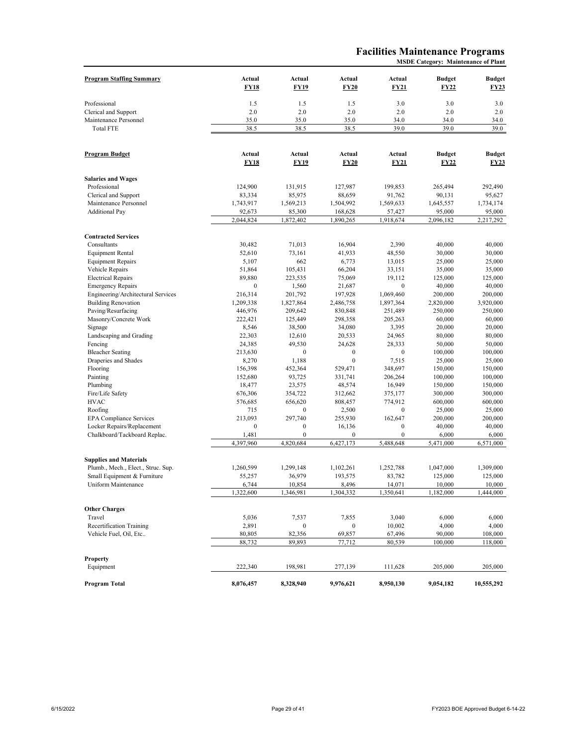#### **Facilities Maintenance Programs MSDE Category: Maintenance of Plant**

| <b>Program Staffing Summary</b>           | Actual<br><b>FY18</b> | Actual<br><b>FY19</b> | Actual<br><b>FY20</b> | Actual<br>FY21      | <b>Budget</b><br><b>FY22</b> | <b>Budget</b><br><b>FY23</b> |
|-------------------------------------------|-----------------------|-----------------------|-----------------------|---------------------|------------------------------|------------------------------|
| Professional                              | 1.5                   | 1.5                   | 1.5                   | 3.0                 | 3.0                          | 3.0                          |
| Clerical and Support                      | 2.0                   | 2.0                   | 2.0                   | 2.0                 | 2.0                          | 2.0                          |
| Maintenance Personnel                     | 35.0                  | 35.0                  | 35.0                  | 34.0                | 34.0                         | 34.0                         |
| <b>Total FTE</b>                          | 38.5                  | 38.5                  | 38.5                  | 39.0                | 39.0                         | 39.0                         |
|                                           |                       |                       |                       |                     |                              |                              |
| <b>Program Budget</b>                     | Actual<br><b>FY18</b> | Actual<br><b>FY19</b> | Actual<br><b>FY20</b> | Actual<br>FY21      | <b>Budget</b><br><b>FY22</b> | <b>Budget</b><br>FY23        |
| <b>Salaries and Wages</b>                 |                       |                       |                       |                     |                              |                              |
| Professional                              | 124,900               | 131,915               | 127,987               | 199.853             | 265,494                      | 292,490                      |
| Clerical and Support                      | 83,334                | 85,975                | 88,659                | 91,762              | 90,131                       | 95,627                       |
| Maintenance Personnel                     | 1,743,917             | 1,569,213             | 1,504,992             | 1,569,633           | 1,645,557                    | 1,734,174                    |
| <b>Additional Pay</b>                     | 92,673<br>2,044,824   | 85,300<br>1,872,402   | 168,628<br>1,890,265  | 57,427<br>1,918,674 | 95,000<br>2,096,182          | 95,000<br>2,217,292          |
|                                           |                       |                       |                       |                     |                              |                              |
| <b>Contracted Services</b><br>Consultants | 30,482                | 71,013                | 16,904                | 2,390               | 40,000                       | 40,000                       |
| <b>Equipment Rental</b>                   | 52,610                | 73,161                | 41,933                | 48,550              | 30,000                       | 30,000                       |
| <b>Equipment Repairs</b>                  | 5,107                 | 662                   | 6,773                 | 13,015              | 25,000                       | 25,000                       |
| Vehicle Repairs                           | 51,864                | 105,431               | 66,204                | 33,151              | 35,000                       | 35,000                       |
| <b>Electrical Repairs</b>                 | 89,880                | 223,535               | 75,069                | 19,112              | 125,000                      | 125,000                      |
| <b>Emergency Repairs</b>                  | $\boldsymbol{0}$      | 1,560                 | 21,687                | $\boldsymbol{0}$    | 40,000                       | 40,000                       |
| Engineering/Architectural Services        | 216,314               | 201,792               | 197,928               | 1,069,460           | 200,000                      | 200,000                      |
| <b>Building Renovation</b>                | 1,209,338             | 1,827,864             | 2,486,758             | 1,897,364           | 2,820,000                    | 3,920,000                    |
| Paving/Resurfacing                        | 446,976               | 209,642               | 830,848               | 251,489             | 250,000                      | 250,000                      |
| Masonry/Concrete Work                     | 222,421               | 125,449               | 298,358               | 205,263             | 60,000                       | 60,000                       |
| Signage                                   | 8,546                 | 38,500                | 34,080                | 3,395               | 20,000                       | 20,000                       |
| Landscaping and Grading                   | 22,303                | 12,610                | 20,533                | 24,965              | 80,000                       | 80,000                       |
| Fencing                                   | 24,385                | 49,530                | 24,628                | 28,333              | 50,000                       | 50,000                       |
| <b>Bleacher Seating</b>                   | 213,630               | 0                     | $\boldsymbol{0}$      | $\boldsymbol{0}$    | 100,000                      | 100,000                      |
| Draperies and Shades                      | 8,270                 | 1,188                 | $\boldsymbol{0}$      | 7,515               | 25,000                       | 25,000                       |
| Flooring                                  | 156,398               | 452,364               | 529,471               | 348,697             | 150,000                      | 150,000                      |
| Painting                                  | 152,680               | 93,725                | 331,741               | 206,264             | 100,000                      | 100,000                      |
| Plumbing                                  | 18,477                | 23,575                | 48,574                | 16,949              | 150,000                      | 150,000                      |
| Fire/Life Safety<br>HVAC                  | 676,306<br>576,685    | 354,722<br>656,620    | 312,662<br>808,457    | 375,177<br>774,912  | 300,000<br>600,000           | 300,000<br>600,000           |
| Roofing                                   | 715                   | $\boldsymbol{0}$      | 2,500                 | $\boldsymbol{0}$    | 25,000                       | 25,000                       |
| <b>EPA Compliance Services</b>            | 213,093               | 297,740               | 255,930               | 162,647             | 200,000                      | 200,000                      |
| Locker Repairs/Replacement                | $\boldsymbol{0}$      | $\boldsymbol{0}$      | 16,136                | $\boldsymbol{0}$    | 40,000                       | 40,000                       |
| Chalkboard/Tackboard Replac.              | 1,481                 | $\boldsymbol{0}$      | $\boldsymbol{0}$      | $\boldsymbol{0}$    | 6,000                        | 6,000                        |
|                                           | 4,397,960             | 4,820,684             | 6,427,173             | 5,488,648           | 5,471,000                    | 6,571,000                    |
| <b>Supplies and Materials</b>             |                       |                       |                       |                     |                              |                              |
| Plumb., Mech., Elect., Struc. Sup.        | 1,260,599             | 1,299,148             | 1,102,261             | 1,252,788           | 1,047,000                    | 1,309,000                    |
| Small Equipment & Furniture               | 55,257                | 36,979                | 193,575               | 83,782              | 125,000                      | 125,000                      |
| Uniform Maintenance                       | 6,744                 | 10,854                | 8,496                 | 14,071              | 10,000                       | 10,000                       |
|                                           | 1,322,600             | 1,346,981             | 1,304,332             | 1,350,641           | 1,182,000                    | 1,444,000                    |
| <b>Other Charges</b>                      |                       |                       |                       |                     |                              |                              |
| Travel                                    | 5,036                 | 7,537                 | 7,855                 | 3,040               | 6,000                        | 6,000                        |
| Recertification Training                  | 2,891                 | $\boldsymbol{0}$      | $\boldsymbol{0}$      | 10,002              | 4,000                        | 4,000                        |
| Vehicle Fuel, Oil, Etc                    | 80,805<br>88,732      | 82,356<br>89,893      | 69,857<br>77,712      | 67,496<br>80,539    | 90,000<br>100,000            | 108,000<br>118,000           |
|                                           |                       |                       |                       |                     |                              |                              |
| <b>Property</b>                           |                       |                       |                       |                     |                              |                              |
| Equipment                                 | 222,340               | 198,981               | 277,139               | 111,628             | 205,000                      | 205,000                      |
| <b>Program Total</b>                      | 8,076,457             | 8,328,940             | 9,976,621             | 8,950,130           | 9,054,182                    | 10,555,292                   |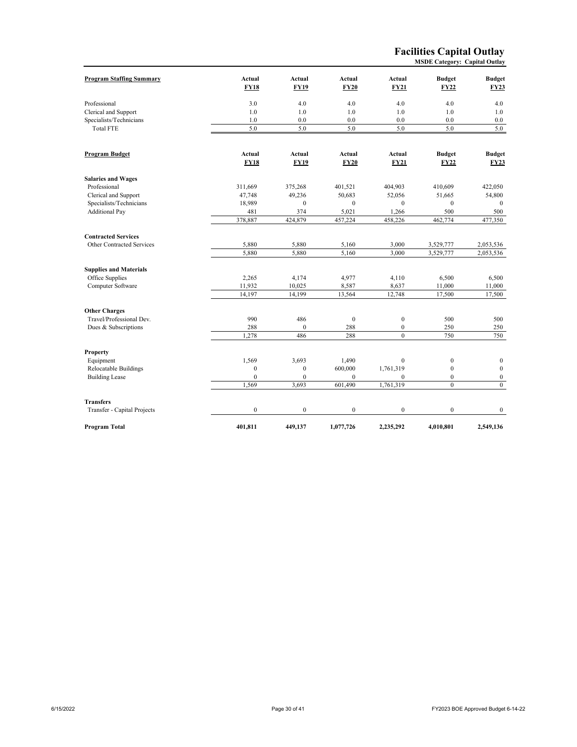#### **Facilities Capital Outlay MSDE Category: Capital Outlay**

| <b>Program Staffing Summary</b>  | Actual<br><b>FY18</b> | Actual<br><b>FY19</b> | Actual<br><b>FY20</b> | Actual<br><b>FY21</b> | <b>Budget</b><br><b>FY22</b> | <b>Budget</b><br><b>FY23</b> |
|----------------------------------|-----------------------|-----------------------|-----------------------|-----------------------|------------------------------|------------------------------|
| Professional                     | 3.0                   | 4.0                   | 4.0                   | 4.0                   | 4.0                          | 4.0                          |
| Clerical and Support             | 1.0                   | 1.0                   | 1.0                   | 1.0                   | 1.0                          | 1.0                          |
| Specialists/Technicians          | 1.0                   | 0.0                   | 0.0                   | 0.0                   | 0.0                          | 0.0                          |
| <b>Total FTE</b>                 | 5.0                   | 5.0                   | 5.0                   | 5.0                   | 5.0                          | 5.0                          |
|                                  |                       |                       |                       |                       |                              |                              |
| <b>Program Budget</b>            | <b>Actual</b>         | Actual                | Actual                | Actual                | <b>Budget</b>                | <b>Budget</b>                |
|                                  | <b>FY18</b>           | <b>FY19</b>           | <b>FY20</b>           | <b>FY21</b>           | <b>FY22</b>                  | <b>FY23</b>                  |
| <b>Salaries and Wages</b>        |                       |                       |                       |                       |                              |                              |
| Professional                     | 311,669               | 375,268               | 401,521               | 404,903               | 410,609                      | 422,050                      |
| Clerical and Support             | 47,748                | 49,236                | 50,683                | 52,056                | 51,665                       | 54,800                       |
| Specialists/Technicians          | 18,989                | $\mathbf{0}$          | $\mathbf{0}$          | $\mathbf{0}$          | $\mathbf{0}$                 | $\mathbf{0}$                 |
| <b>Additional Pay</b>            | 481                   | 374                   | 5,021                 | 1,266                 | 500                          | 500                          |
|                                  | 378,887               | 424,879               | 457,224               | 458,226               | 462,774                      | 477,350                      |
| <b>Contracted Services</b>       |                       |                       |                       |                       |                              |                              |
| <b>Other Contracted Services</b> | 5,880                 | 5,880                 | 5,160                 | 3,000                 | 3,529,777                    | 2,053,536                    |
|                                  | 5,880                 | 5,880                 | 5,160                 | 3,000                 | 3,529,777                    | 2,053,536                    |
| <b>Supplies and Materials</b>    |                       |                       |                       |                       |                              |                              |
| Office Supplies                  | 2,265                 | 4,174                 | 4,977                 | 4,110                 | 6,500                        | 6,500                        |
| Computer Software                | 11,932                | 10,025                | 8,587                 | 8,637                 | 11,000                       | 11,000                       |
|                                  | 14,197                | 14,199                | 13,564                | 12,748                | 17,500                       | 17,500                       |
| <b>Other Charges</b>             |                       |                       |                       |                       |                              |                              |
| Travel/Professional Dev.         | 990                   | 486                   | $\mathbf{0}$          | $\boldsymbol{0}$      | 500                          | 500                          |
| Dues & Subscriptions             | 288                   | $\mathbf{0}$          | 288                   | $\boldsymbol{0}$      | 250                          | 250                          |
|                                  | 1,278                 | 486                   | 288                   | $\mathbf{0}$          | 750                          | 750                          |
| Property                         |                       |                       |                       |                       |                              |                              |
| Equipment                        | 1,569                 | 3,693                 | 1,490                 | $\boldsymbol{0}$      | $\boldsymbol{0}$             | $\bf{0}$                     |
| Relocatable Buildings            | $\mathbf{0}$          | $\mathbf{0}$          | 600,000               | 1,761,319             | $\mathbf{0}$                 | $\mathbf{0}$                 |
| <b>Building Lease</b>            | $\mathbf{0}$          | $\mathbf{0}$          | $\mathbf{0}$          | $\mathbf{0}$          | $\overline{0}$               | $\mathbf{0}$                 |
|                                  | 1,569                 | 3,693                 | 601,490               | 1,761,319             | $\theta$                     | $\mathbf{0}$                 |
| <b>Transfers</b>                 |                       |                       |                       |                       |                              |                              |
| Transfer - Capital Projects      | $\mathbf{0}$          | $\mathbf{0}$          | $\mathbf{0}$          | $\boldsymbol{0}$      | $\mathbf{0}$                 | $\mathbf{0}$                 |
| Program Total                    | 401,811               | 449,137               | 1,077,726             | 2,235,292             | 4,010,801                    | 2,549,136                    |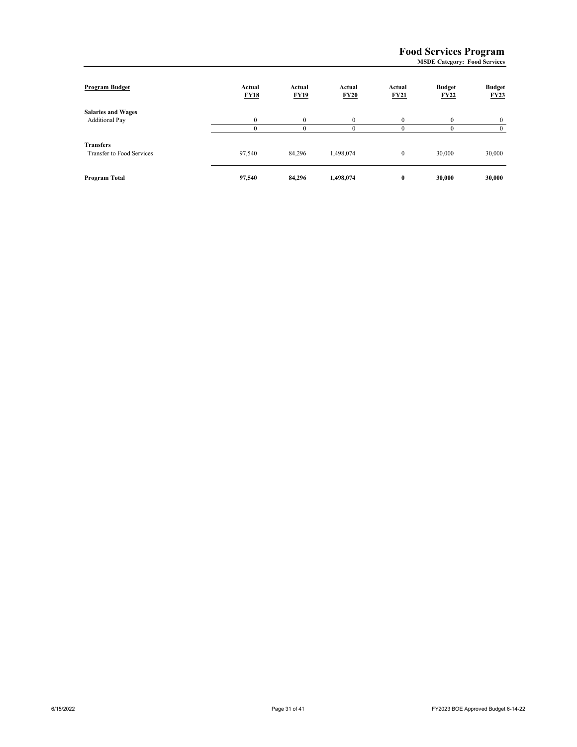# **Food Services Program**

| <b>MSDE Category: Food Services</b> |  |
|-------------------------------------|--|
|-------------------------------------|--|

| Program Budget            | Actual<br><b>FY18</b> | Actual<br><b>FY19</b> | Actual<br>FY20 | Actual<br><b>FY21</b> | <b>Budget</b><br><b>FY22</b> | <b>Budget</b><br>FY23 |
|---------------------------|-----------------------|-----------------------|----------------|-----------------------|------------------------------|-----------------------|
| <b>Salaries and Wages</b> |                       |                       |                |                       |                              |                       |
| <b>Additional Pay</b>     | $\theta$              | $\theta$              | $\Omega$       | $\Omega$              | $\Omega$                     | $\Omega$              |
|                           |                       |                       |                |                       |                              |                       |
| <b>Transfers</b>          |                       |                       |                |                       |                              |                       |
| Transfer to Food Services | 97,540                | 84,296                | 1,498,074      | $\mathbf{0}$          | 30,000                       | 30,000                |
|                           |                       |                       |                |                       |                              |                       |
| Program Total             | 97,540                | 84.296                | 1,498,074      | $\bf{0}$              | 30,000                       | 30,000                |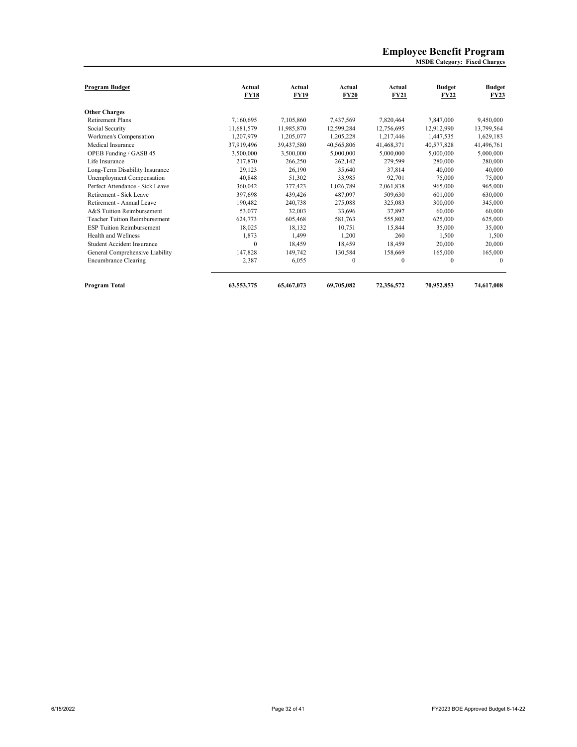#### **MSDE Category: Fixed Charges Employee Benefit Program**

| Program Budget                       | Actual<br><b>FY18</b> | Actual<br><b>FY19</b> | Actual<br><b>FY20</b> | Actual<br><b>FY21</b> | <b>Budget</b><br><b>FY22</b> | <b>Budget</b><br><b>FY23</b> |
|--------------------------------------|-----------------------|-----------------------|-----------------------|-----------------------|------------------------------|------------------------------|
| <b>Other Charges</b>                 |                       |                       |                       |                       |                              |                              |
| <b>Retirement Plans</b>              | 7,160,695             | 7.105.860             | 7,437,569             | 7,820,464             | 7,847,000                    | 9,450,000                    |
| Social Security                      | 11,681,579            | 11,985,870            | 12,599,284            | 12,756,695            | 12,912,990                   | 13,799,564                   |
| Workmen's Compensation               | 1.207.979             | 1.205.077             | 1,205,228             | 1.217.446             | 1.447.535                    | 1,629,183                    |
| Medical Insurance                    | 37.919.496            | 39,437,580            | 40,565,806            | 41,468,371            | 40,577,828                   | 41,496,761                   |
| OPEB Funding / GASB 45               | 3,500,000             | 3,500,000             | 5,000,000             | 5,000,000             | 5,000,000                    | 5,000,000                    |
| Life Insurance                       | 217,870               | 266,250               | 262,142               | 279,599               | 280,000                      | 280,000                      |
| Long-Term Disability Insurance       | 29,123                | 26,190                | 35,640                | 37.814                | 40,000                       | 40,000                       |
| Unemployment Compensation            | 40,848                | 51,302                | 33,985                | 92.701                | 75,000                       | 75,000                       |
| Perfect Attendance - Sick Leave      | 360,042               | 377,423               | 1,026,789             | 2,061,838             | 965,000                      | 965,000                      |
| Retirement - Sick Leave              | 397,698               | 439,426               | 487,097               | 509,630               | 601,000                      | 630,000                      |
| Retirement - Annual Leave            | 190.482               | 240,738               | 275,088               | 325,083               | 300,000                      | 345,000                      |
| A&S Tuition Reimbursement            | 53,077                | 32,003                | 33,696                | 37,897                | 60,000                       | 60,000                       |
| <b>Teacher Tuition Reimbursement</b> | 624,773               | 605,468               | 581,763               | 555,802               | 625,000                      | 625,000                      |
| <b>ESP Tuition Reimbursement</b>     | 18.025                | 18.132                | 10.751                | 15.844                | 35,000                       | 35,000                       |
| Health and Wellness                  | 1,873                 | 1.499                 | 1.200                 | 260                   | 1.500                        | 1,500                        |
| Student Accident Insurance           | $\mathbf{0}$          | 18.459                | 18,459                | 18,459                | 20,000                       | 20,000                       |
| General Comprehensive Liability      | 147,828               | 149,742               | 130,584               | 158,669               | 165,000                      | 165,000                      |
| <b>Encumbrance Clearing</b>          | 2,387                 | 6,055                 | $\theta$              | $\theta$              | $\theta$                     | $\Omega$                     |
| Program Total                        | 63,553,775            | 65,467,073            | 69,705,082            | 72,356,572            | 70.952.853                   | 74,617,008                   |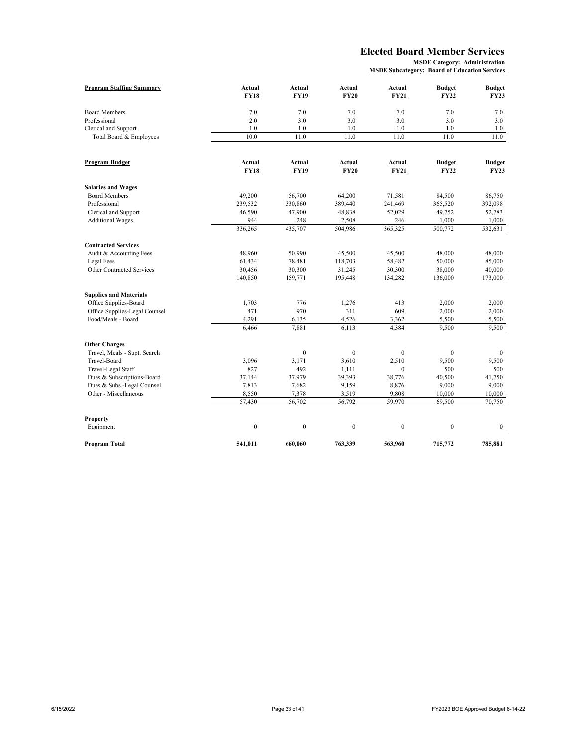# **Elected Board Member Services**

|                                 |                  |              |                | <b>MSDE Subcategory: Board of Education Services</b> |               |               |
|---------------------------------|------------------|--------------|----------------|------------------------------------------------------|---------------|---------------|
| <b>Program Staffing Summary</b> | Actual           | Actual       | Actual         | Actual                                               | <b>Budget</b> | <b>Budget</b> |
|                                 | <b>FY18</b>      | <b>FY19</b>  | <b>FY20</b>    | <b>FY21</b>                                          | <b>FY22</b>   | <b>FY23</b>   |
| <b>Board Members</b>            | 7.0              | 7.0          | 7.0            | 7.0                                                  | 7.0           | 7.0           |
| Professional                    | 2.0              | 3.0          | 3.0            | 3.0                                                  | 3.0           | 3.0           |
| Clerical and Support            | 1.0              | 1.0          | 1.0            | 1.0                                                  | 1.0           | 1.0           |
| Total Board & Employees         | 10.0             | 11.0         | 11.0           | 11.0                                                 | 11.0          | 11.0          |
|                                 |                  |              |                |                                                      |               |               |
| <b>Program Budget</b>           | Actual           | Actual       | Actual         | <b>Actual</b>                                        | <b>Budget</b> | <b>Budget</b> |
|                                 | <b>FY18</b>      | <b>FY19</b>  | <b>FY20</b>    | <b>FY21</b>                                          | <b>FY22</b>   | <b>FY23</b>   |
| <b>Salaries and Wages</b>       |                  |              |                |                                                      |               |               |
| <b>Board Members</b>            | 49,200           | 56,700       | 64,200         | 71,581                                               | 84,500        | 86,750        |
| Professional                    | 239,532          | 330,860      | 389,440        | 241,469                                              | 365,520       | 392,098       |
| Clerical and Support            | 46,590           | 47,900       | 48,838         | 52,029                                               | 49,752        | 52,783        |
| <b>Additional Wages</b>         | 944              | 248          | 2,508          | 246                                                  | 1,000         | 1,000         |
|                                 | 336,265          | 435,707      | 504,986        | 365,325                                              | 500,772       | 532,631       |
| <b>Contracted Services</b>      |                  |              |                |                                                      |               |               |
| Audit & Accounting Fees         | 48,960           | 50,990       | 45,500         | 45,500                                               | 48,000        | 48,000        |
| Legal Fees                      | 61,434           | 78,481       | 118,703        | 58,482                                               | 50,000        | 85,000        |
| Other Contracted Services       | 30,456           | 30,300       | 31,245         | 30,300                                               | 38,000        | 40,000        |
|                                 | 140,850          | 159,771      | 195,448        | 134,282                                              | 136,000       | 173,000       |
| <b>Supplies and Materials</b>   |                  |              |                |                                                      |               |               |
| Office Supplies-Board           | 1,703            | 776          | 1,276          | 413                                                  | 2,000         | 2,000         |
| Office Supplies-Legal Counsel   | 471              | 970          | 311            | 609                                                  | 2,000         | 2,000         |
| Food/Meals - Board              | 4,291            | 6,135        | 4,526          | 3,362                                                | 5,500         | 5,500         |
|                                 | 6,466            | 7,881        | 6,113          | 4,384                                                | 9,500         | 9,500         |
| <b>Other Charges</b>            |                  |              |                |                                                      |               |               |
| Travel, Meals - Supt. Search    |                  | $\mathbf{0}$ | $\mathbf{0}$   | $\mathbf{0}$                                         | $\mathbf{0}$  | $\theta$      |
| Travel-Board                    | 3,096            | 3,171        | 3,610          | 2,510                                                | 9,500         | 9,500         |
| Travel-Legal Staff              | 827              | 492          | 1,111          | $\Omega$                                             | 500           | 500           |
| Dues & Subscriptions-Board      | 37.144           | 37,979       | 39,393         | 38,776                                               | 40,500        | 41.750        |
| Dues & Subs.-Legal Counsel      | 7,813            | 7,682        | 9,159          | 8,876                                                | 9,000         | 9,000         |
| Other - Miscellaneous           | 8,550            | 7,378        | 3,519          | 9,808                                                | 10,000        | 10,000        |
|                                 | 57,430           | 56,702       | 56,792         | 59,970                                               | 69,500        | 70,750        |
| <b>Property</b>                 |                  |              |                |                                                      |               |               |
| Equipment                       | $\boldsymbol{0}$ | $\mathbf{0}$ | $\overline{0}$ | $\boldsymbol{0}$                                     | $\mathbf{0}$  | $\mathbf{0}$  |
| Program Total                   | 541.011          | 660.060      | 763,339        | 563,960                                              | 715,772       | 785,881       |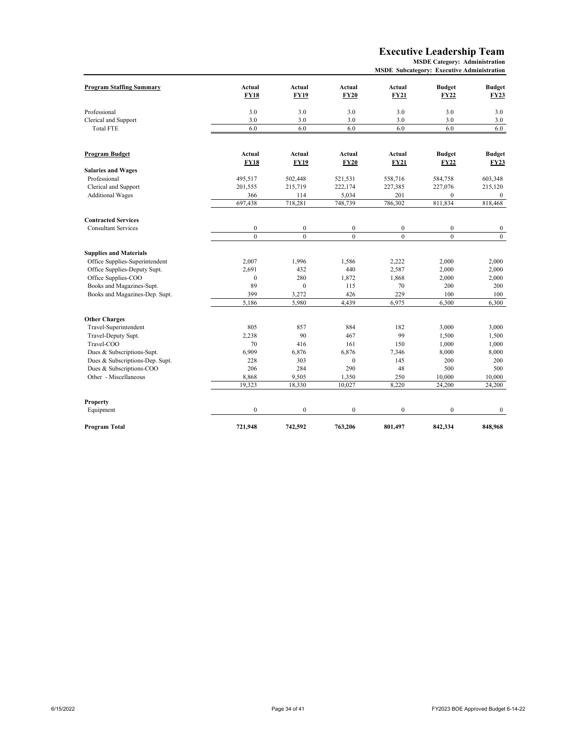#### **Executive Leadership Team**

|  |  |  | <b>MSDE Subcategory: Executive Administration</b> |
|--|--|--|---------------------------------------------------|
|--|--|--|---------------------------------------------------|

| <b>Program Staffing Summary</b> | Actual           | Actual           | Actual           | Actual           | <b>Budget</b>    | <b>Budget</b>  |
|---------------------------------|------------------|------------------|------------------|------------------|------------------|----------------|
|                                 | <b>FY18</b>      | <b>FY19</b>      | <b>FY20</b>      | <b>FY21</b>      | <b>FY22</b>      | <b>FY23</b>    |
| Professional                    | 3.0              | 3.0              | 3.0              | 3.0              | 3.0              | 3.0            |
| Clerical and Support            | 3.0              | 3.0              | 3.0              | 3.0              | 3.0              | 3.0            |
| <b>Total FTE</b>                | 6.0              | 6.0              | 6.0              | 6.0              | 6.0              | 6.0            |
| <b>Program Budget</b>           | Actual           | Actual           | Actual           | Actual           | <b>Budget</b>    | <b>Budget</b>  |
|                                 | <b>FY18</b>      | <b>FY19</b>      | <b>FY20</b>      | <b>FY21</b>      | <b>FY22</b>      | <b>FY23</b>    |
| <b>Salaries and Wages</b>       |                  |                  |                  |                  |                  |                |
| Professional                    | 495,517          | 502,448          | 521,531          | 558,716          | 584,758          | 603,348        |
| Clerical and Support            | 201,555          | 215,719          | 222,174          | 227,385          | 227,076          | 215,120        |
| <b>Additional Wages</b>         | 366              | 114              | 5,034            | 201              | $\mathbf{0}$     | $\bf{0}$       |
|                                 | 697,438          | 718,281          | 748,739          | 786,302          | 811,834          | 818,468        |
| <b>Contracted Services</b>      |                  |                  |                  |                  |                  |                |
| <b>Consultant Services</b>      | $\boldsymbol{0}$ | $\boldsymbol{0}$ | $\boldsymbol{0}$ | $\boldsymbol{0}$ | $\mathbf{0}$     | $\bf{0}$       |
|                                 | $\mathbf{0}$     | $\mathbf{0}$     | $\overline{0}$   | $\mathbf{0}$     | $\overline{0}$   | $\overline{0}$ |
| <b>Supplies and Materials</b>   |                  |                  |                  |                  |                  |                |
| Office Supplies-Superintendent  | 2,007            | 1,996            | 1,586            | 2,222            | 2,000            | 2,000          |
| Office Supplies-Deputy Supt.    | 2,691            | 432              | 440              | 2,587            | 2,000            | 2,000          |
| Office Supplies-COO             | $\mathbf{0}$     | 280              | 1,872            | 1,868            | 2,000            | 2,000          |
| Books and Magazines-Supt.       | 89               | $\mathbf{0}$     | 115              | 70               | 200              | 200            |
| Books and Magazines-Dep. Supt.  | 399              | 3,272            | 426              | 229              | 100              | 100            |
|                                 | 5,186            | 5,980            | 4,439            | 6,975            | 6,300            | 6,300          |
| <b>Other Charges</b>            |                  |                  |                  |                  |                  |                |
| Travel-Superintendent           | 805              | 857              | 884              | 182              | 3,000            | 3,000          |
| Travel-Deputy Supt.             | 2,238            | 90               | 467              | 99               | 1,500            | 1,500          |
| Travel-COO                      | 70               | 416              | 161              | 150              | 1,000            | 1,000          |
| Dues & Subscriptions-Supt.      | 6,909            | 6,876            | 6,876            | 7,346            | 8,000            | 8,000          |
| Dues & Subscriptions-Dep. Supt. | 228              | 303              | $\mathbf{0}$     | 145              | 200              | 200            |
| Dues & Subscriptions-COO        | 206              | 284              | 290              | 48               | 500              | 500            |
| Other - Miscellaneous           | 8,868            | 9,505            | 1,350            | 250              | 10,000           | 10,000         |
|                                 | 19,323           | 18,330           | 10,027           | 8,220            | 24,200           | 24,200         |
| Property                        |                  |                  |                  |                  |                  |                |
| Equipment                       | $\boldsymbol{0}$ | $\boldsymbol{0}$ | $\boldsymbol{0}$ | $\boldsymbol{0}$ | $\boldsymbol{0}$ | $\bf{0}$       |
| Program Total                   | 721,948          | 742,592          | 763,206          | 801,497          | 842,334          | 848,968        |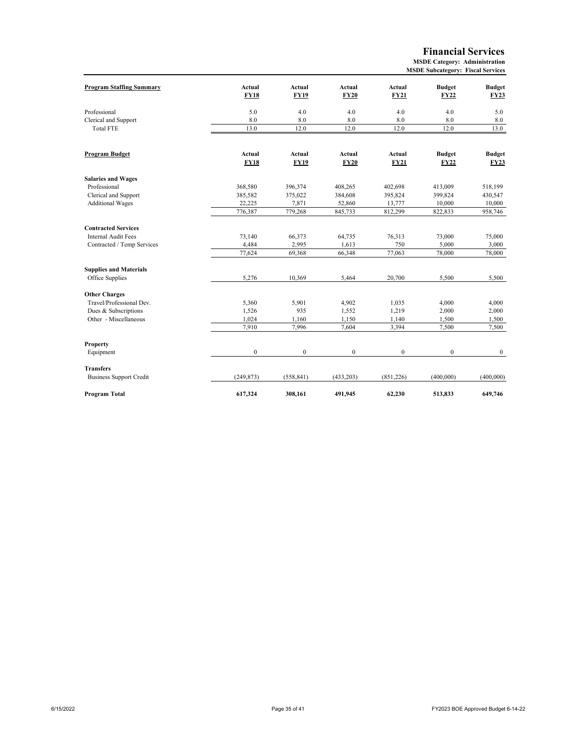**Financial Services**

|                                 |                       |                       |                       |                       | <b>MSDE Subcategory: Fiscal Services</b> |                              |
|---------------------------------|-----------------------|-----------------------|-----------------------|-----------------------|------------------------------------------|------------------------------|
| <b>Program Staffing Summary</b> | Actual<br><b>FY18</b> | Actual<br><b>FY19</b> | Actual<br><b>FY20</b> | Actual<br><b>FY21</b> | <b>Budget</b><br><b>FY22</b>             | <b>Budget</b><br><b>FY23</b> |
| Professional                    | 5.0                   | 4.0                   | 4.0                   | 4.0                   | 4.0                                      | 5.0                          |
| Clerical and Support            | 8.0                   | 8.0                   | 8.0                   | 8.0                   | 8.0                                      | 8.0                          |
| <b>Total FTE</b>                | 13.0                  | 12.0                  | 12.0                  | 12.0                  | 12.0                                     | 13.0                         |
| Program Budget                  | Actual                | Actual                | Actual                | Actual                | <b>Budget</b>                            | <b>Budget</b>                |
|                                 | <b>FY18</b>           | <b>FY19</b>           | FY20                  | FY21                  | <b>FY22</b>                              | <b>FY23</b>                  |
| <b>Salaries and Wages</b>       |                       |                       |                       |                       |                                          |                              |
| Professional                    | 368,580               | 396,374               | 408,265               | 402,698               | 413,009                                  | 518,199                      |
| Clerical and Support            | 385,582               | 375,022               | 384,608               | 395,824               | 399,824                                  | 430,547                      |
| <b>Additional Wages</b>         | 22,225                | 7,871                 | 52,860                | 13,777                | 10,000                                   | 10,000                       |
|                                 | 776,387               | 779,268               | 845,733               | 812,299               | 822,833                                  | 958,746                      |
| <b>Contracted Services</b>      |                       |                       |                       |                       |                                          |                              |
| <b>Internal Audit Fees</b>      | 73,140                | 66,373                | 64,735                | 76,313                | 73,000                                   | 75,000                       |
| Contracted / Temp Services      | 4,484                 | 2,995                 | 1,613                 | 750                   | 5,000                                    | 3,000                        |
|                                 | 77,624                | 69,368                | 66,348                | 77,063                | 78,000                                   | 78,000                       |
| <b>Supplies and Materials</b>   |                       |                       |                       |                       |                                          |                              |
| Office Supplies                 | 5,276                 | 10,369                | 5,464                 | 20,700                | 5,500                                    | 5,500                        |
| <b>Other Charges</b>            |                       |                       |                       |                       |                                          |                              |
| Travel/Professional Dev.        | 5,360                 | 5,901                 | 4,902                 | 1,035                 | 4,000                                    | 4,000                        |
| Dues & Subscriptions            | 1,526                 | 935                   | 1,552                 | 1,219                 | 2,000                                    | 2,000                        |
| Other - Miscellaneous           | 1,024                 | 1,160                 | 1,150                 | 1,140                 | 1,500                                    | 1,500                        |
|                                 | 7,910                 | 7,996                 | 7,604                 | 3,394                 | 7,500                                    | 7,500                        |
| Property                        |                       |                       |                       |                       |                                          |                              |
| Equipment                       | $\boldsymbol{0}$      | $\boldsymbol{0}$      | $\boldsymbol{0}$      | $\boldsymbol{0}$      | $\boldsymbol{0}$                         | $\bf{0}$                     |
| <b>Transfers</b>                |                       |                       |                       |                       |                                          |                              |
| <b>Business Support Credit</b>  | (249, 873)            | (558, 841)            | (433,203)             | (851, 226)            | (400,000)                                | (400,000)                    |
| Program Total                   | 617,324               | 308,161               | 491,945               | 62,230                | 513,833                                  | 649,746                      |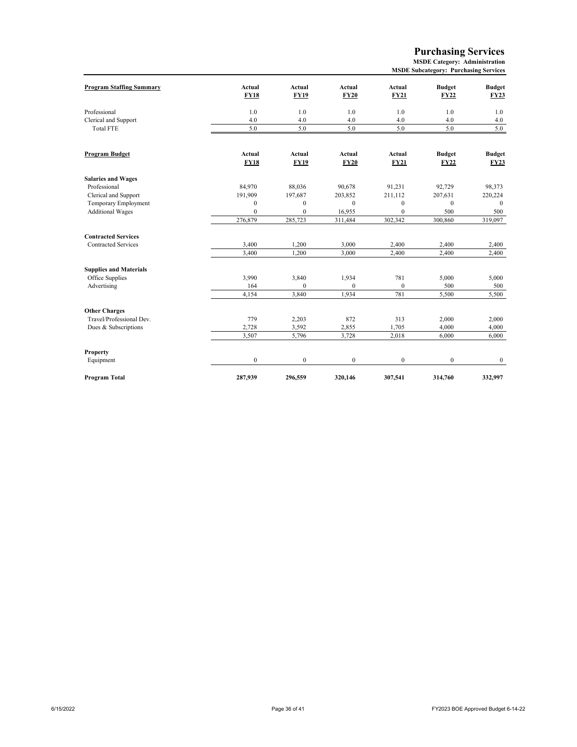#### **Purchasing Services**

| <b>MSDE Subcategory: Purchasing Services</b> |  |
|----------------------------------------------|--|
|----------------------------------------------|--|

| <b>Program Staffing Summary</b> | <b>Actual</b><br><b>FY18</b> | Actual<br><b>FY19</b> | Actual<br><b>FY20</b> | Actual<br><b>FY21</b> | <b>Budget</b><br><b>FY22</b> | <b>Budget</b><br><b>FY23</b> |
|---------------------------------|------------------------------|-----------------------|-----------------------|-----------------------|------------------------------|------------------------------|
| Professional                    | 1.0                          | 1.0                   | 1.0                   | 1.0                   | 1.0                          | 1.0                          |
| Clerical and Support            | 4.0                          | 4.0                   | 4.0                   | 4.0                   | 4.0                          | 4.0                          |
| <b>Total FTE</b>                | 5.0                          | 5.0                   | 5.0                   | 5.0                   | 5.0                          | 5.0                          |
|                                 |                              |                       |                       |                       |                              |                              |
| Program Budget                  | Actual                       | Actual                | Actual                | Actual                | <b>Budget</b>                | <b>Budget</b>                |
|                                 | <b>FY18</b>                  | <b>FY19</b>           | <b>FY20</b>           | <b>FY21</b>           | <b>FY22</b>                  | <b>FY23</b>                  |
| <b>Salaries and Wages</b>       |                              |                       |                       |                       |                              |                              |
| Professional                    | 84,970                       | 88,036                | 90,678                | 91,231                | 92.729                       | 98,373                       |
| Clerical and Support            | 191,909                      | 197,687               | 203,852               | 211,112               | 207,631                      | 220,224                      |
| Temporary Employment            | $\mathbf{0}$                 | $\mathbf{0}$          | $\mathbf{0}$          | $\mathbf{0}$          | $\mathbf{0}$                 | $\mathbf{0}$                 |
| <b>Additional Wages</b>         | $\mathbf{0}$                 | $\mathbf{0}$          | 16,955                | $\mathbf{0}$          | 500                          | 500                          |
|                                 | 276,879                      | 285,723               | 311,484               | 302,342               | 300,860                      | 319,097                      |
| <b>Contracted Services</b>      |                              |                       |                       |                       |                              |                              |
| <b>Contracted Services</b>      | 3,400                        | 1,200                 | 3,000                 | 2,400                 | 2,400                        | 2,400                        |
|                                 | 3,400                        | 1,200                 | 3,000                 | 2,400                 | 2,400                        | 2,400                        |
| <b>Supplies and Materials</b>   |                              |                       |                       |                       |                              |                              |
| Office Supplies                 | 3,990                        | 3,840                 | 1,934                 | 781                   | 5,000                        | 5,000                        |
| Advertising                     | 164                          | $\Omega$              | $\Omega$              | $\boldsymbol{0}$      | 500                          | 500                          |
|                                 | 4,154                        | 3,840                 | 1,934                 | 781                   | 5,500                        | 5,500                        |
| <b>Other Charges</b>            |                              |                       |                       |                       |                              |                              |
| Travel/Professional Dev.        | 779                          | 2,203                 | 872                   | 313                   | 2,000                        | 2,000                        |
| Dues & Subscriptions            | 2,728                        | 3,592                 | 2,855                 | 1,705                 | 4,000                        | 4,000                        |
|                                 | 3,507                        | 5,796                 | 3,728                 | 2,018                 | 6,000                        | 6,000                        |
| Property                        |                              |                       |                       |                       |                              |                              |
| Equipment                       | $\bf{0}$                     | $\bf{0}$              | $\boldsymbol{0}$      | $\boldsymbol{0}$      | $\boldsymbol{0}$             | $\mathbf{0}$                 |
| Program Total                   | 287,939                      | 296,559               | 320.146               | 307,541               | 314,760                      | 332,997                      |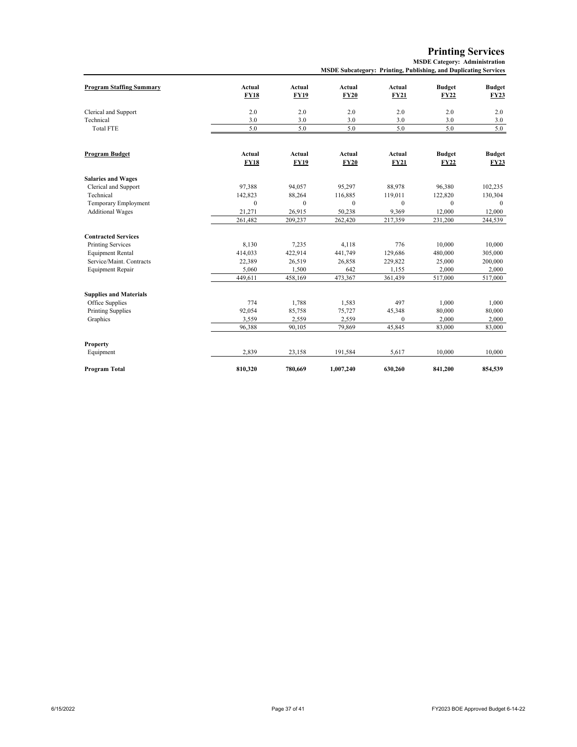**Printing Services**

**MSDE Category: Administration**

|                                 |              | мэрт эпосалдогу. Типинд, гионянид, ана рирнеанид эсгүлсэ |             |              |               |               |  |
|---------------------------------|--------------|----------------------------------------------------------|-------------|--------------|---------------|---------------|--|
| <b>Program Staffing Summary</b> | Actual       | Actual                                                   | Actual      | Actual       | <b>Budget</b> | <b>Budget</b> |  |
|                                 | <b>FY18</b>  | <b>FY19</b>                                              | <b>FY20</b> | <b>FY21</b>  | <b>FY22</b>   | <b>FY23</b>   |  |
|                                 |              |                                                          |             |              |               |               |  |
| Clerical and Support            | 2.0          | 2.0                                                      | 2.0         | 2.0          | 2.0           | 2.0           |  |
| Technical                       | 3.0<br>5.0   | 3.0<br>5.0                                               | 3.0         | 3.0<br>5.0   | 3.0<br>5.0    | 3.0<br>5.0    |  |
| <b>Total FTE</b>                |              |                                                          | 5.0         |              |               |               |  |
| <b>Program Budget</b>           | Actual       | Actual                                                   | Actual      | Actual       | <b>Budget</b> | <b>Budget</b> |  |
|                                 | <b>FY18</b>  | <b>FY19</b>                                              | <b>FY20</b> | <b>FY21</b>  | <b>FY22</b>   | <b>FY23</b>   |  |
| <b>Salaries and Wages</b>       |              |                                                          |             |              |               |               |  |
| Clerical and Support            | 97,388       | 94,057                                                   | 95,297      | 88,978       | 96,380        | 102,235       |  |
| Technical                       | 142,823      | 88,264                                                   | 116,885     | 119,011      | 122,820       | 130,304       |  |
| Temporary Employment            | $\mathbf{0}$ | $\Omega$                                                 | $\Omega$    | $\mathbf{0}$ | $\theta$      | $\theta$      |  |
| <b>Additional Wages</b>         | 21,271       | 26,915                                                   | 50,238      | 9,369        | 12,000        | 12,000        |  |
|                                 | 261,482      | 209,237                                                  | 262,420     | 217,359      | 231,200       | 244,539       |  |
| <b>Contracted Services</b>      |              |                                                          |             |              |               |               |  |
| <b>Printing Services</b>        | 8,130        | 7,235                                                    | 4,118       | 776          | 10.000        | 10,000        |  |
| <b>Equipment Rental</b>         | 414,033      | 422,914                                                  | 441,749     | 129,686      | 480,000       | 305,000       |  |
| Service/Maint. Contracts        | 22,389       | 26,519                                                   | 26,858      | 229,822      | 25,000        | 200,000       |  |
| <b>Equipment Repair</b>         | 5,060        | 1,500                                                    | 642         | 1,155        | 2,000         | 2,000         |  |
|                                 | 449,611      | 458,169                                                  | 473,367     | 361,439      | 517,000       | 517,000       |  |
| <b>Supplies and Materials</b>   |              |                                                          |             |              |               |               |  |
| Office Supplies                 | 774          | 1,788                                                    | 1,583       | 497          | 1,000         | 1,000         |  |
| <b>Printing Supplies</b>        | 92,054       | 85,758                                                   | 75,727      | 45,348       | 80,000        | 80,000        |  |
| Graphics                        | 3,559        | 2,559                                                    | 2,559       | $\mathbf{0}$ | 2,000         | 2,000         |  |
|                                 | 96,388       | 90,105                                                   | 79,869      | 45,845       | 83,000        | 83,000        |  |
| Property                        |              |                                                          |             |              |               |               |  |
| Equipment                       | 2,839        | 23,158                                                   | 191,584     | 5,617        | 10.000        | 10,000        |  |
| Program Total                   | 810,320      | 780,669                                                  | 1,007,240   | 630,260      | 841,200       | 854,539       |  |

**MSDE Subcategory: Printing, Publishing, and Duplicating Services**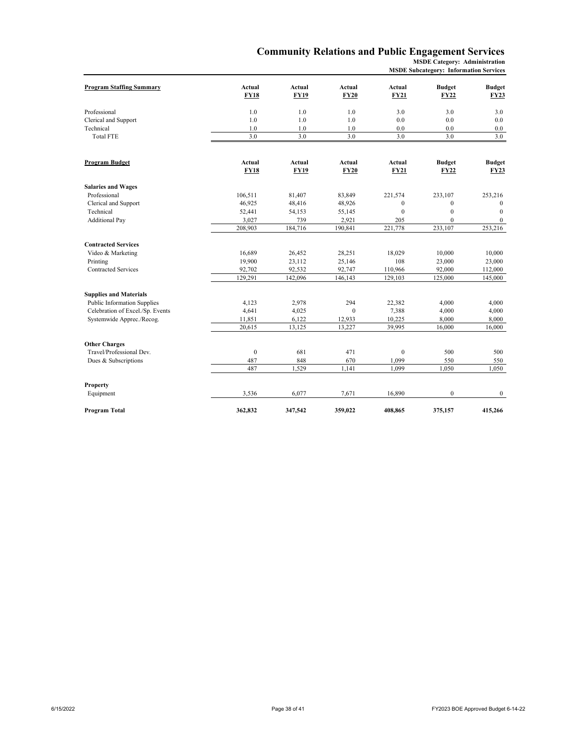# **Community Relations and Public Engagement Services**

**MSDE Category: Administration MSDE Subcategory: Information Services**

| <b>Program Staffing Summary</b>    | <b>Actual</b><br><b>FY18</b> | Actual<br><b>FY19</b> | Actual<br><b>FY20</b> | Actual<br><b>FY21</b>        | <b>Budget</b><br><b>FY22</b> | <b>Budget</b><br><b>FY23</b> |
|------------------------------------|------------------------------|-----------------------|-----------------------|------------------------------|------------------------------|------------------------------|
| Professional                       | 1.0                          | 1.0                   | 1.0                   | 3.0                          | 3.0                          | 3.0                          |
| Clerical and Support               | 1.0                          | 1.0                   | 1.0                   | 0.0                          | 0.0                          | 0.0                          |
| Technical                          | 1.0                          | 1.0                   | 1.0                   | 0.0                          | 0.0                          | 0.0                          |
| <b>Total FTE</b>                   | 3.0                          | 3.0                   | 3.0                   | 3.0                          | 3.0                          | 3.0                          |
|                                    |                              |                       |                       |                              |                              |                              |
| <b>Program Budget</b>              | <b>Actual</b><br><b>FY18</b> | Actual<br><b>FY19</b> | Actual<br><b>FY20</b> | <b>Actual</b><br><b>FY21</b> | <b>Budget</b><br><b>FY22</b> | <b>Budget</b><br><b>FY23</b> |
|                                    |                              |                       |                       |                              |                              |                              |
| <b>Salaries and Wages</b>          |                              |                       |                       |                              |                              |                              |
| Professional                       | 106,511                      | 81,407                | 83,849                | 221,574                      | 233,107                      | 253,216                      |
| Clerical and Support               | 46,925                       | 48,416                | 48,926                | $\boldsymbol{0}$             | $\mathbf{0}$                 | $\mathbf{0}$                 |
| Technical                          | 52,441                       | 54,153                | 55,145                | $\mathbf{0}$                 | $\mathbf{0}$                 | $\Omega$                     |
| <b>Additional Pay</b>              | 3,027                        | 739                   | 2,921                 | 205                          | $\mathbf{0}$                 | $\mathbf{0}$                 |
|                                    | 208,903                      | 184,716               | 190,841               | 221,778                      | 233,107                      | 253,216                      |
| <b>Contracted Services</b>         |                              |                       |                       |                              |                              |                              |
| Video & Marketing                  | 16,689                       | 26,452                | 28,251                | 18,029                       | 10,000                       | 10,000                       |
| Printing                           | 19,900                       | 23,112                | 25,146                | 108                          | 23,000                       | 23,000                       |
| <b>Contracted Services</b>         | 92,702                       | 92,532                | 92,747                | 110,966                      | 92,000                       | 112,000                      |
|                                    | 129,291                      | 142,096               | 146,143               | 129,103                      | 125,000                      | 145,000                      |
| <b>Supplies and Materials</b>      |                              |                       |                       |                              |                              |                              |
| <b>Public Information Supplies</b> | 4,123                        | 2,978                 | 294                   | 22,382                       | 4,000                        | 4,000                        |
| Celebration of Excel./Sp. Events   | 4,641                        | 4,025                 | $\boldsymbol{0}$      | 7,388                        | 4,000                        | 4,000                        |
| Systemwide Apprec./Recog.          | 11,851                       | 6,122                 | 12,933                | 10,225                       | 8,000                        | 8,000                        |
|                                    | 20,615                       | 13,125                | 13,227                | 39,995                       | 16,000                       | 16,000                       |
|                                    |                              |                       |                       |                              |                              |                              |
| <b>Other Charges</b>               |                              |                       |                       |                              |                              |                              |
| Travel/Professional Dev.           | $\mathbf{0}$                 | 681                   | 471                   | $\mathbf{0}$                 | 500                          | 500                          |
| Dues & Subscriptions               | 487                          | 848                   | 670                   | 1,099                        | 550                          | 550                          |
|                                    | 487                          | 1,529                 | 1,141                 | 1,099                        | 1,050                        | 1,050                        |
| Property                           |                              |                       |                       |                              |                              |                              |
| Equipment                          | 3,536                        | 6,077                 | 7,671                 | 16,890                       | $\mathbf{0}$                 | $\mathbf{0}$                 |
| Program Total                      | 362,832                      | 347,542               | 359,022               | 408,865                      | 375,157                      | 415,266                      |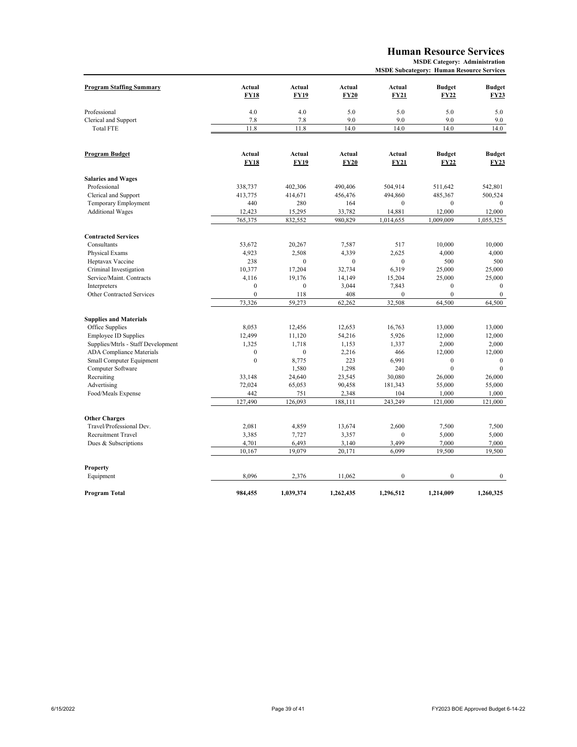# **Human Resource Services**

| <b>MSDE Subcategory: Human Resource Services</b> |  |  |  |
|--------------------------------------------------|--|--|--|
|--------------------------------------------------|--|--|--|

| <b>Program Staffing Summary</b>    | <b>Actual</b>    | <b>Actual</b> | Actual      | Actual           | <b>Budget</b>    | <b>Budget</b>    |
|------------------------------------|------------------|---------------|-------------|------------------|------------------|------------------|
|                                    | <b>FY18</b>      | <b>FY19</b>   | <b>FY20</b> | <b>FY21</b>      | <b>FY22</b>      | <b>FY23</b>      |
| Professional                       | 4.0              | 4.0           | 5.0         | 5.0              | 5.0              | 5.0              |
| Clerical and Support               | 7.8              | 7.8           | 9.0         | 9.0              | 9.0              | 9.0              |
| <b>Total FTE</b>                   | 11.8             | 11.8          | 14.0        | 14.0             | 14.0             | 14.0             |
|                                    |                  |               |             |                  |                  |                  |
| Program Budget                     | Actual           | Actual        | Actual      | Actual           | <b>Budget</b>    | <b>Budget</b>    |
|                                    | <b>FY18</b>      | <b>FY19</b>   | <b>FY20</b> | <b>FY21</b>      | <b>FY22</b>      | <b>FY23</b>      |
| <b>Salaries and Wages</b>          |                  |               |             |                  |                  |                  |
| Professional                       | 338,737          | 402,306       | 490,406     | 504,914          | 511,642          | 542,801          |
| Clerical and Support               | 413,775          | 414,671       | 456,476     | 494,860          | 485,367          | 500,524          |
| Temporary Employment               | 440              | 280           | 164         | $\mathbf{0}$     | $\mathbf{0}$     | $\theta$         |
| <b>Additional Wages</b>            | 12,423           | 15,295        | 33,782      | 14,881           | 12,000           | 12,000           |
|                                    | 765,375          | 832,552       | 980,829     | 1,014,655        | 1,009,009        | 1,055,325        |
| <b>Contracted Services</b>         |                  |               |             |                  |                  |                  |
| Consultants                        | 53,672           | 20,267        | 7,587       | 517              | 10,000           | 10,000           |
| Physical Exams                     | 4,923            | 2,508         | 4,339       | 2,625            | 4,000            | 4,000            |
| Heptavax Vaccine                   | 238              | $\mathbf{0}$  | $\theta$    | $\mathbf{0}$     | 500              | 500              |
| Criminal Investigation             | 10,377           | 17,204        | 32,734      | 6,319            | 25,000           | 25,000           |
| Service/Maint. Contracts           | 4,116            | 19,176        | 14,149      | 15,204           | 25,000           | 25,000           |
| Interpreters                       | $\mathbf{0}$     | $\mathbf{0}$  | 3,044       | 7,843            | $\boldsymbol{0}$ | $\mathbf{0}$     |
| Other Contracted Services          | $\mathbf{0}$     | 118           | 408         | $\mathbf{0}$     | $\overline{0}$   | $\mathbf{0}$     |
|                                    | 73,326           | 59,273        | 62,262      | 32,508           | 64,500           | 64,500           |
| <b>Supplies and Materials</b>      |                  |               |             |                  |                  |                  |
| Office Supplies                    | 8,053            | 12,456        | 12,653      | 16,763           | 13,000           | 13,000           |
| <b>Employee ID Supplies</b>        | 12,499           | 11,120        | 54,216      | 5,926            | 12,000           | 12,000           |
| Supplies/Mtrls - Staff Development | 1,325            | 1,718         | 1,153       | 1,337            | 2,000            | 2,000            |
| <b>ADA Compliance Materials</b>    | $\boldsymbol{0}$ | $\mathbf{0}$  | 2,216       | 466              | 12,000           | 12,000           |
| Small Computer Equipment           | $\boldsymbol{0}$ | 8,775         | 223         | 6,991            | $\boldsymbol{0}$ | $\mathbf{0}$     |
| Computer Software                  |                  | 1,580         | 1,298       | 240              | $\mathbf{0}$     | $\Omega$         |
| Recruiting                         | 33,148           | 24,640        | 23,545      | 30,080           | 26,000           | 26,000           |
| Advertising                        | 72,024           | 65,053        | 90,458      | 181,343          | 55,000           | 55,000           |
| Food/Meals Expense                 | 442              | 751           | 2,348       | 104              | 1,000            | 1,000            |
|                                    | 127,490          | 126,093       | 188,111     | 243,249          | 121,000          | 121,000          |
| <b>Other Charges</b>               |                  |               |             |                  |                  |                  |
| Travel/Professional Dev.           | 2,081            | 4,859         | 13,674      | 2,600            | 7,500            | 7,500            |
| Recruitment Travel                 | 3,385            | 7,727         | 3,357       | $\boldsymbol{0}$ | 5,000            | 5,000            |
| Dues & Subscriptions               | 4,701            | 6,493         | 3,140       | 3,499            | 7,000            | 7,000            |
|                                    | 10,167           | 19,079        | 20,171      | 6,099            | 19,500           | 19,500           |
|                                    |                  |               |             |                  |                  |                  |
| Property<br>Equipment              | 8,096            | 2,376         | 11,062      | $\boldsymbol{0}$ | $\boldsymbol{0}$ | $\boldsymbol{0}$ |
|                                    |                  |               |             |                  |                  |                  |
| Program Total                      | 984,455          | 1,039,374     | 1,262,435   | 1,296,512        | 1,214,009        | 1,260,325        |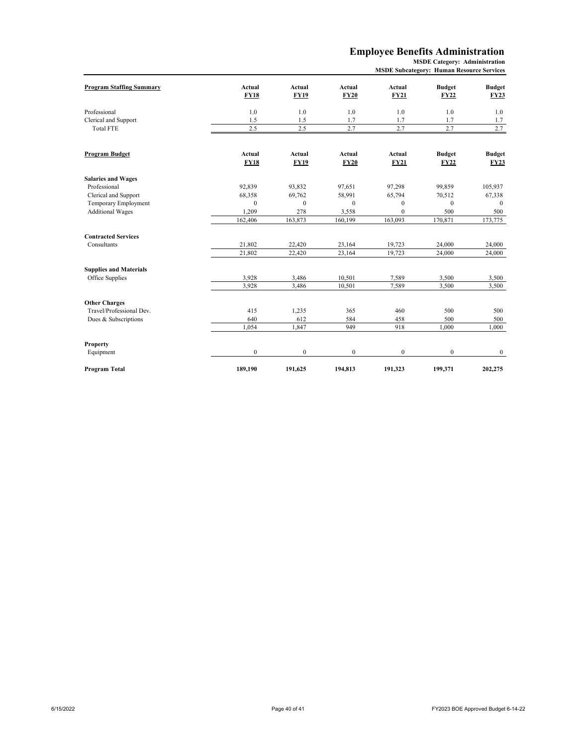## **Employee Benefits Administration**

| <b>Program Staffing Summary</b> | Actual<br><b>FY18</b> | Actual<br><b>FY19</b> | Actual<br><b>FY20</b> | Actual<br><b>FY21</b> | <b>Budget</b><br><b>FY22</b> | <b>Budget</b><br><b>FY23</b> |
|---------------------------------|-----------------------|-----------------------|-----------------------|-----------------------|------------------------------|------------------------------|
| Professional                    | 1.0                   | 1.0                   | 1.0                   | 1.0                   | 1.0                          | 1.0                          |
| Clerical and Support            | 1.5                   | 1.5                   | 1.7                   | 1.7                   | 1.7                          | 1.7                          |
| <b>Total FTE</b>                | 2.5                   | 2.5                   | 2.7                   | 2.7                   | 2.7                          | 2.7                          |
|                                 |                       |                       |                       |                       |                              |                              |
| Program Budget                  | Actual<br><b>FY18</b> | Actual<br><b>FY19</b> | Actual<br><b>FY20</b> | Actual<br><b>FY21</b> | <b>Budget</b><br><b>FY22</b> | <b>Budget</b><br><b>FY23</b> |
| <b>Salaries and Wages</b>       |                       |                       |                       |                       |                              |                              |
| Professional                    | 92,839                | 93.832                | 97,651                | 97,298                | 99,859                       | 105,937                      |
| Clerical and Support            | 68,358                | 69,762                | 58,991                | 65,794                | 70,512                       | 67,338                       |
| Temporary Employment            | $\mathbf{0}$          | $\mathbf{0}$          | $\mathbf{0}$          | $\bf{0}$              | $\mathbf{0}$                 | $\mathbf{0}$                 |
| <b>Additional Wages</b>         | 1.209                 | 278                   | 3,558                 | $\mathbf{0}$          | 500                          | 500                          |
|                                 | 162,406               | 163,873               | 160,199               | 163,093               | 170,871                      | 173,775                      |
| <b>Contracted Services</b>      |                       |                       |                       |                       |                              |                              |
| Consultants                     | 21,802                | 22,420                | 23,164                | 19,723                | 24,000                       | 24,000                       |
|                                 | 21,802                | 22,420                | 23,164                | 19,723                | 24,000                       | 24,000                       |
| <b>Supplies and Materials</b>   |                       |                       |                       |                       |                              |                              |
| Office Supplies                 | 3,928                 | 3,486                 | 10,501                | 7,589                 | 3,500                        | 3,500                        |
|                                 | 3,928                 | 3,486                 | 10,501                | 7,589                 | 3,500                        | 3,500                        |
| <b>Other Charges</b>            |                       |                       |                       |                       |                              |                              |
| Travel/Professional Dev.        | 415                   | 1,235                 | 365                   | 460                   | 500                          | 500                          |
| Dues & Subscriptions            | 640                   | 612                   | 584                   | 458                   | 500                          | 500                          |
|                                 | 1,054                 | 1,847                 | 949                   | 918                   | 1,000                        | 1,000                        |
| Property                        |                       |                       |                       |                       |                              |                              |
| Equipment                       | $\boldsymbol{0}$      | $\mathbf{0}$          | $\mathbf{0}$          | $\boldsymbol{0}$      | $\mathbf{0}$                 | $\mathbf{0}$                 |
| Program Total                   | 189,190               | 191,625               | 194,813               | 191,323               | 199,371                      | 202,275                      |